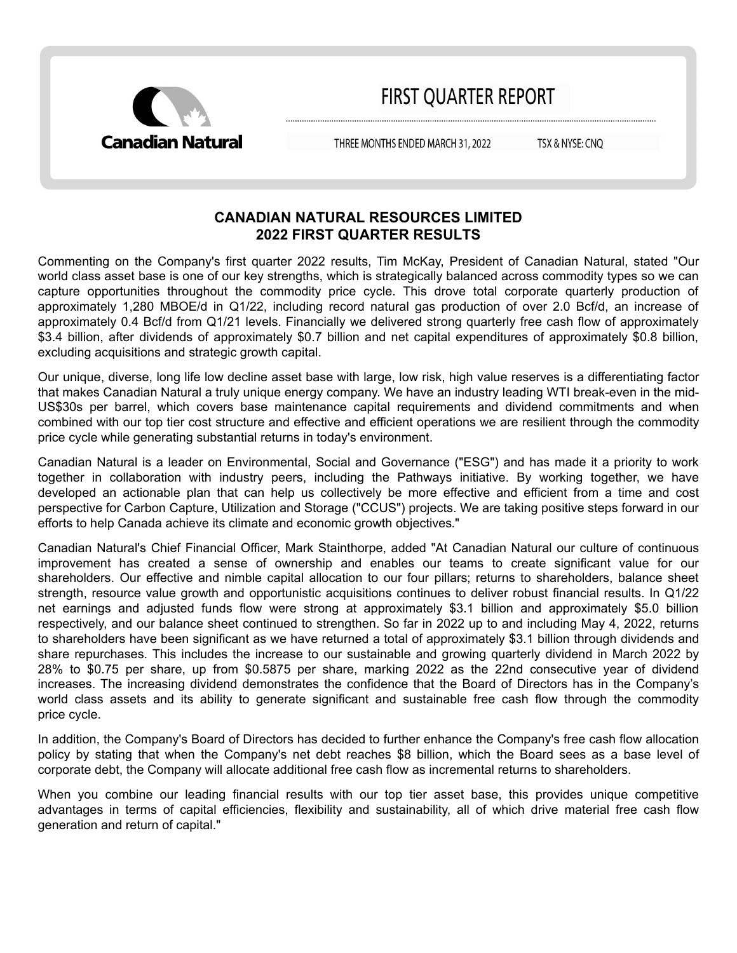

FIRST QUARTER REPORT

THREE MONTHS ENDED MARCH 31, 2022

TSX & NYSE: CNQ

# **CANADIAN NATURAL RESOURCES LIMITED 2022 FIRST QUARTER RESULTS**

Commenting on the Company's first quarter 2022 results, Tim McKay, President of Canadian Natural, stated "Our world class asset base is one of our key strengths, which is strategically balanced across commodity types so we can capture opportunities throughout the commodity price cycle. This drove total corporate quarterly production of approximately 1,280 MBOE/d in Q1/22, including record natural gas production of over 2.0 Bcf/d, an increase of approximately 0.4 Bcf/d from Q1/21 levels. Financially we delivered strong quarterly free cash flow of approximately \$3.4 billion, after dividends of approximately \$0.7 billion and net capital expenditures of approximately \$0.8 billion, excluding acquisitions and strategic growth capital.

Our unique, diverse, long life low decline asset base with large, low risk, high value reserves is a differentiating factor that makes Canadian Natural a truly unique energy company. We have an industry leading WTI break-even in the mid-US\$30s per barrel, which covers base maintenance capital requirements and dividend commitments and when combined with our top tier cost structure and effective and efficient operations we are resilient through the commodity price cycle while generating substantial returns in today's environment.

Canadian Natural is a leader on Environmental, Social and Governance ("ESG") and has made it a priority to work together in collaboration with industry peers, including the Pathways initiative. By working together, we have developed an actionable plan that can help us collectively be more effective and efficient from a time and cost perspective for Carbon Capture, Utilization and Storage ("CCUS") projects. We are taking positive steps forward in our efforts to help Canada achieve its climate and economic growth objectives."

Canadian Natural's Chief Financial Officer, Mark Stainthorpe, added "At Canadian Natural our culture of continuous improvement has created a sense of ownership and enables our teams to create significant value for our shareholders. Our effective and nimble capital allocation to our four pillars; returns to shareholders, balance sheet strength, resource value growth and opportunistic acquisitions continues to deliver robust financial results. In Q1/22 net earnings and adjusted funds flow were strong at approximately \$3.1 billion and approximately \$5.0 billion respectively, and our balance sheet continued to strengthen. So far in 2022 up to and including May 4, 2022, returns to shareholders have been significant as we have returned a total of approximately \$3.1 billion through dividends and share repurchases. This includes the increase to our sustainable and growing quarterly dividend in March 2022 by 28% to \$0.75 per share, up from \$0.5875 per share, marking 2022 as the 22nd consecutive year of dividend increases. The increasing dividend demonstrates the confidence that the Board of Directors has in the Company's world class assets and its ability to generate significant and sustainable free cash flow through the commodity price cycle.

In addition, the Company's Board of Directors has decided to further enhance the Company's free cash flow allocation policy by stating that when the Company's net debt reaches \$8 billion, which the Board sees as a base level of corporate debt, the Company will allocate additional free cash flow as incremental returns to shareholders.

When you combine our leading financial results with our top tier asset base, this provides unique competitive advantages in terms of capital efficiencies, flexibility and sustainability, all of which drive material free cash flow generation and return of capital."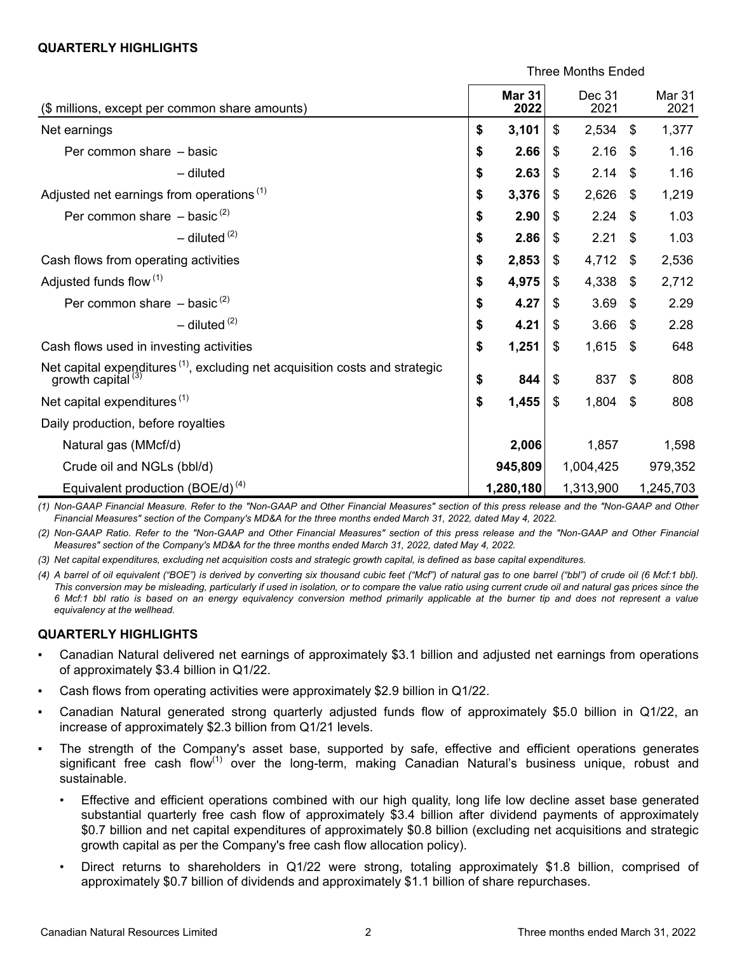#### **QUARTERLY HIGHLIGHTS**

Three Months Ended

| (\$ millions, except per common share amounts)                                                                               | Mar 31<br>2022 |     | Dec 31<br>2021 |     | Mar 31<br>2021 |
|------------------------------------------------------------------------------------------------------------------------------|----------------|-----|----------------|-----|----------------|
| Net earnings                                                                                                                 | \$<br>3,101    | \$  | 2,534          | \$  | 1,377          |
| Per common share - basic                                                                                                     | \$<br>2.66     | \$  | 2.16           | \$  | 1.16           |
| - diluted                                                                                                                    | \$<br>2.63     | \$  | 2.14           | \$  | 1.16           |
| Adjusted net earnings from operations <sup>(1)</sup>                                                                         | \$<br>3,376    | \$  | 2,626          | \$  | 1,219          |
| Per common share $-$ basic <sup>(2)</sup>                                                                                    | \$<br>2.90     | \$  | 2.24           | \$  | 1.03           |
| $-$ diluted $(2)$                                                                                                            | \$<br>2.86     | \$  | 2.21           | \$  | 1.03           |
| Cash flows from operating activities                                                                                         | \$<br>2,853    | \$  | 4,712          | \$  | 2,536          |
| Adjusted funds flow <sup>(1)</sup>                                                                                           | \$<br>4,975    | \$  | 4,338          | \$  | 2,712          |
| Per common share $-$ basic <sup>(2)</sup>                                                                                    | \$<br>4.27     | \$  | 3.69           | \$  | 2.29           |
| $-$ diluted $(2)$                                                                                                            | \$<br>4.21     | \$  | 3.66           | \$  | 2.28           |
| Cash flows used in investing activities                                                                                      | \$<br>1,251    | \$  | 1,615          | \$  | 648            |
| Net capital expenditures <sup><math>(1)</math></sup> , excluding net acquisition costs and strategic<br>growth capital $(3)$ | \$<br>844      | \$. | 837            | \$. | 808            |
| Net capital expenditures <sup>(1)</sup>                                                                                      | \$<br>1,455    | \$  | 1,804          | \$  | 808            |
| Daily production, before royalties                                                                                           |                |     |                |     |                |
| Natural gas (MMcf/d)                                                                                                         | 2,006          |     | 1,857          |     | 1,598          |
| Crude oil and NGLs (bbl/d)                                                                                                   | 945,809        |     | 1,004,425      |     | 979,352        |
| Equivalent production (BOE/d) <sup>(4)</sup>                                                                                 | 1,280,180      |     | 1,313,900      |     | 1,245,703      |

*(1) Non-GAAP Financial Measure. Refer to the "Non-GAAP and Other Financial Measures" section of this press release and the "Non-GAAP and Other Financial Measures" section of the Company's MD&A for the three months ended March 31, 2022, dated May 4, 2022.*

*(2) Non-GAAP Ratio. Refer to the "Non-GAAP and Other Financial Measures" section of this press release and the "Non-GAAP and Other Financial Measures" section of the Company's MD&A for the three months ended March 31, 2022, dated May 4, 2022.*

*(3) Net capital expenditures, excluding net acquisition costs and strategic growth capital, is defined as base capital expenditures.*

*(4) A barrel of oil equivalent ("BOE") is derived by converting six thousand cubic feet ("Mcf") of natural gas to one barrel ("bbl") of crude oil (6 Mcf:1 bbl). This conversion may be misleading, particularly if used in isolation, or to compare the value ratio using current crude oil and natural gas prices since the 6 Mcf:1 bbl ratio is based on an energy equivalency conversion method primarily applicable at the burner tip and does not represent a value equivalency at the wellhead.*

### **QUARTERLY HIGHLIGHTS**

- Canadian Natural delivered net earnings of approximately \$3.1 billion and adjusted net earnings from operations of approximately \$3.4 billion in Q1/22.
- Cash flows from operating activities were approximately \$2.9 billion in Q1/22.
- Canadian Natural generated strong quarterly adjusted funds flow of approximately \$5.0 billion in Q1/22, an increase of approximately \$2.3 billion from Q1/21 levels.
- The strength of the Company's asset base, supported by safe, effective and efficient operations generates significant free cash flow<sup>(1)</sup> over the long-term, making Canadian Natural's business unique, robust and sustainable.
	- Effective and efficient operations combined with our high quality, long life low decline asset base generated substantial quarterly free cash flow of approximately \$3.4 billion after dividend payments of approximately \$0.7 billion and net capital expenditures of approximately \$0.8 billion (excluding net acquisitions and strategic growth capital as per the Company's free cash flow allocation policy).
	- Direct returns to shareholders in Q1/22 were strong, totaling approximately \$1.8 billion, comprised of approximately \$0.7 billion of dividends and approximately \$1.1 billion of share repurchases.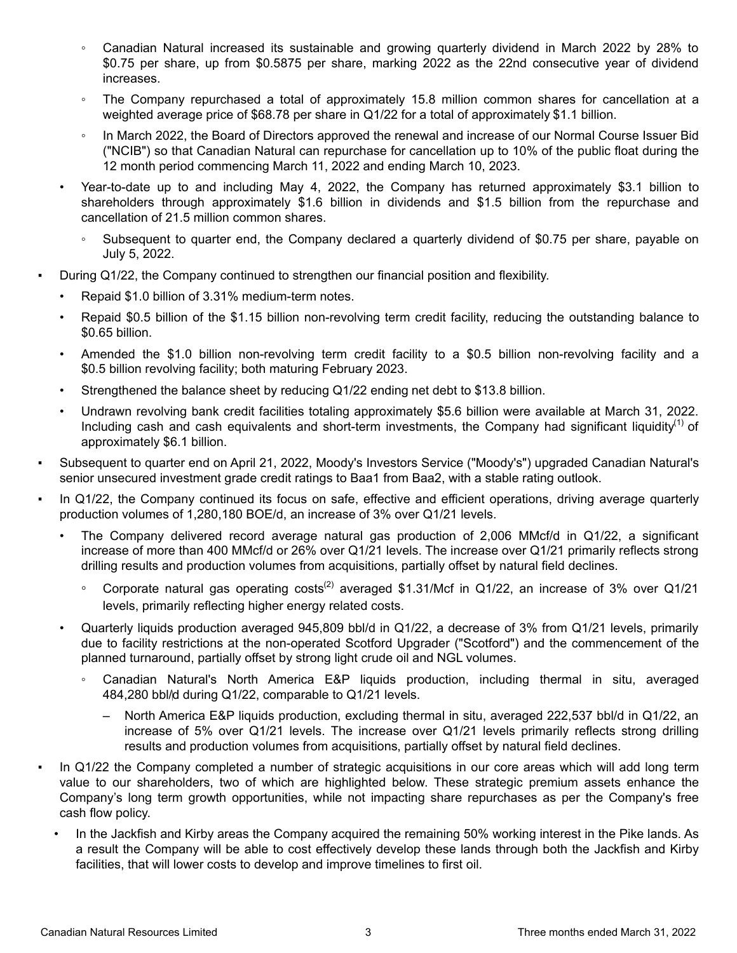- Canadian Natural increased its sustainable and growing quarterly dividend in March 2022 by 28% to \$0.75 per share, up from \$0.5875 per share, marking 2022 as the 22nd consecutive year of dividend increases.
- *◦* The Company repurchased a total of approximately 15.8 million common shares for cancellation at a weighted average price of \$68.78 per share in Q1/22 for a total of approximately \$1.1 billion.
- In March 2022, the Board of Directors approved the renewal and increase of our Normal Course Issuer Bid ("NCIB") so that Canadian Natural can repurchase for cancellation up to 10% of the public float during the 12 month period commencing March 11, 2022 and ending March 10, 2023.
- Year-to-date up to and including May 4, 2022, the Company has returned approximately \$3.1 billion to shareholders through approximately \$1.6 billion in dividends and \$1.5 billion from the repurchase and cancellation of 21.5 million common shares.
	- Subsequent to quarter end, the Company declared a quarterly dividend of \$0.75 per share, payable on July 5, 2022.
- During Q1/22, the Company continued to strengthen our financial position and flexibility.
	- Repaid \$1.0 billion of 3.31% medium-term notes.
	- Repaid \$0.5 billion of the \$1.15 billion non-revolving term credit facility, reducing the outstanding balance to \$0.65 billion.
	- Amended the \$1.0 billion non-revolving term credit facility to a \$0.5 billion non-revolving facility and a \$0.5 billion revolving facility; both maturing February 2023.
	- Strengthened the balance sheet by reducing Q1/22 ending net debt to \$13.8 billion.
	- Undrawn revolving bank credit facilities totaling approximately \$5.6 billion were available at March 31, 2022. Including cash and cash equivalents and short-term investments, the Company had significant liquidity<sup>(1)</sup> of approximately \$6.1 billion.
- Subsequent to quarter end on April 21, 2022, Moody's Investors Service ("Moody's") upgraded Canadian Natural's senior unsecured investment grade credit ratings to Baa1 from Baa2, with a stable rating outlook.
- In Q1/22, the Company continued its focus on safe, effective and efficient operations, driving average quarterly production volumes of 1,280,180 BOE/d, an increase of 3% over Q1/21 levels.
	- The Company delivered record average natural gas production of 2,006 MMcf/d in Q1/22, a significant increase of more than 400 MMcf/d or 26% over Q1/21 levels. The increase over Q1/21 primarily reflects strong drilling results and production volumes from acquisitions, partially offset by natural field declines.
		- Corporate natural gas operating  $costs^{(2)}$  averaged \$1.31/Mcf in Q1/22, an increase of 3% over Q1/21 levels, primarily reflecting higher energy related costs.
	- Quarterly liquids production averaged 945,809 bbl/d in Q1/22, a decrease of 3% from Q1/21 levels, primarily due to facility restrictions at the non-operated Scotford Upgrader ("Scotford") and the commencement of the planned turnaround, partially offset by strong light crude oil and NGL volumes.
		- Canadian Natural's North America E&P liquids production, including thermal in situ, averaged 484,280 bbl/d during Q1/22, comparable to Q1/21 levels.
			- North America E&P liquids production, excluding thermal in situ, averaged 222,537 bbl/d in Q1/22, an increase of 5% over Q1/21 levels. The increase over Q1/21 levels primarily reflects strong drilling results and production volumes from acquisitions, partially offset by natural field declines.
- In Q1/22 the Company completed a number of strategic acquisitions in our core areas which will add long term value to our shareholders, two of which are highlighted below. These strategic premium assets enhance the Company's long term growth opportunities, while not impacting share repurchases as per the Company's free cash flow policy.
	- In the Jackfish and Kirby areas the Company acquired the remaining 50% working interest in the Pike lands. As a result the Company will be able to cost effectively develop these lands through both the Jackfish and Kirby facilities, that will lower costs to develop and improve timelines to first oil.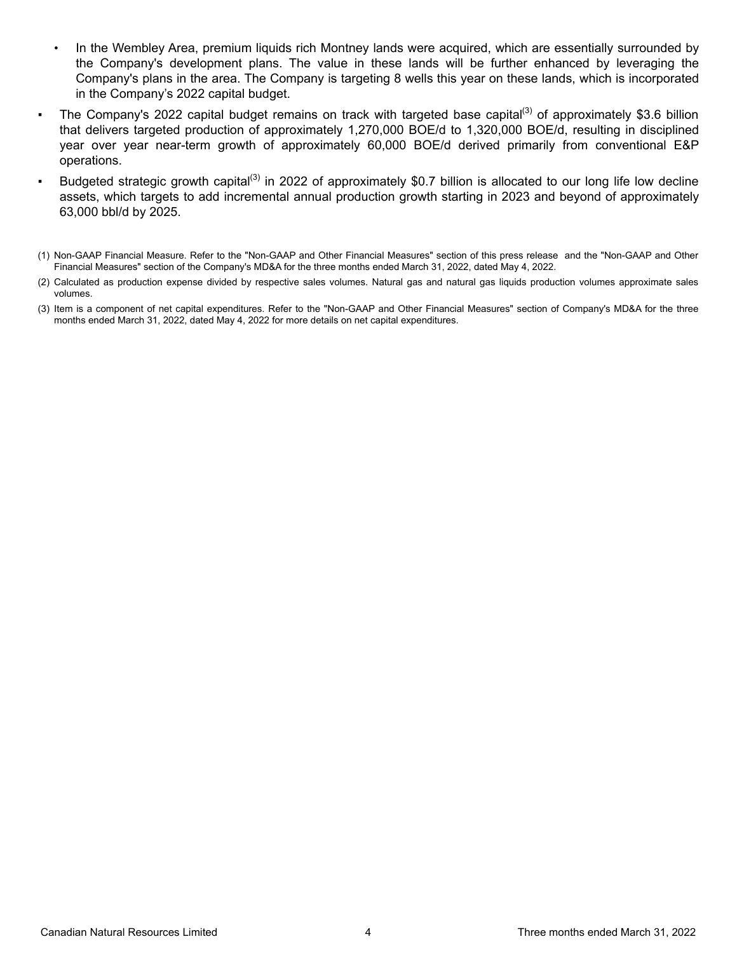- In the Wembley Area, premium liquids rich Montney lands were acquired, which are essentially surrounded by the Company's development plans. The value in these lands will be further enhanced by leveraging the Company's plans in the area. The Company is targeting 8 wells this year on these lands, which is incorporated in the Company's 2022 capital budget.
- The Company's 2022 capital budget remains on track with targeted base capital<sup>(3)</sup> of approximately \$3.6 billion that delivers targeted production of approximately 1,270,000 BOE/d to 1,320,000 BOE/d, resulting in disciplined year over year near-term growth of approximately 60,000 BOE/d derived primarily from conventional E&P operations.
- Budgeted strategic growth capital<sup>(3)</sup> in 2022 of approximately \$0.7 billion is allocated to our long life low decline assets, which targets to add incremental annual production growth starting in 2023 and beyond of approximately 63,000 bbl/d by 2025.
- (1) Non-GAAP Financial Measure. Refer to the "Non-GAAP and Other Financial Measures" section of this press release and the "Non-GAAP and Other Financial Measures" section of the Company's MD&A for the three months ended March 31, 2022, dated May 4, 2022.
- (2) Calculated as production expense divided by respective sales volumes. Natural gas and natural gas liquids production volumes approximate sales volumes.
- (3) Item is a component of net capital expenditures. Refer to the "Non-GAAP and Other Financial Measures" section of Company's MD&A for the three months ended March 31, 2022, dated May 4, 2022 for more details on net capital expenditures.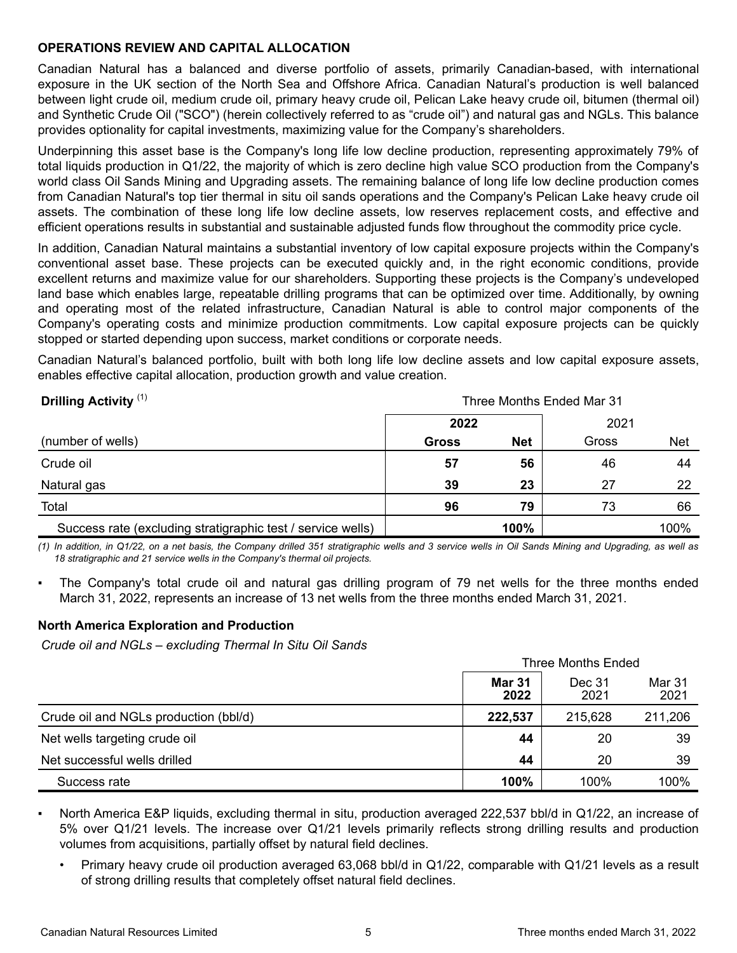### **OPERATIONS REVIEW AND CAPITAL ALLOCATION**

Canadian Natural has a balanced and diverse portfolio of assets, primarily Canadian-based, with international exposure in the UK section of the North Sea and Offshore Africa. Canadian Natural's production is well balanced between light crude oil, medium crude oil, primary heavy crude oil, Pelican Lake heavy crude oil, bitumen (thermal oil) and Synthetic Crude Oil ("SCO") (herein collectively referred to as "crude oil") and natural gas and NGLs. This balance provides optionality for capital investments, maximizing value for the Company's shareholders.

Underpinning this asset base is the Company's long life low decline production, representing approximately 79% of total liquids production in Q1/22, the majority of which is zero decline high value SCO production from the Company's world class Oil Sands Mining and Upgrading assets. The remaining balance of long life low decline production comes from Canadian Natural's top tier thermal in situ oil sands operations and the Company's Pelican Lake heavy crude oil assets. The combination of these long life low decline assets, low reserves replacement costs, and effective and efficient operations results in substantial and sustainable adjusted funds flow throughout the commodity price cycle.

In addition, Canadian Natural maintains a substantial inventory of low capital exposure projects within the Company's conventional asset base. These projects can be executed quickly and, in the right economic conditions, provide excellent returns and maximize value for our shareholders. Supporting these projects is the Company's undeveloped land base which enables large, repeatable drilling programs that can be optimized over time. Additionally, by owning and operating most of the related infrastructure, Canadian Natural is able to control major components of the Company's operating costs and minimize production commitments. Low capital exposure projects can be quickly stopped or started depending upon success, market conditions or corporate needs.

Canadian Natural's balanced portfolio, built with both long life low decline assets and low capital exposure assets, enables effective capital allocation, production growth and value creation.

| Drilling Activity <sup>(1)</sup>                            | Three Months Ended Mar 31 |            |       |            |  |  |  |  |  |  |  |  |
|-------------------------------------------------------------|---------------------------|------------|-------|------------|--|--|--|--|--|--|--|--|
|                                                             | 2022                      |            |       |            |  |  |  |  |  |  |  |  |
| (number of wells)                                           | <b>Gross</b>              | <b>Net</b> | Gross | <b>Net</b> |  |  |  |  |  |  |  |  |
| Crude oil                                                   | 57                        | 56         | 46    | 44         |  |  |  |  |  |  |  |  |
| Natural gas                                                 | 39                        | 23         | 27    | 22         |  |  |  |  |  |  |  |  |
| Total                                                       | 96                        | 79         | 73    | 66         |  |  |  |  |  |  |  |  |
| Success rate (excluding stratigraphic test / service wells) |                           | 100%       |       | 100%       |  |  |  |  |  |  |  |  |

*(1) In addition, in Q1/22, on a net basis, the Company drilled 351 stratigraphic wells and 3 service wells in Oil Sands Mining and Upgrading, as well as 18 stratigraphic and 21 service wells in the Company's thermal oil projects.*

The Company's total crude oil and natural gas drilling program of 79 net wells for the three months ended March 31, 2022, represents an increase of 13 net wells from the three months ended March 31, 2021.

### **North America Exploration and Production**

*Crude oil and NGLs – excluding Thermal In Situ Oil Sands*

|                                       | <b>Three Months Ended</b> |                |                |  |  |  |
|---------------------------------------|---------------------------|----------------|----------------|--|--|--|
|                                       | <b>Mar 31</b><br>2022     | Dec 31<br>2021 | Mar 31<br>2021 |  |  |  |
| Crude oil and NGLs production (bbl/d) | 222,537                   | 215,628        | 211,206        |  |  |  |
| Net wells targeting crude oil         | 44                        | 20             | 39             |  |  |  |
| Net successful wells drilled          | 44                        | 20             | 39             |  |  |  |
| Success rate                          | 100%                      | 100%           | 100%           |  |  |  |

- North America E&P liquids, excluding thermal in situ, production averaged 222,537 bbl/d in Q1/22, an increase of 5% over Q1/21 levels. The increase over Q1/21 levels primarily reflects strong drilling results and production volumes from acquisitions, partially offset by natural field declines.
	- Primary heavy crude oil production averaged 63,068 bbl/d in Q1/22, comparable with Q1/21 levels as a result of strong drilling results that completely offset natural field declines.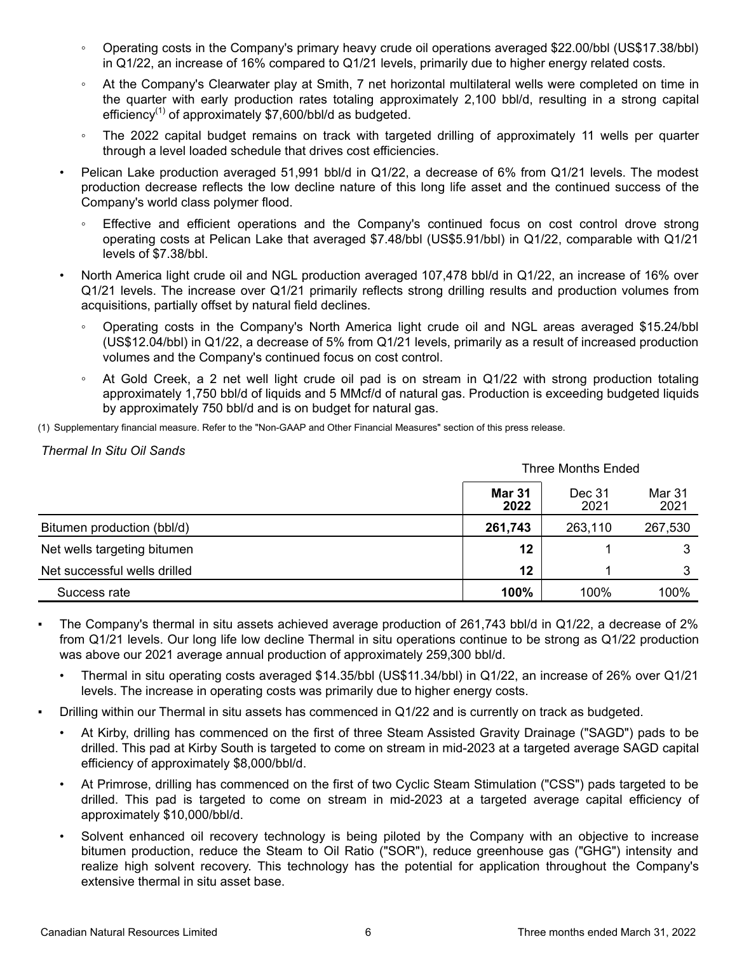- Operating costs in the Company's primary heavy crude oil operations averaged \$22.00/bbl (US\$17.38/bbl) in Q1/22, an increase of 16% compared to Q1/21 levels, primarily due to higher energy related costs.
- At the Company's Clearwater play at Smith, 7 net horizontal multilateral wells were completed on time in the quarter with early production rates totaling approximately 2,100 bbl/d, resulting in a strong capital efficiency<sup>(1)</sup> of approximately \$7,600/bbl/d as budgeted.
- The 2022 capital budget remains on track with targeted drilling of approximately 11 wells per quarter through a level loaded schedule that drives cost efficiencies.
- Pelican Lake production averaged 51,991 bbl/d in Q1/22, a decrease of 6% from Q1/21 levels. The modest production decrease reflects the low decline nature of this long life asset and the continued success of the Company's world class polymer flood.
	- Effective and efficient operations and the Company's continued focus on cost control drove strong operating costs at Pelican Lake that averaged \$7.48/bbl (US\$5.91/bbl) in Q1/22, comparable with Q1/21 levels of \$7.38/bbl.
- North America light crude oil and NGL production averaged 107,478 bbl/d in Q1/22, an increase of 16% over Q1/21 levels. The increase over Q1/21 primarily reflects strong drilling results and production volumes from acquisitions, partially offset by natural field declines.
	- Operating costs in the Company's North America light crude oil and NGL areas averaged \$15.24/bbl (US\$12.04/bbl) in Q1/22, a decrease of 5% from Q1/21 levels, primarily as a result of increased production volumes and the Company's continued focus on cost control.
	- At Gold Creek, a 2 net well light crude oil pad is on stream in Q1/22 with strong production totaling approximately 1,750 bbl/d of liquids and 5 MMcf/d of natural gas. Production is exceeding budgeted liquids by approximately 750 bbl/d and is on budget for natural gas.

(1) Supplementary financial measure. Refer to the "Non-GAAP and Other Financial Measures" section of this press release.

*Thermal In Situ Oil Sands*

|                              | <b>Mar 31</b><br>2022 | Dec 31<br>2021 | Mar 31<br>2021 |  |  |  |
|------------------------------|-----------------------|----------------|----------------|--|--|--|
| Bitumen production (bbl/d)   | 261,743               | 263,110        | 267,530        |  |  |  |
| Net wells targeting bitumen  | 12                    |                |                |  |  |  |
| Net successful wells drilled | 12                    |                |                |  |  |  |
| Success rate                 | 100%                  | 100%           | 100%           |  |  |  |

- The Company's thermal in situ assets achieved average production of 261,743 bbl/d in Q1/22, a decrease of 2% from Q1/21 levels. Our long life low decline Thermal in situ operations continue to be strong as Q1/22 production was above our 2021 average annual production of approximately 259,300 bbl/d.
	- Thermal in situ operating costs averaged \$14.35/bbl (US\$11.34/bbl) in Q1/22, an increase of 26% over Q1/21 levels. The increase in operating costs was primarily due to higher energy costs.
- Drilling within our Thermal in situ assets has commenced in Q1/22 and is currently on track as budgeted.
	- At Kirby, drilling has commenced on the first of three Steam Assisted Gravity Drainage ("SAGD") pads to be drilled. This pad at Kirby South is targeted to come on stream in mid-2023 at a targeted average SAGD capital efficiency of approximately \$8,000/bbl/d.
	- At Primrose, drilling has commenced on the first of two Cyclic Steam Stimulation ("CSS") pads targeted to be drilled. This pad is targeted to come on stream in mid-2023 at a targeted average capital efficiency of approximately \$10,000/bbl/d.
	- Solvent enhanced oil recovery technology is being piloted by the Company with an objective to increase bitumen production, reduce the Steam to Oil Ratio ("SOR"), reduce greenhouse gas ("GHG") intensity and realize high solvent recovery. This technology has the potential for application throughout the Company's extensive thermal in situ asset base.

Three Months Ended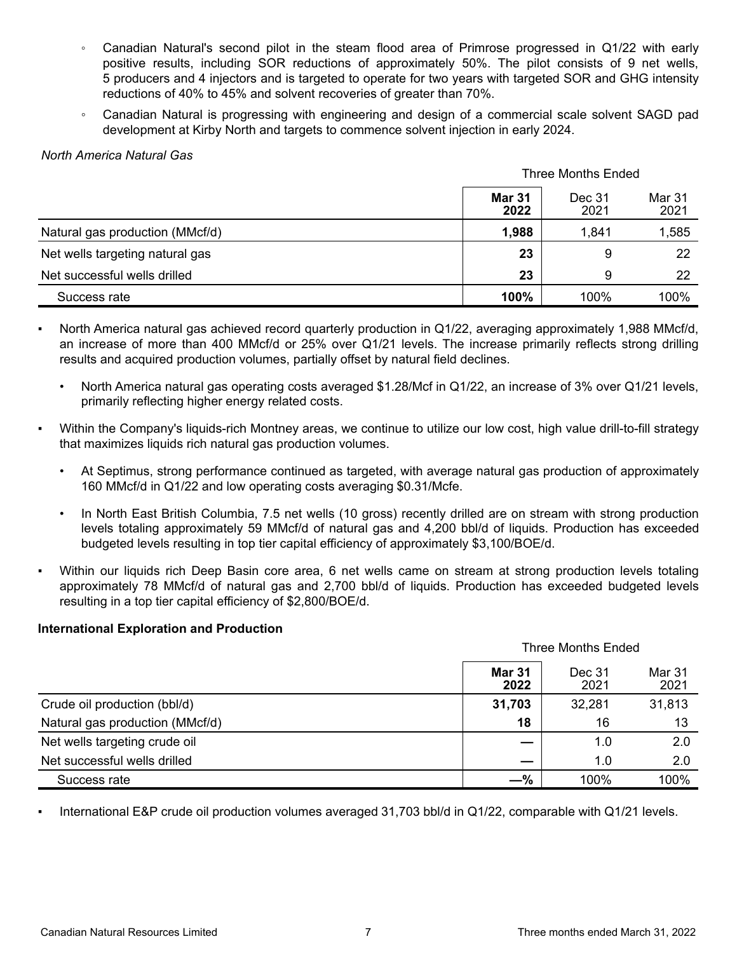- Canadian Natural's second pilot in the steam flood area of Primrose progressed in Q1/22 with early positive results, including SOR reductions of approximately 50%. The pilot consists of 9 net wells, 5 producers and 4 injectors and is targeted to operate for two years with targeted SOR and GHG intensity reductions of 40% to 45% and solvent recoveries of greater than 70%.
- Canadian Natural is progressing with engineering and design of a commercial scale solvent SAGD pad development at Kirby North and targets to commence solvent injection in early 2024.

### *North America Natural Gas*

|                                 | <b>Three Months Ended</b> |                |                |  |  |  |
|---------------------------------|---------------------------|----------------|----------------|--|--|--|
|                                 | <b>Mar 31</b><br>2022     | Dec 31<br>2021 | Mar 31<br>2021 |  |  |  |
| Natural gas production (MMcf/d) | 1,988                     | 1,841          | 1,585          |  |  |  |
| Net wells targeting natural gas | 23                        | 9              | 22             |  |  |  |
| Net successful wells drilled    | 23                        | 9              | 22             |  |  |  |
| Success rate                    | 100%                      | 100%           | 100%           |  |  |  |

- North America natural gas achieved record quarterly production in Q1/22, averaging approximately 1,988 MMcf/d, an increase of more than 400 MMcf/d or 25% over Q1/21 levels. The increase primarily reflects strong drilling results and acquired production volumes, partially offset by natural field declines.
	- North America natural gas operating costs averaged \$1.28/Mcf in Q1/22, an increase of 3% over Q1/21 levels, primarily reflecting higher energy related costs.
- Within the Company's liquids-rich Montney areas, we continue to utilize our low cost, high value drill-to-fill strategy that maximizes liquids rich natural gas production volumes.
	- At Septimus, strong performance continued as targeted, with average natural gas production of approximately 160 MMcf/d in Q1/22 and low operating costs averaging \$0.31/Mcfe.
	- In North East British Columbia, 7.5 net wells (10 gross) recently drilled are on stream with strong production levels totaling approximately 59 MMcf/d of natural gas and 4,200 bbl/d of liquids. Production has exceeded budgeted levels resulting in top tier capital efficiency of approximately \$3,100/BOE/d.
- Within our liquids rich Deep Basin core area, 6 net wells came on stream at strong production levels totaling approximately 78 MMcf/d of natural gas and 2,700 bbl/d of liquids. Production has exceeded budgeted levels resulting in a top tier capital efficiency of \$2,800/BOE/d.

### **International Exploration and Production**

|                                 | <b>Three Months Ended</b> |                |                |  |  |  |
|---------------------------------|---------------------------|----------------|----------------|--|--|--|
|                                 | <b>Mar 31</b><br>2022     | Dec 31<br>2021 | Mar 31<br>2021 |  |  |  |
| Crude oil production (bbl/d)    | 31,703                    | 32,281         | 31,813         |  |  |  |
| Natural gas production (MMcf/d) | 18                        | 16             | 13             |  |  |  |
| Net wells targeting crude oil   |                           | 1.0            | 2.0            |  |  |  |
| Net successful wells drilled    |                           | 1.0            | 2.0            |  |  |  |
| Success rate                    | $-\%$                     | 100%           | 100%           |  |  |  |

International E&P crude oil production volumes averaged 31,703 bbl/d in Q1/22, comparable with Q1/21 levels.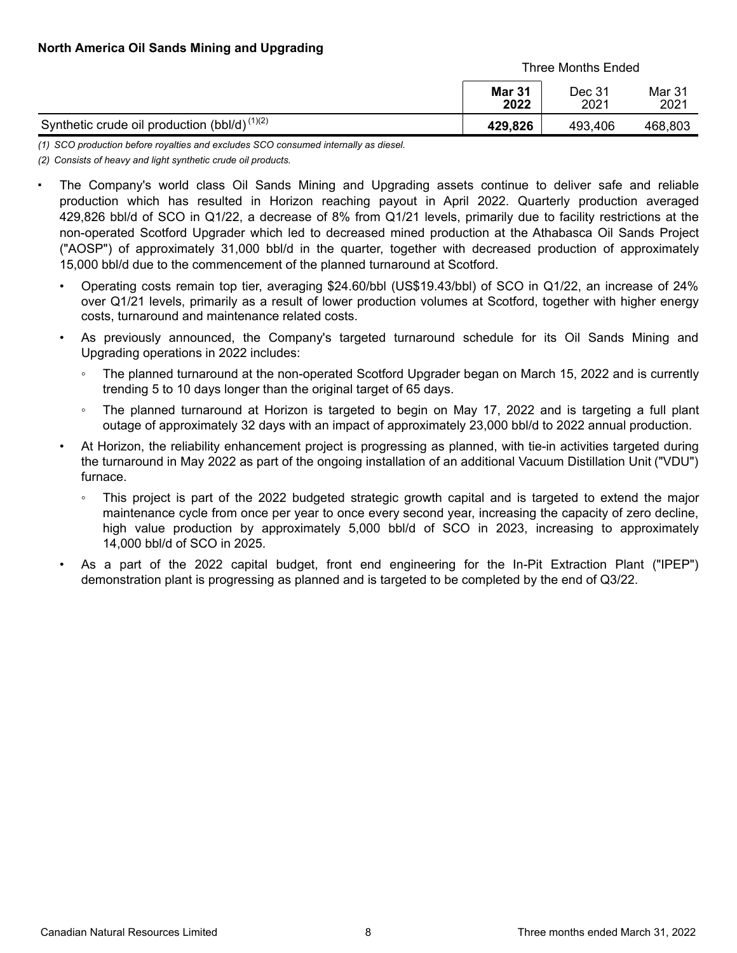Three Months Ended

|                                                          | <b>Mar 31</b> | Dec 31  | Mar 31  |
|----------------------------------------------------------|---------------|---------|---------|
|                                                          | 2022          | 2021    | 2021    |
| Synthetic crude oil production (bbl/d) <sup>(1)(2)</sup> | 429,826       | 493,406 | 468,803 |

*(1) SCO production before royalties and excludes SCO consumed internally as diesel.*

*(2) Consists of heavy and light synthetic crude oil products.*

- The Company's world class Oil Sands Mining and Upgrading assets continue to deliver safe and reliable production which has resulted in Horizon reaching payout in April 2022. Quarterly production averaged 429,826 bbl/d of SCO in Q1/22, a decrease of 8% from Q1/21 levels, primarily due to facility restrictions at the non-operated Scotford Upgrader which led to decreased mined production at the Athabasca Oil Sands Project ("AOSP") of approximately 31,000 bbl/d in the quarter, together with decreased production of approximately 15,000 bbl/d due to the commencement of the planned turnaround at Scotford.
	- Operating costs remain top tier, averaging \$24.60/bbl (US\$19.43/bbl) of SCO in Q1/22, an increase of 24% over Q1/21 levels, primarily as a result of lower production volumes at Scotford, together with higher energy costs, turnaround and maintenance related costs.
	- As previously announced, the Company's targeted turnaround schedule for its Oil Sands Mining and Upgrading operations in 2022 includes:
		- The planned turnaround at the non-operated Scotford Upgrader began on March 15, 2022 and is currently trending 5 to 10 days longer than the original target of 65 days.
		- The planned turnaround at Horizon is targeted to begin on May 17, 2022 and is targeting a full plant outage of approximately 32 days with an impact of approximately 23,000 bbl/d to 2022 annual production.
	- At Horizon, the reliability enhancement project is progressing as planned, with tie-in activities targeted during the turnaround in May 2022 as part of the ongoing installation of an additional Vacuum Distillation Unit ("VDU") furnace.
		- This project is part of the 2022 budgeted strategic growth capital and is targeted to extend the major maintenance cycle from once per year to once every second year, increasing the capacity of zero decline, high value production by approximately 5,000 bbl/d of SCO in 2023, increasing to approximately 14,000 bbl/d of SCO in 2025.
	- As a part of the 2022 capital budget, front end engineering for the In-Pit Extraction Plant ("IPEP") demonstration plant is progressing as planned and is targeted to be completed by the end of Q3/22.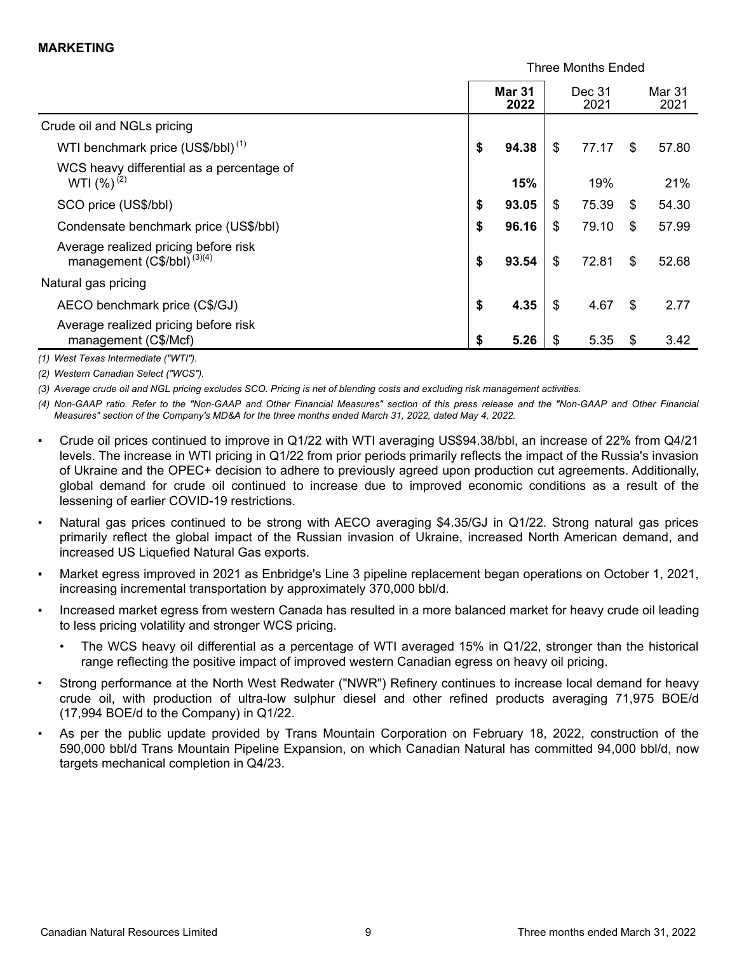#### **MARKETING**

|                                                                        | THEE MUITUS LIUCU |                       |    |                |    |                |  |  |
|------------------------------------------------------------------------|-------------------|-----------------------|----|----------------|----|----------------|--|--|
|                                                                        |                   | <b>Mar 31</b><br>2022 |    | Dec 31<br>2021 |    | Mar 31<br>2021 |  |  |
| Crude oil and NGLs pricing                                             |                   |                       |    |                |    |                |  |  |
| WTI benchmark price (US\$/bbl) <sup>(1)</sup>                          | \$                | 94.38                 | \$ | 77.17          | S  | 57.80          |  |  |
| WCS heavy differential as a percentage of<br>WTI $(\%)^{(2)}$          |                   | 15%                   |    | 19%            |    | 21%            |  |  |
| SCO price (US\$/bbl)                                                   | \$                | 93.05                 | \$ | 75.39          | \$ | 54.30          |  |  |
| Condensate benchmark price (US\$/bbl)                                  | \$                | 96.16                 | \$ | 79.10          | \$ | 57.99          |  |  |
| Average realized pricing before risk<br>management $(C$/bbI)^{(3)(4)}$ | \$                | 93.54                 | \$ | 72.81          | \$ | 52.68          |  |  |
| Natural gas pricing                                                    |                   |                       |    |                |    |                |  |  |
| AECO benchmark price (C\$/GJ)                                          | \$                | 4.35                  | \$ | 4.67           | \$ | 2.77           |  |  |
| Average realized pricing before risk<br>management (C\$/Mcf)           | \$                | 5.26                  | \$ | 5.35           | \$ | 3.42           |  |  |

*(1) West Texas Intermediate ("WTI").*

*(2) Western Canadian Select ("WCS").*

*(3) Average crude oil and NGL pricing excludes SCO. Pricing is net of blending costs and excluding risk management activities.*

*(4) Non-GAAP ratio. Refer to the "Non-GAAP and Other Financial Measures" section of this press release and the "Non-GAAP and Other Financial Measures" section of the Company's MD&A for the three months ended March 31, 2022, dated May 4, 2022.*

- Crude oil prices continued to improve in Q1/22 with WTI averaging US\$94.38/bbl, an increase of 22% from Q4/21 levels. The increase in WTI pricing in Q1/22 from prior periods primarily reflects the impact of the Russia's invasion of Ukraine and the OPEC+ decision to adhere to previously agreed upon production cut agreements. Additionally, global demand for crude oil continued to increase due to improved economic conditions as a result of the lessening of earlier COVID-19 restrictions.
- Natural gas prices continued to be strong with AECO averaging \$4.35/GJ in Q1/22. Strong natural gas prices primarily reflect the global impact of the Russian invasion of Ukraine, increased North American demand, and increased US Liquefied Natural Gas exports.
- Market egress improved in 2021 as Enbridge's Line 3 pipeline replacement began operations on October 1, 2021, increasing incremental transportation by approximately 370,000 bbl/d.
- Increased market egress from western Canada has resulted in a more balanced market for heavy crude oil leading to less pricing volatility and stronger WCS pricing.
	- The WCS heavy oil differential as a percentage of WTI averaged 15% in Q1/22, stronger than the historical range reflecting the positive impact of improved western Canadian egress on heavy oil pricing.
- Strong performance at the North West Redwater ("NWR") Refinery continues to increase local demand for heavy crude oil, with production of ultra-low sulphur diesel and other refined products averaging 71,975 BOE/d (17,994 BOE/d to the Company) in Q1/22.
- As per the public update provided by Trans Mountain Corporation on February 18, 2022, construction of the 590,000 bbl/d Trans Mountain Pipeline Expansion, on which Canadian Natural has committed 94,000 bbl/d, now targets mechanical completion in Q4/23.

Three Months Ended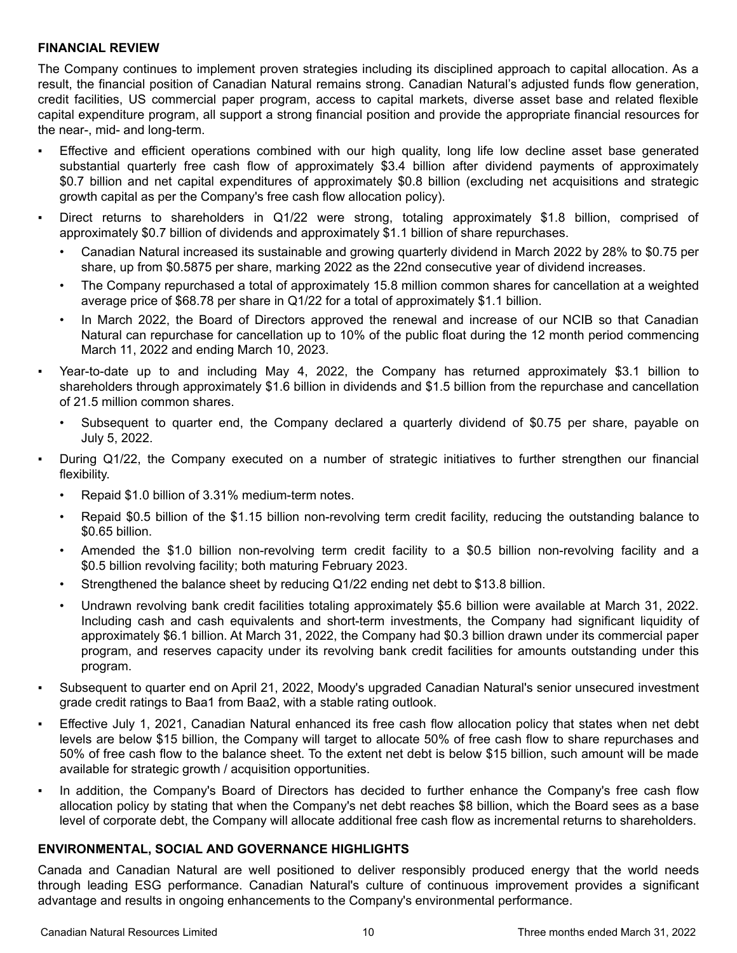### **FINANCIAL REVIEW**

The Company continues to implement proven strategies including its disciplined approach to capital allocation. As a result, the financial position of Canadian Natural remains strong. Canadian Natural's adjusted funds flow generation, credit facilities, US commercial paper program, access to capital markets, diverse asset base and related flexible capital expenditure program, all support a strong financial position and provide the appropriate financial resources for the near-, mid- and long-term.

- Effective and efficient operations combined with our high quality, long life low decline asset base generated substantial quarterly free cash flow of approximately \$3.4 billion after dividend payments of approximately \$0.7 billion and net capital expenditures of approximately \$0.8 billion (excluding net acquisitions and strategic growth capital as per the Company's free cash flow allocation policy).
- Direct returns to shareholders in Q1/22 were strong, totaling approximately \$1.8 billion, comprised of approximately \$0.7 billion of dividends and approximately \$1.1 billion of share repurchases.
	- Canadian Natural increased its sustainable and growing quarterly dividend in March 2022 by 28% to \$0.75 per share, up from \$0.5875 per share, marking 2022 as the 22nd consecutive year of dividend increases.
	- *•* The Company repurchased a total of approximately 15.8 million common shares for cancellation at a weighted average price of \$68.78 per share in Q1/22 for a total of approximately \$1.1 billion.
	- In March 2022, the Board of Directors approved the renewal and increase of our NCIB so that Canadian Natural can repurchase for cancellation up to 10% of the public float during the 12 month period commencing March 11, 2022 and ending March 10, 2023.
- *▪* Year-to-date up to and including May 4, 2022, the Company has returned approximately \$3.1 billion to shareholders through approximately \$1.6 billion in dividends and \$1.5 billion from the repurchase and cancellation of 21.5 million common shares.
	- *•* Subsequent to quarter end, the Company declared a quarterly dividend of \$0.75 per share, payable on July 5, 2022.
- During Q1/22, the Company executed on a number of strategic initiatives to further strengthen our financial flexibility.
	- Repaid \$1.0 billion of 3.31% medium-term notes.
	- *•* Repaid \$0.5 billion of the \$1.15 billion non-revolving term credit facility, reducing the outstanding balance to \$0.65 billion.
	- *•* Amended the \$1.0 billion non-revolving term credit facility to a \$0.5 billion non-revolving facility and a \$0.5 billion revolving facility; both maturing February 2023.
	- *•* Strengthened the balance sheet by reducing Q1/22 ending net debt to \$13.8 billion.
	- *•* Undrawn revolving bank credit facilities totaling approximately \$5.6 billion were available at March 31, 2022. Including cash and cash equivalents and short-term investments, the Company had significant liquidity of approximately \$6.1 billion. At March 31, 2022, the Company had \$0.3 billion drawn under its commercial paper program, and reserves capacity under its revolving bank credit facilities for amounts outstanding under this program.
- Subsequent to quarter end on April 21, 2022, Moody's upgraded Canadian Natural's senior unsecured investment grade credit ratings to Baa1 from Baa2, with a stable rating outlook.
- Effective July 1, 2021, Canadian Natural enhanced its free cash flow allocation policy that states when net debt levels are below \$15 billion, the Company will target to allocate 50% of free cash flow to share repurchases and 50% of free cash flow to the balance sheet. To the extent net debt is below \$15 billion, such amount will be made available for strategic growth / acquisition opportunities.
- In addition, the Company's Board of Directors has decided to further enhance the Company's free cash flow allocation policy by stating that when the Company's net debt reaches \$8 billion, which the Board sees as a base level of corporate debt, the Company will allocate additional free cash flow as incremental returns to shareholders.

## **ENVIRONMENTAL, SOCIAL AND GOVERNANCE HIGHLIGHTS**

Canada and Canadian Natural are well positioned to deliver responsibly produced energy that the world needs through leading ESG performance. Canadian Natural's culture of continuous improvement provides a significant advantage and results in ongoing enhancements to the Company's environmental performance.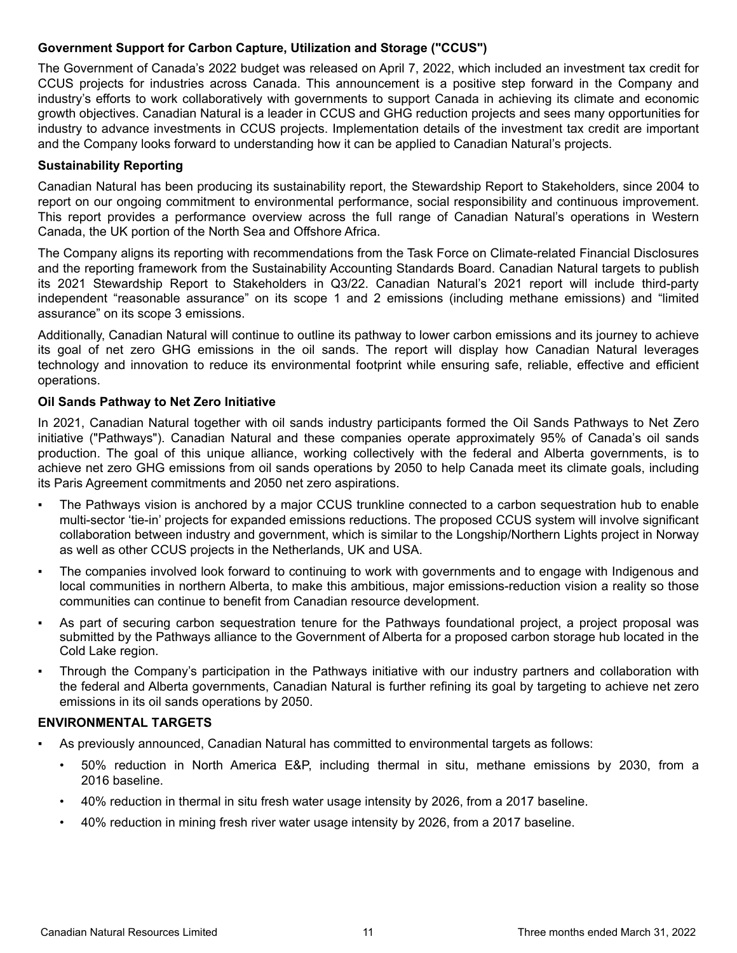### **Government Support for Carbon Capture, Utilization and Storage ("CCUS")**

The Government of Canada's 2022 budget was released on April 7, 2022, which included an investment tax credit for CCUS projects for industries across Canada. This announcement is a positive step forward in the Company and industry's efforts to work collaboratively with governments to support Canada in achieving its climate and economic growth objectives. Canadian Natural is a leader in CCUS and GHG reduction projects and sees many opportunities for industry to advance investments in CCUS projects. Implementation details of the investment tax credit are important and the Company looks forward to understanding how it can be applied to Canadian Natural's projects.

## **Sustainability Reporting**

Canadian Natural has been producing its sustainability report, the Stewardship Report to Stakeholders, since 2004 to report on our ongoing commitment to environmental performance, social responsibility and continuous improvement. This report provides a performance overview across the full range of Canadian Natural's operations in Western Canada, the UK portion of the North Sea and Offshore Africa.

The Company aligns its reporting with recommendations from the Task Force on Climate-related Financial Disclosures and the reporting framework from the Sustainability Accounting Standards Board. Canadian Natural targets to publish its 2021 Stewardship Report to Stakeholders in Q3/22. Canadian Natural's 2021 report will include third-party independent "reasonable assurance" on its scope 1 and 2 emissions (including methane emissions) and "limited assurance" on its scope 3 emissions.

Additionally, Canadian Natural will continue to outline its pathway to lower carbon emissions and its journey to achieve its goal of net zero GHG emissions in the oil sands. The report will display how Canadian Natural leverages technology and innovation to reduce its environmental footprint while ensuring safe, reliable, effective and efficient operations.

### **Oil Sands Pathway to Net Zero Initiative**

In 2021, Canadian Natural together with oil sands industry participants formed the Oil Sands Pathways to Net Zero initiative ("Pathways"). Canadian Natural and these companies operate approximately 95% of Canada's oil sands production. The goal of this unique alliance, working collectively with the federal and Alberta governments, is to achieve net zero GHG emissions from oil sands operations by 2050 to help Canada meet its climate goals, including its Paris Agreement commitments and 2050 net zero aspirations.

- The Pathways vision is anchored by a major CCUS trunkline connected to a carbon sequestration hub to enable multi-sector 'tie-in' projects for expanded emissions reductions. The proposed CCUS system will involve significant collaboration between industry and government, which is similar to the Longship/Northern Lights project in Norway as well as other CCUS projects in the Netherlands, UK and USA.
- The companies involved look forward to continuing to work with governments and to engage with Indigenous and local communities in northern Alberta, to make this ambitious, major emissions-reduction vision a reality so those communities can continue to benefit from Canadian resource development.
- As part of securing carbon sequestration tenure for the Pathways foundational project, a project proposal was submitted by the Pathways alliance to the Government of Alberta for a proposed carbon storage hub located in the Cold Lake region.
- Through the Company's participation in the Pathways initiative with our industry partners and collaboration with the federal and Alberta governments, Canadian Natural is further refining its goal by targeting to achieve net zero emissions in its oil sands operations by 2050.

### **ENVIRONMENTAL TARGETS**

- As previously announced, Canadian Natural has committed to environmental targets as follows:
	- 50% reduction in North America E&P, including thermal in situ, methane emissions by 2030, from a 2016 baseline.
	- 40% reduction in thermal in situ fresh water usage intensity by 2026, from a 2017 baseline.
	- 40% reduction in mining fresh river water usage intensity by 2026, from a 2017 baseline.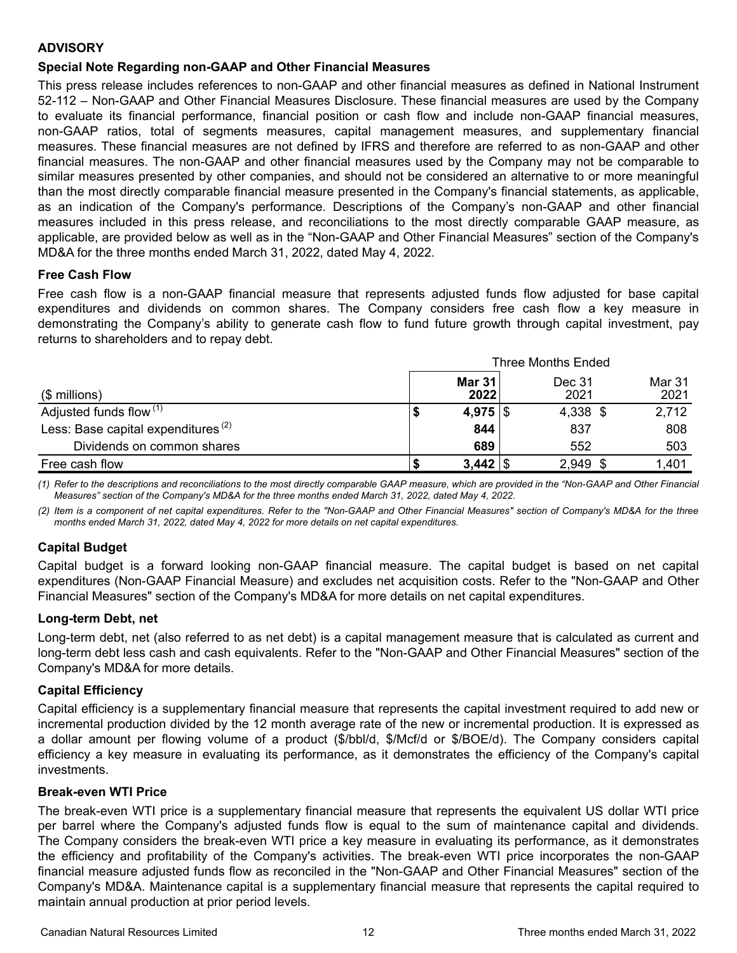## **ADVISORY**

## **Special Note Regarding non-GAAP and Other Financial Measures**

This press release includes references to non-GAAP and other financial measures as defined in National Instrument 52-112 – Non-GAAP and Other Financial Measures Disclosure. These financial measures are used by the Company to evaluate its financial performance, financial position or cash flow and include non-GAAP financial measures, non-GAAP ratios, total of segments measures, capital management measures, and supplementary financial measures. These financial measures are not defined by IFRS and therefore are referred to as non-GAAP and other financial measures. The non-GAAP and other financial measures used by the Company may not be comparable to similar measures presented by other companies, and should not be considered an alternative to or more meaningful than the most directly comparable financial measure presented in the Company's financial statements, as applicable, as an indication of the Company's performance. Descriptions of the Company's non-GAAP and other financial measures included in this press release, and reconciliations to the most directly comparable GAAP measure, as applicable, are provided below as well as in the "Non-GAAP and Other Financial Measures" section of the Company's MD&A for the three months ended March 31, 2022, dated May 4, 2022.

### **Free Cash Flow**

Free cash flow is a non-GAAP financial measure that represents adjusted funds flow adjusted for base capital expenditures and dividends on common shares. The Company considers free cash flow a key measure in demonstrating the Company's ability to generate cash flow to fund future growth through capital investment, pay returns to shareholders and to repay debt.

|                                                | <b>Three Months Ended</b> |                |        |       |  |  |  |  |
|------------------------------------------------|---------------------------|----------------|--------|-------|--|--|--|--|
| $$$ millions)                                  | <b>Mar 31</b><br>2022     | Dec 31<br>2021 | Mar 31 | 2021  |  |  |  |  |
| Adjusted funds flow <sup>(1)</sup>             | 4,975 $\frac{1}{3}$       | 4,338 \$       |        | 2,712 |  |  |  |  |
| Less: Base capital expenditures <sup>(2)</sup> | 844                       | 837            |        | 808   |  |  |  |  |
| Dividends on common shares                     | 689                       | 552            |        | 503   |  |  |  |  |
| Free cash flow                                 | $3,442$ \\$               | $2,949$ \$     |        | 1,401 |  |  |  |  |

*(1) Refer to the descriptions and reconciliations to the most directly comparable GAAP measure, which are provided in the "Non-GAAP and Other Financial Measures" section of the Company's MD&A for the three months ended March 31, 2022, dated May 4, 2022.*

*(2) Item is a component of net capital expenditures. Refer to the "Non-GAAP and Other Financial Measures" section of Company's MD&A for the three months ended March 31, 2022, dated May 4, 2022 for more details on net capital expenditures.*

## **Capital Budget**

Capital budget is a forward looking non-GAAP financial measure. The capital budget is based on net capital expenditures (Non-GAAP Financial Measure) and excludes net acquisition costs. Refer to the "Non-GAAP and Other Financial Measures" section of the Company's MD&A for more details on net capital expenditures.

### **Long-term Debt, net**

Long-term debt, net (also referred to as net debt) is a capital management measure that is calculated as current and long-term debt less cash and cash equivalents. Refer to the "Non-GAAP and Other Financial Measures" section of the Company's MD&A for more details.

### **Capital Efficiency**

Capital efficiency is a supplementary financial measure that represents the capital investment required to add new or incremental production divided by the 12 month average rate of the new or incremental production. It is expressed as a dollar amount per flowing volume of a product (\$/bbl/d, \$/Mcf/d or \$/BOE/d). The Company considers capital efficiency a key measure in evaluating its performance, as it demonstrates the efficiency of the Company's capital investments.

### **Break-even WTI Price**

The break-even WTI price is a supplementary financial measure that represents the equivalent US dollar WTI price per barrel where the Company's adjusted funds flow is equal to the sum of maintenance capital and dividends. The Company considers the break-even WTI price a key measure in evaluating its performance, as it demonstrates the efficiency and profitability of the Company's activities. The break-even WTI price incorporates the non-GAAP financial measure adjusted funds flow as reconciled in the "Non-GAAP and Other Financial Measures" section of the Company's MD&A. Maintenance capital is a supplementary financial measure that represents the capital required to maintain annual production at prior period levels.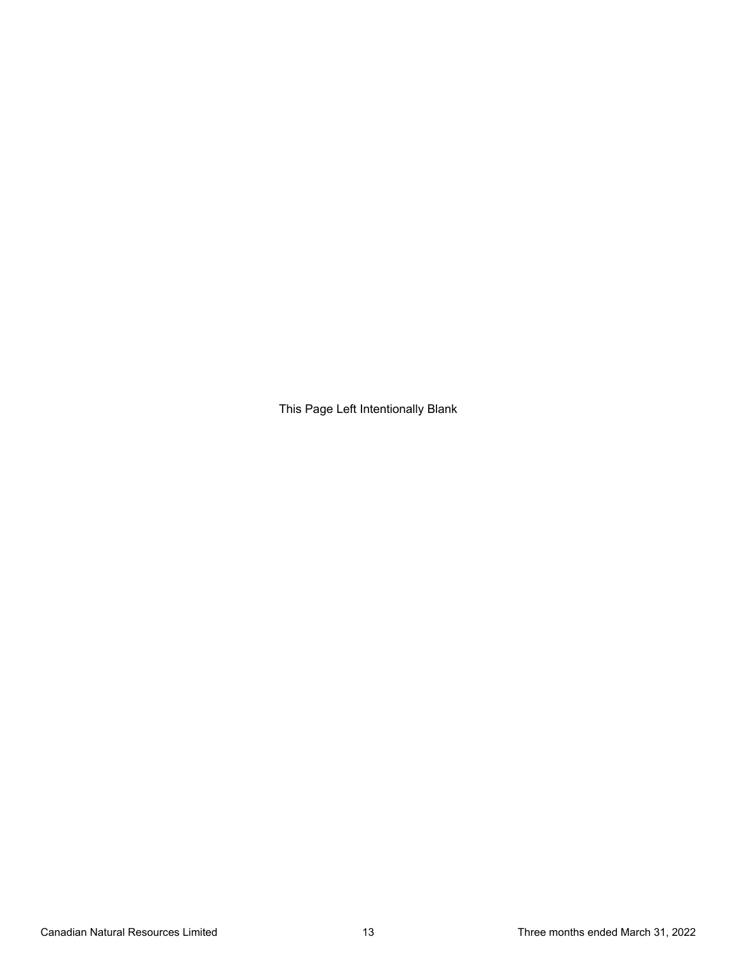This Page Left Intentionally Blank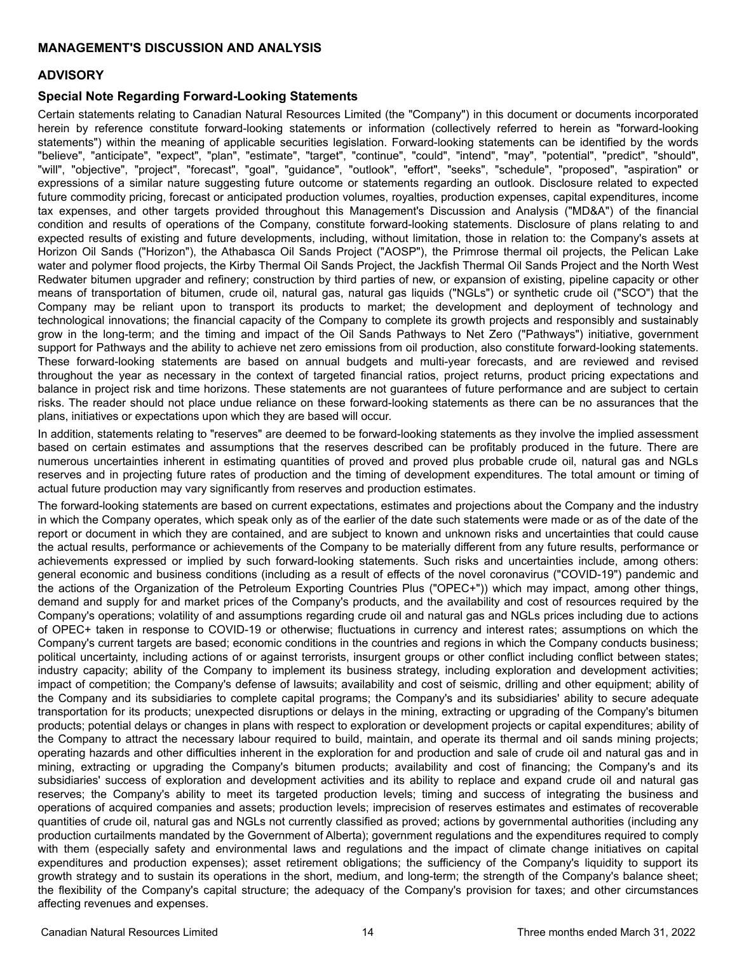#### **MANAGEMENT'S DISCUSSION AND ANALYSIS**

#### **ADVISORY**

#### **Special Note Regarding Forward-Looking Statements**

Certain statements relating to Canadian Natural Resources Limited (the "Company") in this document or documents incorporated herein by reference constitute forward-looking statements or information (collectively referred to herein as "forward-looking statements") within the meaning of applicable securities legislation. Forward-looking statements can be identified by the words "believe", "anticipate", "expect", "plan", "estimate", "target", "continue", "could", "intend", "may", "potential", "predict", "should", "will", "objective", "project", "forecast", "goal", "guidance", "outlook", "effort", "seeks", "schedule", "proposed", "aspiration" or expressions of a similar nature suggesting future outcome or statements regarding an outlook. Disclosure related to expected future commodity pricing, forecast or anticipated production volumes, royalties, production expenses, capital expenditures, income tax expenses, and other targets provided throughout this Management's Discussion and Analysis ("MD&A") of the financial condition and results of operations of the Company, constitute forward-looking statements. Disclosure of plans relating to and expected results of existing and future developments, including, without limitation, those in relation to: the Company's assets at Horizon Oil Sands ("Horizon"), the Athabasca Oil Sands Project ("AOSP"), the Primrose thermal oil projects, the Pelican Lake water and polymer flood projects, the Kirby Thermal Oil Sands Project, the Jackfish Thermal Oil Sands Project and the North West Redwater bitumen upgrader and refinery; construction by third parties of new, or expansion of existing, pipeline capacity or other means of transportation of bitumen, crude oil, natural gas, natural gas liquids ("NGLs") or synthetic crude oil ("SCO") that the Company may be reliant upon to transport its products to market; the development and deployment of technology and technological innovations; the financial capacity of the Company to complete its growth projects and responsibly and sustainably grow in the long-term; and the timing and impact of the Oil Sands Pathways to Net Zero ("Pathways") initiative, government support for Pathways and the ability to achieve net zero emissions from oil production, also constitute forward-looking statements. These forward-looking statements are based on annual budgets and multi-year forecasts, and are reviewed and revised throughout the year as necessary in the context of targeted financial ratios, project returns, product pricing expectations and balance in project risk and time horizons. These statements are not guarantees of future performance and are subject to certain risks. The reader should not place undue reliance on these forward-looking statements as there can be no assurances that the plans, initiatives or expectations upon which they are based will occur.

In addition, statements relating to "reserves" are deemed to be forward-looking statements as they involve the implied assessment based on certain estimates and assumptions that the reserves described can be profitably produced in the future. There are numerous uncertainties inherent in estimating quantities of proved and proved plus probable crude oil, natural gas and NGLs reserves and in projecting future rates of production and the timing of development expenditures. The total amount or timing of actual future production may vary significantly from reserves and production estimates.

The forward-looking statements are based on current expectations, estimates and projections about the Company and the industry in which the Company operates, which speak only as of the earlier of the date such statements were made or as of the date of the report or document in which they are contained, and are subject to known and unknown risks and uncertainties that could cause the actual results, performance or achievements of the Company to be materially different from any future results, performance or achievements expressed or implied by such forward-looking statements. Such risks and uncertainties include, among others: general economic and business conditions (including as a result of effects of the novel coronavirus ("COVID-19") pandemic and the actions of the Organization of the Petroleum Exporting Countries Plus ("OPEC+")) which may impact, among other things, demand and supply for and market prices of the Company's products, and the availability and cost of resources required by the Company's operations; volatility of and assumptions regarding crude oil and natural gas and NGLs prices including due to actions of OPEC+ taken in response to COVID-19 or otherwise; fluctuations in currency and interest rates; assumptions on which the Company's current targets are based; economic conditions in the countries and regions in which the Company conducts business; political uncertainty, including actions of or against terrorists, insurgent groups or other conflict including conflict between states; industry capacity; ability of the Company to implement its business strategy, including exploration and development activities; impact of competition; the Company's defense of lawsuits; availability and cost of seismic, drilling and other equipment; ability of the Company and its subsidiaries to complete capital programs; the Company's and its subsidiaries' ability to secure adequate transportation for its products; unexpected disruptions or delays in the mining, extracting or upgrading of the Company's bitumen products; potential delays or changes in plans with respect to exploration or development projects or capital expenditures; ability of the Company to attract the necessary labour required to build, maintain, and operate its thermal and oil sands mining projects; operating hazards and other difficulties inherent in the exploration for and production and sale of crude oil and natural gas and in mining, extracting or upgrading the Company's bitumen products; availability and cost of financing; the Company's and its subsidiaries' success of exploration and development activities and its ability to replace and expand crude oil and natural gas reserves; the Company's ability to meet its targeted production levels; timing and success of integrating the business and operations of acquired companies and assets; production levels; imprecision of reserves estimates and estimates of recoverable quantities of crude oil, natural gas and NGLs not currently classified as proved; actions by governmental authorities (including any production curtailments mandated by the Government of Alberta); government regulations and the expenditures required to comply with them (especially safety and environmental laws and regulations and the impact of climate change initiatives on capital expenditures and production expenses); asset retirement obligations; the sufficiency of the Company's liquidity to support its growth strategy and to sustain its operations in the short, medium, and long-term; the strength of the Company's balance sheet; the flexibility of the Company's capital structure; the adequacy of the Company's provision for taxes; and other circumstances affecting revenues and expenses.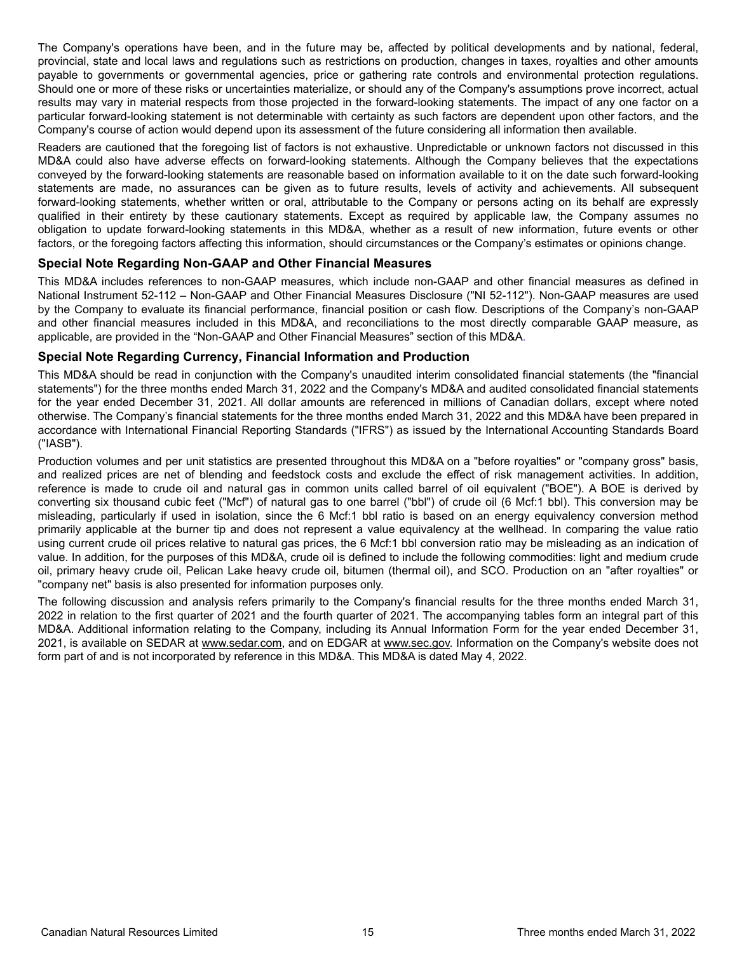The Company's operations have been, and in the future may be, affected by political developments and by national, federal, provincial, state and local laws and regulations such as restrictions on production, changes in taxes, royalties and other amounts payable to governments or governmental agencies, price or gathering rate controls and environmental protection regulations. Should one or more of these risks or uncertainties materialize, or should any of the Company's assumptions prove incorrect, actual results may vary in material respects from those projected in the forward-looking statements. The impact of any one factor on a particular forward-looking statement is not determinable with certainty as such factors are dependent upon other factors, and the Company's course of action would depend upon its assessment of the future considering all information then available.

Readers are cautioned that the foregoing list of factors is not exhaustive. Unpredictable or unknown factors not discussed in this MD&A could also have adverse effects on forward-looking statements. Although the Company believes that the expectations conveyed by the forward-looking statements are reasonable based on information available to it on the date such forward-looking statements are made, no assurances can be given as to future results, levels of activity and achievements. All subsequent forward-looking statements, whether written or oral, attributable to the Company or persons acting on its behalf are expressly qualified in their entirety by these cautionary statements. Except as required by applicable law, the Company assumes no obligation to update forward-looking statements in this MD&A, whether as a result of new information, future events or other factors, or the foregoing factors affecting this information, should circumstances or the Company's estimates or opinions change.

#### **Special Note Regarding Non-GAAP and Other Financial Measures**

This MD&A includes references to non-GAAP measures, which include non-GAAP and other financial measures as defined in National Instrument 52-112 – Non-GAAP and Other Financial Measures Disclosure ("NI 52-112"). Non-GAAP measures are used by the Company to evaluate its financial performance, financial position or cash flow. Descriptions of the Company's non-GAAP and other financial measures included in this MD&A, and reconciliations to the most directly comparable GAAP measure, as applicable, are provided in the "Non-GAAP and Other Financial Measures" section of this MD&A.

#### **Special Note Regarding Currency, Financial Information and Production**

This MD&A should be read in conjunction with the Company's unaudited interim consolidated financial statements (the "financial statements") for the three months ended March 31, 2022 and the Company's MD&A and audited consolidated financial statements for the year ended December 31, 2021. All dollar amounts are referenced in millions of Canadian dollars, except where noted otherwise. The Company's financial statements for the three months ended March 31, 2022 and this MD&A have been prepared in accordance with International Financial Reporting Standards ("IFRS") as issued by the International Accounting Standards Board ("IASB").

Production volumes and per unit statistics are presented throughout this MD&A on a "before royalties" or "company gross" basis, and realized prices are net of blending and feedstock costs and exclude the effect of risk management activities. In addition, reference is made to crude oil and natural gas in common units called barrel of oil equivalent ("BOE"). A BOE is derived by converting six thousand cubic feet ("Mcf") of natural gas to one barrel ("bbl") of crude oil (6 Mcf:1 bbl). This conversion may be misleading, particularly if used in isolation, since the 6 Mcf:1 bbl ratio is based on an energy equivalency conversion method primarily applicable at the burner tip and does not represent a value equivalency at the wellhead. In comparing the value ratio using current crude oil prices relative to natural gas prices, the 6 Mcf:1 bbl conversion ratio may be misleading as an indication of value. In addition, for the purposes of this MD&A, crude oil is defined to include the following commodities: light and medium crude oil, primary heavy crude oil, Pelican Lake heavy crude oil, bitumen (thermal oil), and SCO. Production on an "after royalties" or "company net" basis is also presented for information purposes only.

The following discussion and analysis refers primarily to the Company's financial results for the three months ended March 31, 2022 in relation to the first quarter of 2021 and the fourth quarter of 2021. The accompanying tables form an integral part of this MD&A. Additional information relating to the Company, including its Annual Information Form for the year ended December 31, 2021, is available on SEDAR at www.sedar.com, and on EDGAR at www.sec.gov. Information on the Company's website does not form part of and is not incorporated by reference in this MD&A. This MD&A is dated May 4, 2022.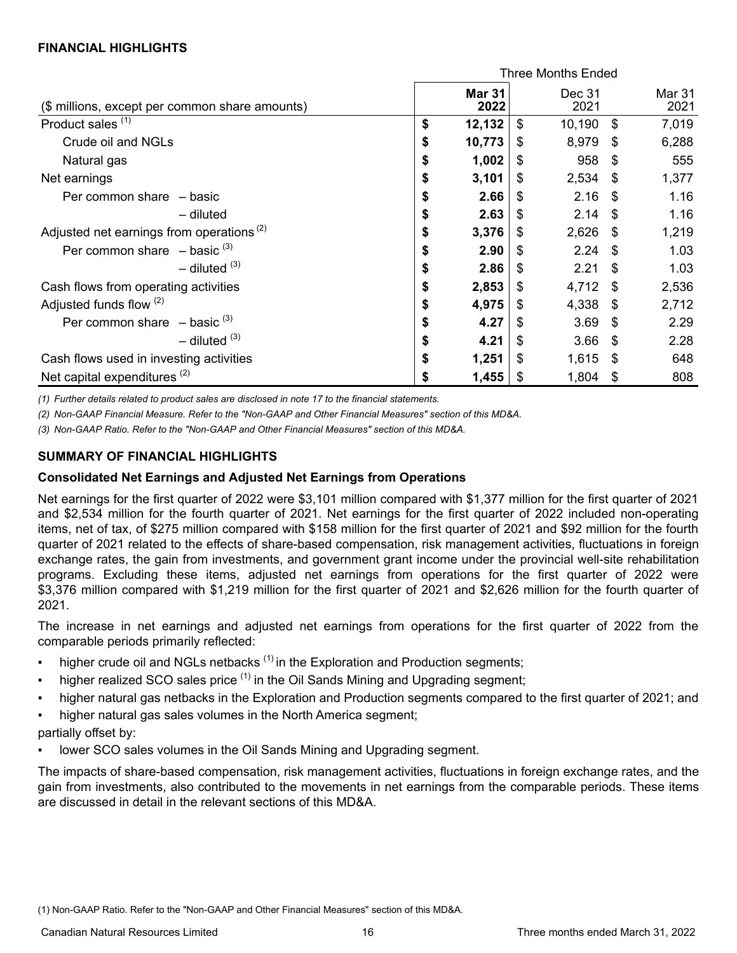### **FINANCIAL HIGHLIGHTS**

|                                                      |    | <b>Three Months Ended</b> |    |                |     |                |
|------------------------------------------------------|----|---------------------------|----|----------------|-----|----------------|
| (\$ millions, except per common share amounts)       |    | <b>Mar 31</b><br>2022     |    | Dec 31<br>2021 |     | Mar 31<br>2021 |
| Product sales <sup>(1)</sup>                         | \$ | 12,132                    | \$ | 10,190         | \$  | 7,019          |
| Crude oil and NGLs                                   | \$ | 10,773                    | \$ | 8,979          | S   | 6,288          |
| Natural gas                                          | \$ | 1,002                     | \$ | 958            | \$  | 555            |
| Net earnings                                         | \$ | 3,101                     | \$ | 2,534          | \$  | 1,377          |
| Per common share $-$ basic                           | \$ | 2.66                      | S  | 2.16           | \$  | 1.16           |
| - diluted                                            | \$ | 2.63                      | \$ | 2.14           | \$. | 1.16           |
| Adjusted net earnings from operations <sup>(2)</sup> | \$ | 3,376                     | \$ | 2,626          | \$  | 1,219          |
| Per common share $-$ basic $(3)$                     | \$ | 2.90                      | \$ | 2.24           | \$. | 1.03           |
| $-$ diluted $(3)$                                    | \$ | 2.86                      | \$ | 2.21           | \$  | 1.03           |
| Cash flows from operating activities                 | \$ | 2,853                     | \$ | 4,712          | \$. | 2,536          |
| Adjusted funds flow (2)                              | \$ | 4,975                     | \$ | 4,338          | \$  | 2,712          |
| Per common share $-$ basic $(3)$                     | \$ | 4.27                      | \$ | 3.69           | \$  | 2.29           |
| $-$ diluted $(3)$                                    | \$ | 4.21                      | \$ | 3.66           | \$  | 2.28           |
| Cash flows used in investing activities              | \$ | 1,251                     | \$ | 1,615          | \$. | 648            |
| Net capital expenditures $(2)$                       | \$ | 1,455                     | \$ | 1,804          | \$  | 808            |

*(1) Further details related to product sales are disclosed in note 17 to the financial statements.*

*(2) Non-GAAP Financial Measure. Refer to the "Non-GAAP and Other Financial Measures" section of this MD&A.*

*(3) Non-GAAP Ratio. Refer to the "Non-GAAP and Other Financial Measures" section of this MD&A.*

## **SUMMARY OF FINANCIAL HIGHLIGHTS**

### **Consolidated Net Earnings and Adjusted Net Earnings from Operations**

Net earnings for the first quarter of 2022 were \$3,101 million compared with \$1,377 million for the first quarter of 2021 and \$2,534 million for the fourth quarter of 2021. Net earnings for the first quarter of 2022 included non-operating items, net of tax, of \$275 million compared with \$158 million for the first quarter of 2021 and \$92 million for the fourth quarter of 2021 related to the effects of share-based compensation, risk management activities, fluctuations in foreign exchange rates, the gain from investments, and government grant income under the provincial well-site rehabilitation programs. Excluding these items, adjusted net earnings from operations for the first quarter of 2022 were \$3,376 million compared with \$1,219 million for the first quarter of 2021 and \$2,626 million for the fourth quarter of 2021.

The increase in net earnings and adjusted net earnings from operations for the first quarter of 2022 from the comparable periods primarily reflected:

- higher crude oil and NGLs netbacks<sup>(1)</sup> in the Exploration and Production segments;
- higher realized SCO sales price  $(1)$  in the Oil Sands Mining and Upgrading segment;
- higher natural gas netbacks in the Exploration and Production segments compared to the first quarter of 2021; and
- higher natural gas sales volumes in the North America segment;
- partially offset by:
- lower SCO sales volumes in the Oil Sands Mining and Upgrading segment.

The impacts of share-based compensation, risk management activities, fluctuations in foreign exchange rates, and the gain from investments, also contributed to the movements in net earnings from the comparable periods. These items are discussed in detail in the relevant sections of this MD&A.

<sup>(1)</sup> Non-GAAP Ratio. Refer to the "Non-GAAP and Other Financial Measures" section of this MD&A.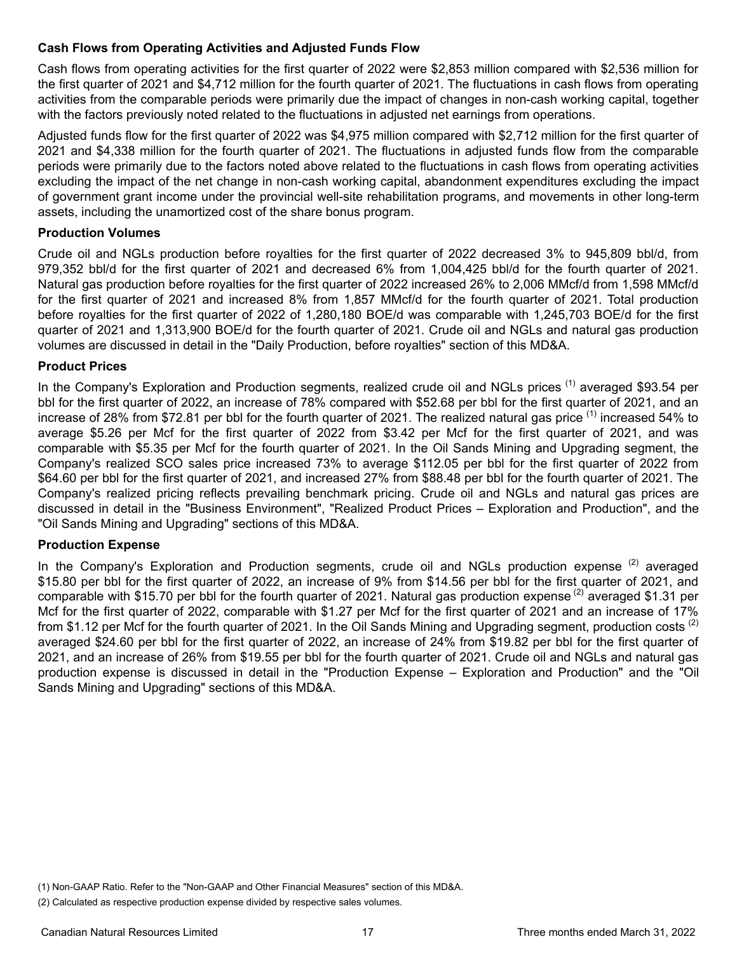## **Cash Flows from Operating Activities and Adjusted Funds Flow**

Cash flows from operating activities for the first quarter of 2022 were \$2,853 million compared with \$2,536 million for the first quarter of 2021 and \$4,712 million for the fourth quarter of 2021. The fluctuations in cash flows from operating activities from the comparable periods were primarily due the impact of changes in non-cash working capital, together with the factors previously noted related to the fluctuations in adjusted net earnings from operations.

Adjusted funds flow for the first quarter of 2022 was \$4,975 million compared with \$2,712 million for the first quarter of 2021 and \$4,338 million for the fourth quarter of 2021. The fluctuations in adjusted funds flow from the comparable periods were primarily due to the factors noted above related to the fluctuations in cash flows from operating activities excluding the impact of the net change in non-cash working capital, abandonment expenditures excluding the impact of government grant income under the provincial well-site rehabilitation programs, and movements in other long-term assets, including the unamortized cost of the share bonus program.

## **Production Volumes**

Crude oil and NGLs production before royalties for the first quarter of 2022 decreased 3% to 945,809 bbl/d, from 979,352 bbl/d for the first quarter of 2021 and decreased 6% from 1,004,425 bbl/d for the fourth quarter of 2021. Natural gas production before royalties for the first quarter of 2022 increased 26% to 2,006 MMcf/d from 1,598 MMcf/d for the first quarter of 2021 and increased 8% from 1,857 MMcf/d for the fourth quarter of 2021. Total production before royalties for the first quarter of 2022 of 1,280,180 BOE/d was comparable with 1,245,703 BOE/d for the first quarter of 2021 and 1,313,900 BOE/d for the fourth quarter of 2021. Crude oil and NGLs and natural gas production volumes are discussed in detail in the "Daily Production, before royalties" section of this MD&A.

## **Product Prices**

In the Company's Exploration and Production segments, realized crude oil and NGLs prices <sup>(1)</sup> averaged \$93.54 per bbl for the first quarter of 2022, an increase of 78% compared with \$52.68 per bbl for the first quarter of 2021, and an increase of 28% from \$72.81 per bbl for the fourth quarter of 2021. The realized natural gas price <sup>(1)</sup> increased 54% to average \$5.26 per Mcf for the first quarter of 2022 from \$3.42 per Mcf for the first quarter of 2021, and was comparable with \$5.35 per Mcf for the fourth quarter of 2021. In the Oil Sands Mining and Upgrading segment, the Company's realized SCO sales price increased 73% to average \$112.05 per bbl for the first quarter of 2022 from \$64.60 per bbl for the first quarter of 2021, and increased 27% from \$88.48 per bbl for the fourth quarter of 2021. The Company's realized pricing reflects prevailing benchmark pricing. Crude oil and NGLs and natural gas prices are discussed in detail in the "Business Environment", "Realized Product Prices – Exploration and Production", and the "Oil Sands Mining and Upgrading" sections of this MD&A.

### **Production Expense**

In the Company's Exploration and Production segments, crude oil and NGLs production expense  $(2)$  averaged \$15.80 per bbl for the first quarter of 2022, an increase of 9% from \$14.56 per bbl for the first quarter of 2021, and comparable with \$15.70 per bbl for the fourth quarter of 2021. Natural gas production expense  $(2)$  averaged \$1.31 per Mcf for the first quarter of 2022, comparable with \$1.27 per Mcf for the first quarter of 2021 and an increase of 17% from \$1.12 per Mcf for the fourth quarter of 2021. In the Oil Sands Mining and Upgrading segment, production costs <sup>(2)</sup> averaged \$24.60 per bbl for the first quarter of 2022, an increase of 24% from \$19.82 per bbl for the first quarter of 2021, and an increase of 26% from \$19.55 per bbl for the fourth quarter of 2021. Crude oil and NGLs and natural gas production expense is discussed in detail in the "Production Expense – Exploration and Production" and the "Oil Sands Mining and Upgrading" sections of this MD&A.

<sup>(1)</sup> Non-GAAP Ratio. Refer to the "Non-GAAP and Other Financial Measures" section of this MD&A.

<sup>(2)</sup> Calculated as respective production expense divided by respective sales volumes.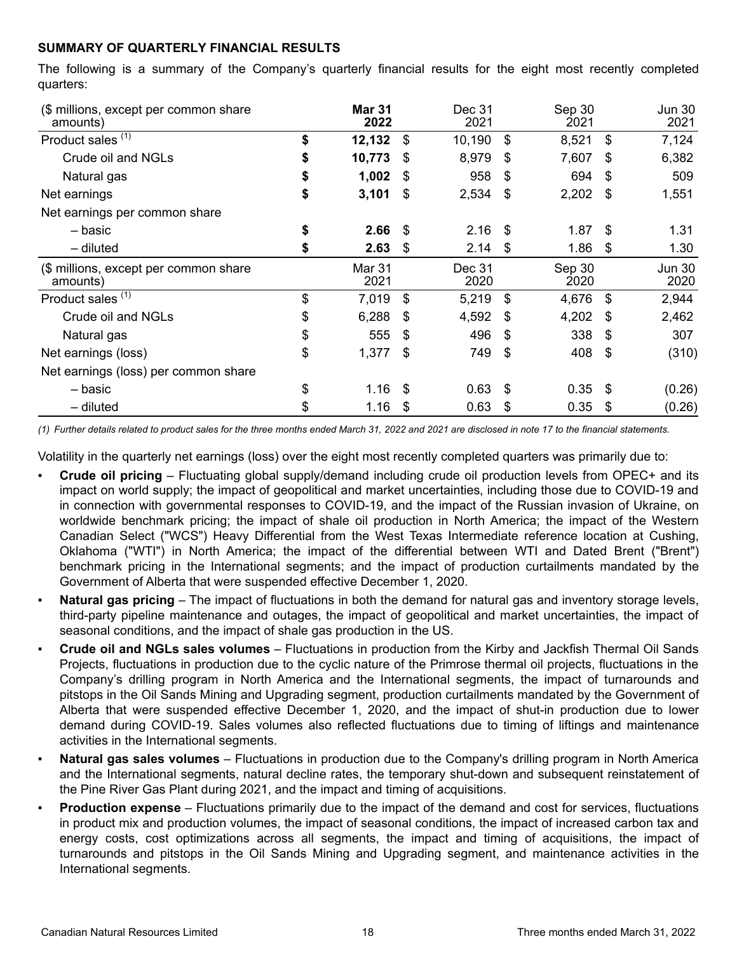### **SUMMARY OF QUARTERLY FINANCIAL RESULTS**

The following is a summary of the Company's quarterly financial results for the eight most recently completed quarters:

| (\$ millions, except per common share<br>amounts) |    | <b>Mar 31</b><br>2022 |     | Dec 31<br>2021 |     | Sep 30<br>2021 |     | <b>Jun 30</b><br>2021 |
|---------------------------------------------------|----|-----------------------|-----|----------------|-----|----------------|-----|-----------------------|
| Product sales <sup>(1)</sup>                      | \$ | 12,132                | \$  | 10,190         | \$  | 8,521          | \$  | 7,124                 |
| Crude oil and NGLs                                | \$ | 10,773                | S   | 8,979          | \$  | 7,607          | \$  | 6,382                 |
| Natural gas                                       | \$ | 1,002                 | S   | 958            | \$  | 694            | \$  | 509                   |
| Net earnings                                      | \$ | 3,101                 | \$  | 2,534          | \$  | 2,202          | \$  | 1,551                 |
| Net earnings per common share                     |    |                       |     |                |     |                |     |                       |
| – basic                                           | S  | 2.66                  | S   | 2.16           | \$  | 1.87           | \$  | 1.31                  |
| - diluted                                         | S  | 2.63                  | \$  | 2.14           | -\$ | 1.86           | \$  | 1.30                  |
| (\$ millions, except per common share<br>amounts) |    | Mar 31<br>2021        |     | Dec 31<br>2020 |     | Sep 30<br>2020 |     | <b>Jun 30</b><br>2020 |
| Product sales <sup>(1)</sup>                      | \$ | 7,019                 | \$  | 5,219          | -\$ | 4,676          | \$  | 2,944                 |
| Crude oil and NGLs                                | \$ | 6,288                 | S   | 4,592          | S   | 4,202          | \$  | 2,462                 |
| Natural gas                                       | \$ | 555                   | S   | 496            | \$  | 338            | \$  | 307                   |
| Net earnings (loss)                               | \$ | 1,377                 | \$  | 749            | \$  | 408            | \$  | (310)                 |
| Net earnings (loss) per common share              |    |                       |     |                |     |                |     |                       |
| – basic                                           | \$ | 1.16                  | -\$ | 0.63           | -\$ | 0.35           | -\$ | (0.26)                |
| - diluted                                         | \$ | 1.16                  | \$  | 0.63           | \$  | 0.35           | \$  | (0.26)                |

*(1) Further details related to product sales for the three months ended March 31, 2022 and 2021 are disclosed in note 17 to the financial statements.*

Volatility in the quarterly net earnings (loss) over the eight most recently completed quarters was primarily due to:

- **Crude oil pricing** Fluctuating global supply/demand including crude oil production levels from OPEC+ and its impact on world supply; the impact of geopolitical and market uncertainties, including those due to COVID-19 and in connection with governmental responses to COVID-19, and the impact of the Russian invasion of Ukraine, on worldwide benchmark pricing; the impact of shale oil production in North America; the impact of the Western Canadian Select ("WCS") Heavy Differential from the West Texas Intermediate reference location at Cushing, Oklahoma ("WTI") in North America; the impact of the differential between WTI and Dated Brent ("Brent") benchmark pricing in the International segments; and the impact of production curtailments mandated by the Government of Alberta that were suspended effective December 1, 2020.
- **Natural gas pricing** The impact of fluctuations in both the demand for natural gas and inventory storage levels, third-party pipeline maintenance and outages, the impact of geopolitical and market uncertainties, the impact of seasonal conditions, and the impact of shale gas production in the US.
- **Crude oil and NGLs sales volumes** Fluctuations in production from the Kirby and Jackfish Thermal Oil Sands Projects, fluctuations in production due to the cyclic nature of the Primrose thermal oil projects, fluctuations in the Company's drilling program in North America and the International segments, the impact of turnarounds and pitstops in the Oil Sands Mining and Upgrading segment, production curtailments mandated by the Government of Alberta that were suspended effective December 1, 2020, and the impact of shut-in production due to lower demand during COVID-19. Sales volumes also reflected fluctuations due to timing of liftings and maintenance activities in the International segments.
- **Natural gas sales volumes** Fluctuations in production due to the Company's drilling program in North America and the International segments, natural decline rates, the temporary shut-down and subsequent reinstatement of the Pine River Gas Plant during 2021, and the impact and timing of acquisitions.
- **Production expense** Fluctuations primarily due to the impact of the demand and cost for services, fluctuations in product mix and production volumes, the impact of seasonal conditions, the impact of increased carbon tax and energy costs, cost optimizations across all segments, the impact and timing of acquisitions, the impact of turnarounds and pitstops in the Oil Sands Mining and Upgrading segment, and maintenance activities in the International segments.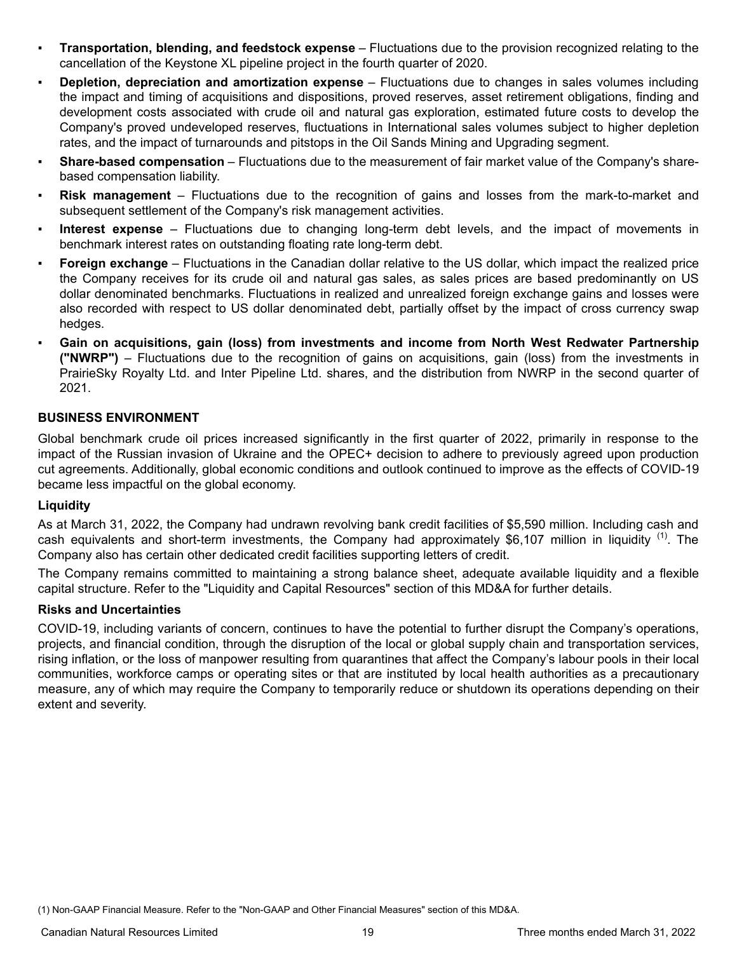- **Transportation, blending, and feedstock expense** Fluctuations due to the provision recognized relating to the cancellation of the Keystone XL pipeline project in the fourth quarter of 2020.
- **Depletion, depreciation and amortization expense** Fluctuations due to changes in sales volumes including the impact and timing of acquisitions and dispositions, proved reserves, asset retirement obligations, finding and development costs associated with crude oil and natural gas exploration, estimated future costs to develop the Company's proved undeveloped reserves, fluctuations in International sales volumes subject to higher depletion rates, and the impact of turnarounds and pitstops in the Oil Sands Mining and Upgrading segment.
- **Share-based compensation** Fluctuations due to the measurement of fair market value of the Company's sharebased compensation liability.
- **Risk management** Fluctuations due to the recognition of gains and losses from the mark-to-market and subsequent settlement of the Company's risk management activities.
- **Interest expense** Fluctuations due to changing long-term debt levels, and the impact of movements in benchmark interest rates on outstanding floating rate long-term debt.
- **Foreign exchange** Fluctuations in the Canadian dollar relative to the US dollar, which impact the realized price the Company receives for its crude oil and natural gas sales, as sales prices are based predominantly on US dollar denominated benchmarks. Fluctuations in realized and unrealized foreign exchange gains and losses were also recorded with respect to US dollar denominated debt, partially offset by the impact of cross currency swap hedges.
- Gain on acquisitions, gain (loss) from investments and income from North West Redwater Partnership **("NWRP")** – Fluctuations due to the recognition of gains on acquisitions, gain (loss) from the investments in PrairieSky Royalty Ltd. and Inter Pipeline Ltd. shares, and the distribution from NWRP in the second quarter of 2021.

### **BUSINESS ENVIRONMENT**

Global benchmark crude oil prices increased significantly in the first quarter of 2022, primarily in response to the impact of the Russian invasion of Ukraine and the OPEC+ decision to adhere to previously agreed upon production cut agreements. Additionally, global economic conditions and outlook continued to improve as the effects of COVID-19 became less impactful on the global economy.

### **Liquidity**

As at March 31, 2022, the Company had undrawn revolving bank credit facilities of \$5,590 million. Including cash and cash equivalents and short-term investments, the Company had approximately \$6,107 million in liquidity  $(1)$ . The Company also has certain other dedicated credit facilities supporting letters of credit.

The Company remains committed to maintaining a strong balance sheet, adequate available liquidity and a flexible capital structure. Refer to the "Liquidity and Capital Resources" section of this MD&A for further details.

### **Risks and Uncertainties**

COVID-19, including variants of concern, continues to have the potential to further disrupt the Company's operations, projects, and financial condition, through the disruption of the local or global supply chain and transportation services, rising inflation, or the loss of manpower resulting from quarantines that affect the Company's labour pools in their local communities, workforce camps or operating sites or that are instituted by local health authorities as a precautionary measure, any of which may require the Company to temporarily reduce or shutdown its operations depending on their extent and severity.

(1) Non-GAAP Financial Measure. Refer to the "Non-GAAP and Other Financial Measures" section of this MD&A.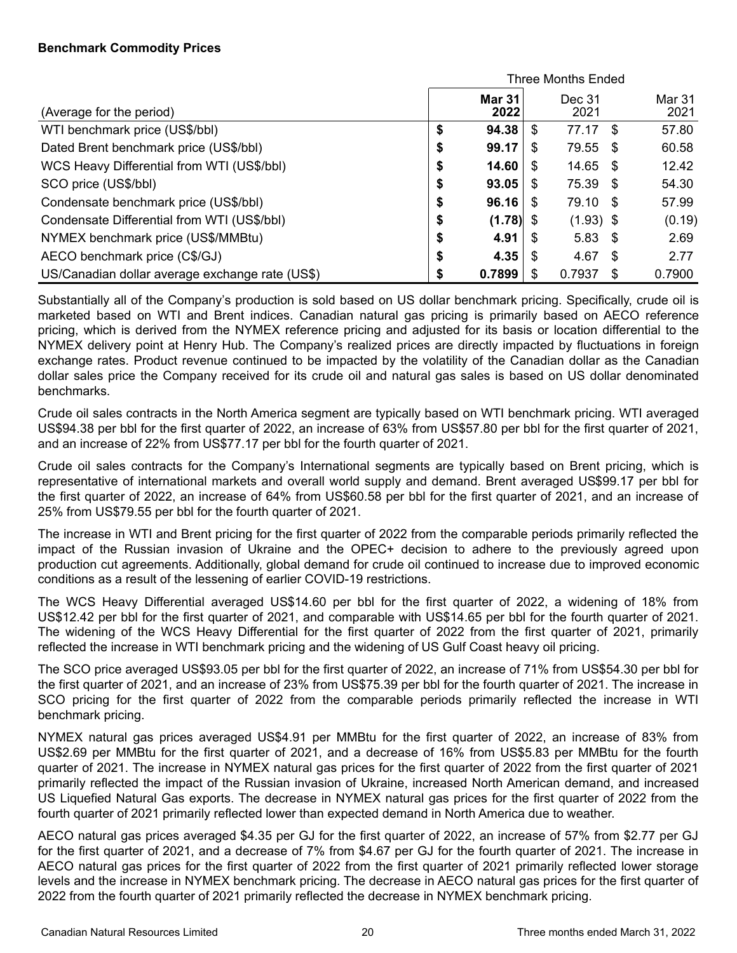### **Benchmark Commodity Prices**

|                                                 | Three Months Ended |                       |     |                |     |                |  |  |  |
|-------------------------------------------------|--------------------|-----------------------|-----|----------------|-----|----------------|--|--|--|
| (Average for the period)                        |                    | <b>Mar 31</b><br>2022 |     | Dec 31<br>2021 |     | Mar 31<br>2021 |  |  |  |
| WTI benchmark price (US\$/bbl)                  | \$                 | 94.38                 | \$. | 77.17          | -S  | 57.80          |  |  |  |
| Dated Brent benchmark price (US\$/bbl)          | \$                 | 99.17                 | S   | 79.55          | \$. | 60.58          |  |  |  |
| WCS Heavy Differential from WTI (US\$/bbl)      | \$                 | 14.60                 | \$  | 14.65          | -S  | 12.42          |  |  |  |
| SCO price (US\$/bbl)                            | \$                 | 93.05                 | S   | 75.39 \$       |     | 54.30          |  |  |  |
| Condensate benchmark price (US\$/bbl)           | \$                 | 96.16                 | S   | 79.10 \$       |     | 57.99          |  |  |  |
| Condensate Differential from WTI (US\$/bbl)     | \$                 | (1.78)                | S.  | $(1.93)$ \$    |     | (0.19)         |  |  |  |
| NYMEX benchmark price (US\$/MMBtu)              | \$                 | 4.91                  | S   | $5.83$ \$      |     | 2.69           |  |  |  |
| AECO benchmark price (C\$/GJ)                   | \$                 | 4.35                  | S   | 4.67           | S   | 2.77           |  |  |  |
| US/Canadian dollar average exchange rate (US\$) |                    | 0.7899                | S   | 0.7937         | S   | 0.7900         |  |  |  |

Substantially all of the Company's production is sold based on US dollar benchmark pricing. Specifically, crude oil is marketed based on WTI and Brent indices. Canadian natural gas pricing is primarily based on AECO reference pricing, which is derived from the NYMEX reference pricing and adjusted for its basis or location differential to the NYMEX delivery point at Henry Hub. The Company's realized prices are directly impacted by fluctuations in foreign exchange rates. Product revenue continued to be impacted by the volatility of the Canadian dollar as the Canadian dollar sales price the Company received for its crude oil and natural gas sales is based on US dollar denominated benchmarks.

Crude oil sales contracts in the North America segment are typically based on WTI benchmark pricing. WTI averaged US\$94.38 per bbl for the first quarter of 2022, an increase of 63% from US\$57.80 per bbl for the first quarter of 2021, and an increase of 22% from US\$77.17 per bbl for the fourth quarter of 2021.

Crude oil sales contracts for the Company's International segments are typically based on Brent pricing, which is representative of international markets and overall world supply and demand. Brent averaged US\$99.17 per bbl for the first quarter of 2022, an increase of 64% from US\$60.58 per bbl for the first quarter of 2021, and an increase of 25% from US\$79.55 per bbl for the fourth quarter of 2021.

The increase in WTI and Brent pricing for the first quarter of 2022 from the comparable periods primarily reflected the impact of the Russian invasion of Ukraine and the OPEC+ decision to adhere to the previously agreed upon production cut agreements. Additionally, global demand for crude oil continued to increase due to improved economic conditions as a result of the lessening of earlier COVID-19 restrictions.

The WCS Heavy Differential averaged US\$14.60 per bbl for the first quarter of 2022, a widening of 18% from US\$12.42 per bbl for the first quarter of 2021, and comparable with US\$14.65 per bbl for the fourth quarter of 2021. The widening of the WCS Heavy Differential for the first quarter of 2022 from the first quarter of 2021, primarily reflected the increase in WTI benchmark pricing and the widening of US Gulf Coast heavy oil pricing.

The SCO price averaged US\$93.05 per bbl for the first quarter of 2022, an increase of 71% from US\$54.30 per bbl for the first quarter of 2021, and an increase of 23% from US\$75.39 per bbl for the fourth quarter of 2021. The increase in SCO pricing for the first quarter of 2022 from the comparable periods primarily reflected the increase in WTI benchmark pricing.

NYMEX natural gas prices averaged US\$4.91 per MMBtu for the first quarter of 2022, an increase of 83% from US\$2.69 per MMBtu for the first quarter of 2021, and a decrease of 16% from US\$5.83 per MMBtu for the fourth quarter of 2021. The increase in NYMEX natural gas prices for the first quarter of 2022 from the first quarter of 2021 primarily reflected the impact of the Russian invasion of Ukraine, increased North American demand, and increased US Liquefied Natural Gas exports. The decrease in NYMEX natural gas prices for the first quarter of 2022 from the fourth quarter of 2021 primarily reflected lower than expected demand in North America due to weather.

AECO natural gas prices averaged \$4.35 per GJ for the first quarter of 2022, an increase of 57% from \$2.77 per GJ for the first quarter of 2021, and a decrease of 7% from \$4.67 per GJ for the fourth quarter of 2021. The increase in AECO natural gas prices for the first quarter of 2022 from the first quarter of 2021 primarily reflected lower storage levels and the increase in NYMEX benchmark pricing. The decrease in AECO natural gas prices for the first quarter of 2022 from the fourth quarter of 2021 primarily reflected the decrease in NYMEX benchmark pricing.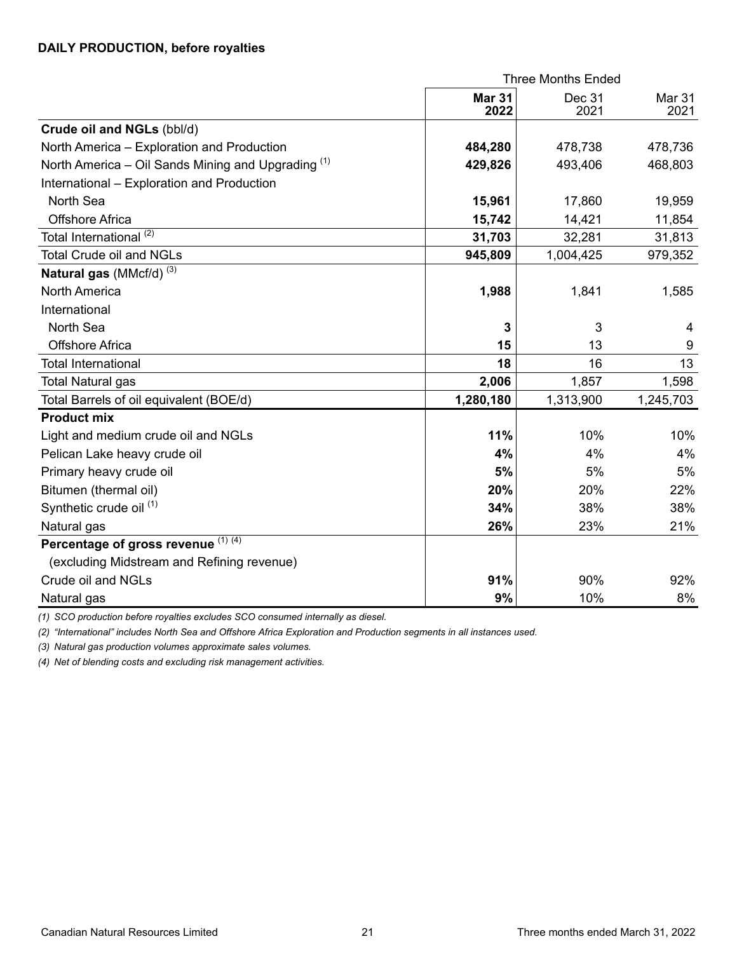### **DAILY PRODUCTION, before royalties**

|                                                    | <b>Three Months Ended</b> |                |                       |
|----------------------------------------------------|---------------------------|----------------|-----------------------|
|                                                    | <b>Mar 31</b><br>2022     | Dec 31<br>2021 | <b>Mar 31</b><br>2021 |
| Crude oil and NGLs (bbl/d)                         |                           |                |                       |
| North America - Exploration and Production         | 484,280                   | 478,738        | 478,736               |
| North America – Oil Sands Mining and Upgrading (1) | 429,826                   | 493,406        | 468,803               |
| International - Exploration and Production         |                           |                |                       |
| North Sea                                          | 15,961                    | 17,860         | 19,959                |
| Offshore Africa                                    | 15,742                    | 14,421         | 11,854                |
| Total International (2)                            | 31,703                    | 32,281         | 31,813                |
| <b>Total Crude oil and NGLs</b>                    | 945,809                   | 1,004,425      | 979,352               |
| Natural gas (MMcf/d) <sup>(3)</sup>                |                           |                |                       |
| <b>North America</b>                               | 1,988                     | 1,841          | 1,585                 |
| International                                      |                           |                |                       |
| North Sea                                          | 3                         | 3              | 4                     |
| Offshore Africa                                    | 15                        | 13             | 9                     |
| <b>Total International</b>                         | 18                        | 16             | 13                    |
| <b>Total Natural gas</b>                           | 2,006                     | 1,857          | 1,598                 |
| Total Barrels of oil equivalent (BOE/d)            | 1,280,180                 | 1,313,900      | 1,245,703             |
| <b>Product mix</b>                                 |                           |                |                       |
| Light and medium crude oil and NGLs                | 11%                       | 10%            | 10%                   |
| Pelican Lake heavy crude oil                       | 4%                        | 4%             | 4%                    |
| Primary heavy crude oil                            | 5%                        | 5%             | 5%                    |
| Bitumen (thermal oil)                              | 20%                       | 20%            | 22%                   |
| Synthetic crude oil (1)                            | 34%                       | 38%            | 38%                   |
| Natural gas                                        | 26%                       | 23%            | 21%                   |
| Percentage of gross revenue (1) (4)                |                           |                |                       |
| (excluding Midstream and Refining revenue)         |                           |                |                       |
| Crude oil and NGLs                                 | 91%                       | 90%            | 92%                   |
| Natural gas                                        | 9%                        | 10%            | 8%                    |

*(1) SCO production before royalties excludes SCO consumed internally as diesel.*

*(2) "International" includes North Sea and Offshore Africa Exploration and Production segments in all instances used.*

*(3) Natural gas production volumes approximate sales volumes.*

*(4) Net of blending costs and excluding risk management activities.*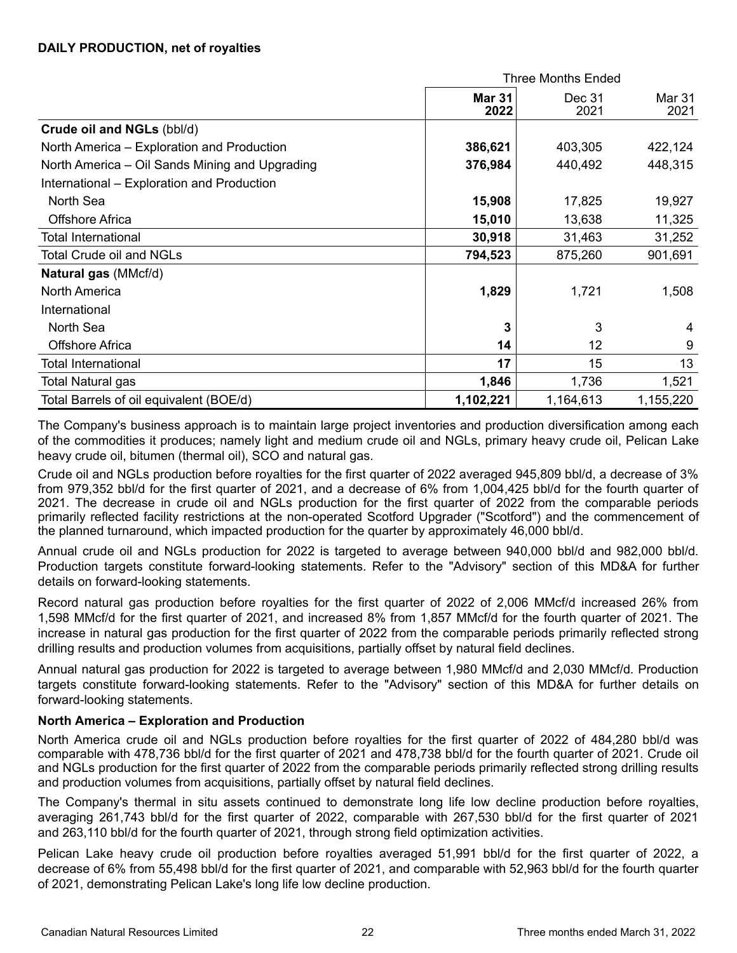|                                                | <b>Three Months Ended</b> |                |                |  |  |  |
|------------------------------------------------|---------------------------|----------------|----------------|--|--|--|
|                                                | <b>Mar 31</b><br>2022     | Dec 31<br>2021 | Mar 31<br>2021 |  |  |  |
| Crude oil and NGLs (bbl/d)                     |                           |                |                |  |  |  |
| North America – Exploration and Production     | 386,621                   | 403,305        | 422,124        |  |  |  |
| North America – Oil Sands Mining and Upgrading | 376,984                   | 440,492        | 448,315        |  |  |  |
| International - Exploration and Production     |                           |                |                |  |  |  |
| North Sea                                      | 15,908                    | 17,825         | 19,927         |  |  |  |
| Offshore Africa                                | 15,010                    | 13,638         | 11,325         |  |  |  |
| Total International                            | 30,918                    | 31,463         | 31,252         |  |  |  |
| Total Crude oil and NGLs                       | 794,523                   | 875,260        | 901,691        |  |  |  |
| <b>Natural gas (MMcf/d)</b>                    |                           |                |                |  |  |  |
| North America                                  | 1,829                     | 1,721          | 1,508          |  |  |  |
| International                                  |                           |                |                |  |  |  |
| North Sea                                      | 3                         | 3              | 4              |  |  |  |
| Offshore Africa                                | 14                        | 12             | 9              |  |  |  |
| <b>Total International</b>                     | 17                        | 15             | 13             |  |  |  |
| Total Natural gas                              | 1,846                     | 1,736          | 1,521          |  |  |  |
| Total Barrels of oil equivalent (BOE/d)        | 1,102,221                 | 1,164,613      | 1,155,220      |  |  |  |

The Company's business approach is to maintain large project inventories and production diversification among each of the commodities it produces; namely light and medium crude oil and NGLs, primary heavy crude oil, Pelican Lake heavy crude oil, bitumen (thermal oil), SCO and natural gas.

Crude oil and NGLs production before royalties for the first quarter of 2022 averaged 945,809 bbl/d, a decrease of 3% from 979,352 bbl/d for the first quarter of 2021, and a decrease of 6% from 1,004,425 bbl/d for the fourth quarter of 2021. The decrease in crude oil and NGLs production for the first quarter of 2022 from the comparable periods primarily reflected facility restrictions at the non-operated Scotford Upgrader ("Scotford") and the commencement of the planned turnaround, which impacted production for the quarter by approximately 46,000 bbl/d.

Annual crude oil and NGLs production for 2022 is targeted to average between 940,000 bbl/d and 982,000 bbl/d. Production targets constitute forward-looking statements. Refer to the "Advisory" section of this MD&A for further details on forward-looking statements.

Record natural gas production before royalties for the first quarter of 2022 of 2,006 MMcf/d increased 26% from 1,598 MMcf/d for the first quarter of 2021, and increased 8% from 1,857 MMcf/d for the fourth quarter of 2021. The increase in natural gas production for the first quarter of 2022 from the comparable periods primarily reflected strong drilling results and production volumes from acquisitions, partially offset by natural field declines.

Annual natural gas production for 2022 is targeted to average between 1,980 MMcf/d and 2,030 MMcf/d. Production targets constitute forward-looking statements. Refer to the "Advisory" section of this MD&A for further details on forward-looking statements.

## **North America – Exploration and Production**

North America crude oil and NGLs production before royalties for the first quarter of 2022 of 484,280 bbl/d was comparable with 478,736 bbl/d for the first quarter of 2021 and 478,738 bbl/d for the fourth quarter of 2021. Crude oil and NGLs production for the first quarter of 2022 from the comparable periods primarily reflected strong drilling results and production volumes from acquisitions, partially offset by natural field declines.

The Company's thermal in situ assets continued to demonstrate long life low decline production before royalties, averaging 261,743 bbl/d for the first quarter of 2022, comparable with 267,530 bbl/d for the first quarter of 2021 and 263,110 bbl/d for the fourth quarter of 2021, through strong field optimization activities.

Pelican Lake heavy crude oil production before royalties averaged 51,991 bbl/d for the first quarter of 2022, a decrease of 6% from 55,498 bbl/d for the first quarter of 2021, and comparable with 52,963 bbl/d for the fourth quarter of 2021, demonstrating Pelican Lake's long life low decline production.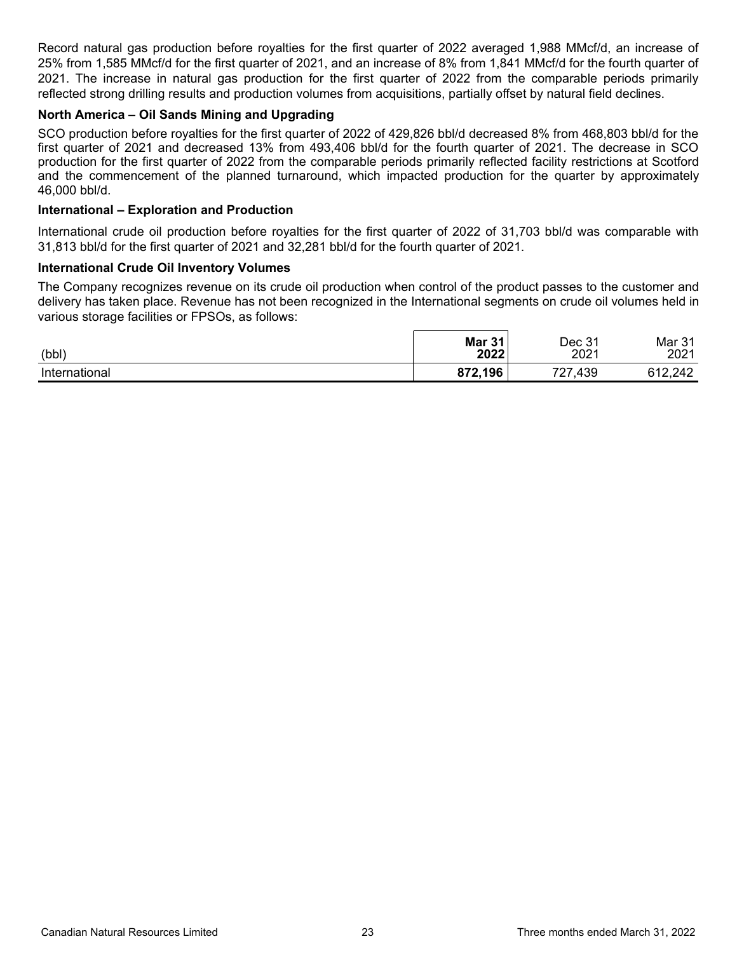Record natural gas production before royalties for the first quarter of 2022 averaged 1,988 MMcf/d, an increase of 25% from 1,585 MMcf/d for the first quarter of 2021, and an increase of 8% from 1,841 MMcf/d for the fourth quarter of 2021. The increase in natural gas production for the first quarter of 2022 from the comparable periods primarily reflected strong drilling results and production volumes from acquisitions, partially offset by natural field declines.

### **North America – Oil Sands Mining and Upgrading**

SCO production before royalties for the first quarter of 2022 of 429,826 bbl/d decreased 8% from 468,803 bbl/d for the first quarter of 2021 and decreased 13% from 493,406 bbl/d for the fourth quarter of 2021. The decrease in SCO production for the first quarter of 2022 from the comparable periods primarily reflected facility restrictions at Scotford and the commencement of the planned turnaround, which impacted production for the quarter by approximately 46,000 bbl/d.

#### **International – Exploration and Production**

International crude oil production before royalties for the first quarter of 2022 of 31,703 bbl/d was comparable with 31,813 bbl/d for the first quarter of 2021 and 32,281 bbl/d for the fourth quarter of 2021.

#### **International Crude Oil Inventory Volumes**

The Company recognizes revenue on its crude oil production when control of the product passes to the customer and delivery has taken place. Revenue has not been recognized in the International segments on crude oil volumes held in various storage facilities or FPSOs, as follows:

| (bb)          | Mar 31<br>2022 | Dec $3'$<br>$202^*$ | Mar 31<br>2021  |
|---------------|----------------|---------------------|-----------------|
| International | 872,196        | 439,<br>ラヘラ<br>∼    | 612,242<br>0.10 |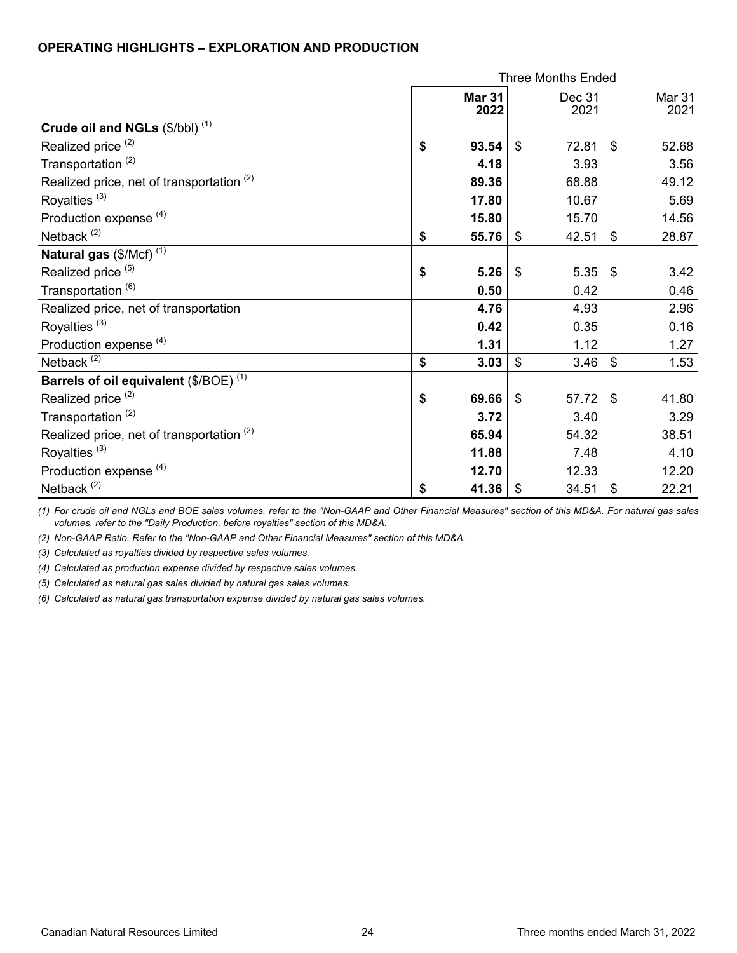### **OPERATING HIGHLIGHTS – EXPLORATION AND PRODUCTION**

|                                                      | <b>Three Months Ended</b> |                       |    |                |                |                |
|------------------------------------------------------|---------------------------|-----------------------|----|----------------|----------------|----------------|
|                                                      |                           | <b>Mar 31</b><br>2022 |    | Dec 31<br>2021 |                | Mar 31<br>2021 |
| Crude oil and NGLs (\$/bbl) (1)                      |                           |                       |    |                |                |                |
| Realized price <sup>(2)</sup>                        | \$                        | 93.54                 | \$ | 72.81          | \$             | 52.68          |
| Transportation <sup>(2)</sup>                        |                           | 4.18                  |    | 3.93           |                | 3.56           |
| Realized price, net of transportation <sup>(2)</sup> |                           | 89.36                 |    | 68.88          |                | 49.12          |
| Royalties <sup>(3)</sup>                             |                           | 17.80                 |    | 10.67          |                | 5.69           |
| Production expense <sup>(4)</sup>                    |                           | 15.80                 |    | 15.70          |                | 14.56          |
| Netback $\overline{^{(2)}}$                          | \$                        | 55.76                 | \$ | 42.51          | $\mathfrak{S}$ | 28.87          |
| Natural gas (\$/Mcf) <sup>(1)</sup>                  |                           |                       |    |                |                |                |
| Realized price <sup>(5)</sup>                        | \$                        | 5.26                  | \$ | 5.35           | \$             | 3.42           |
| Transportation <sup>(6)</sup>                        |                           | 0.50                  |    | 0.42           |                | 0.46           |
| Realized price, net of transportation                |                           | 4.76                  |    | 4.93           |                | 2.96           |
| Royalties <sup>(3)</sup>                             |                           | 0.42                  |    | 0.35           |                | 0.16           |
| Production expense <sup>(4)</sup>                    |                           | 1.31                  |    | 1.12           |                | 1.27           |
| Netback <sup>(2)</sup>                               | \$                        | 3.03                  | \$ | 3.46           | $\mathfrak{S}$ | 1.53           |
| Barrels of oil equivalent (\$/BOE) <sup>(1)</sup>    |                           |                       |    |                |                |                |
| Realized price <sup>(2)</sup>                        | \$                        | 69.66                 | \$ | 57.72          | \$             | 41.80          |
| Transportation <sup>(2)</sup>                        |                           | 3.72                  |    | 3.40           |                | 3.29           |
| Realized price, net of transportation <sup>(2)</sup> |                           | 65.94                 |    | 54.32          |                | 38.51          |
| Royalties <sup>(3)</sup>                             |                           | 11.88                 |    | 7.48           |                | 4.10           |
| Production expense <sup>(4)</sup>                    |                           | 12.70                 |    | 12.33          |                | 12.20          |
| Netback <sup>(2)</sup>                               | \$                        | 41.36                 | \$ | 34.51          | \$             | 22.21          |

*(1) For crude oil and NGLs and BOE sales volumes, refer to the "Non-GAAP and Other Financial Measures" section of this MD&A. For natural gas sales volumes, refer to the "Daily Production, before royalties" section of this MD&A.* 

*(2) Non-GAAP Ratio. Refer to the "Non-GAAP and Other Financial Measures" section of this MD&A.*

*(3) Calculated as royalties divided by respective sales volumes.*

*(4) Calculated as production expense divided by respective sales volumes.*

*(5) Calculated as natural gas sales divided by natural gas sales volumes.*

*(6) Calculated as natural gas transportation expense divided by natural gas sales volumes.*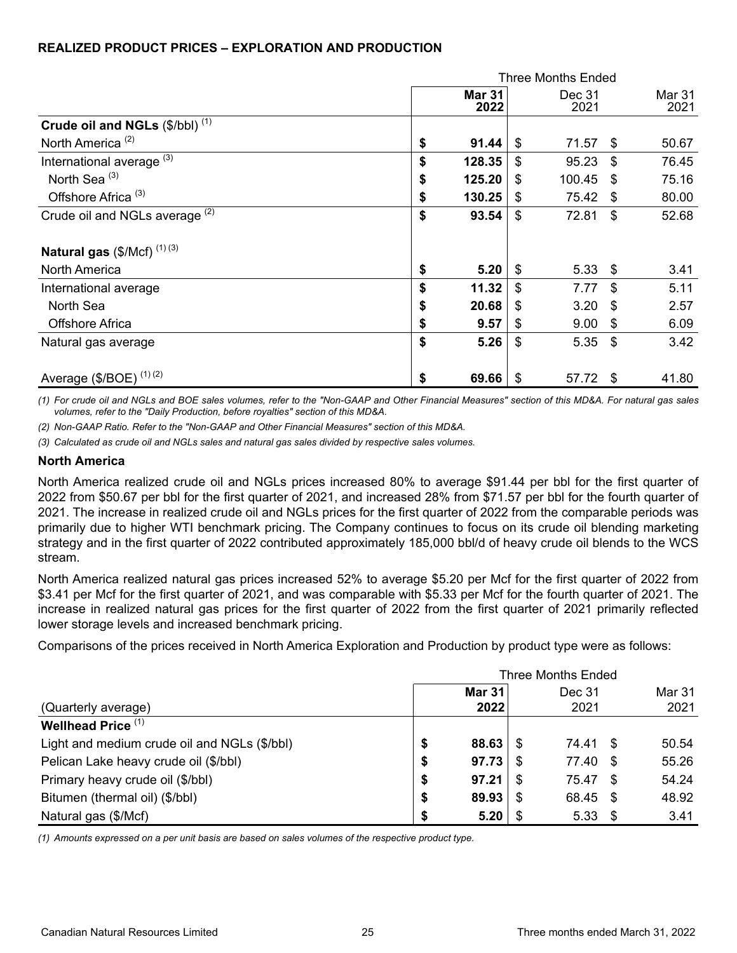### **REALIZED PRODUCT PRICES – EXPLORATION AND PRODUCTION**

|                                               | <b>Three Months Ended</b> |                       |    |                |      |                |  |
|-----------------------------------------------|---------------------------|-----------------------|----|----------------|------|----------------|--|
|                                               |                           | <b>Mar 31</b><br>2022 |    | Dec 31<br>2021 |      | Mar 31<br>2021 |  |
| Crude oil and NGLs (\$/bbl) <sup>(1)</sup>    |                           |                       |    |                |      |                |  |
| North America <sup>(2)</sup>                  | \$                        | 91.44                 | \$ | 71.57          | - \$ | 50.67          |  |
| International average <sup>(3)</sup>          | \$                        | 128.35                | \$ | 95.23          | \$.  | 76.45          |  |
| North Sea <sup>(3)</sup>                      | \$                        | 125.20                | \$ | 100.45         | - \$ | 75.16          |  |
| Offshore Africa <sup>(3)</sup>                | \$                        | 130.25                | \$ | 75.42          | -\$  | 80.00          |  |
| Crude oil and NGLs average <sup>(2)</sup>     | \$                        | 93.54                 | \$ | 72.81          | \$   | 52.68          |  |
| Natural gas $(\frac{6}{\text{Mcf}})^{(1)(3)}$ |                           |                       |    |                |      |                |  |
| <b>North America</b>                          | \$                        | 5.20                  | \$ | $5.33$ \$      |      | 3.41           |  |
| International average                         | \$                        | 11.32                 | \$ | 7.77           | -\$  | 5.11           |  |
| North Sea                                     | \$                        | 20.68                 | \$ | 3.20           | -\$  | 2.57           |  |
| <b>Offshore Africa</b>                        | \$                        | 9.57                  | \$ | 9.00           | -\$  | 6.09           |  |
| Natural gas average                           | \$                        | 5.26                  | \$ | 5.35           | \$   | 3.42           |  |
|                                               |                           |                       |    |                |      |                |  |
| Average (\$/BOE) <sup>(1)(2)</sup>            | \$                        | 69.66                 | \$ | 57.72          | -\$  | 41.80          |  |

*(1) For crude oil and NGLs and BOE sales volumes, refer to the "Non-GAAP and Other Financial Measures" section of this MD&A. For natural gas sales volumes, refer to the "Daily Production, before royalties" section of this MD&A.* 

*(2) Non-GAAP Ratio. Refer to the "Non-GAAP and Other Financial Measures" section of this MD&A.*

*(3) Calculated as crude oil and NGLs sales and natural gas sales divided by respective sales volumes.*

#### **North America**

North America realized crude oil and NGLs prices increased 80% to average \$91.44 per bbl for the first quarter of 2022 from \$50.67 per bbl for the first quarter of 2021, and increased 28% from \$71.57 per bbl for the fourth quarter of 2021. The increase in realized crude oil and NGLs prices for the first quarter of 2022 from the comparable periods was primarily due to higher WTI benchmark pricing. The Company continues to focus on its crude oil blending marketing strategy and in the first quarter of 2022 contributed approximately 185,000 bbl/d of heavy crude oil blends to the WCS stream.

North America realized natural gas prices increased 52% to average \$5.20 per Mcf for the first quarter of 2022 from \$3.41 per Mcf for the first quarter of 2021, and was comparable with \$5.33 per Mcf for the fourth quarter of 2021. The increase in realized natural gas prices for the first quarter of 2022 from the first quarter of 2021 primarily reflected lower storage levels and increased benchmark pricing.

Comparisons of the prices received in North America Exploration and Production by product type were as follows:

|                                              | Three Months Ended |               |      |        |      |        |  |
|----------------------------------------------|--------------------|---------------|------|--------|------|--------|--|
|                                              |                    | <b>Mar 31</b> |      | Dec 31 |      | Mar 31 |  |
| (Quarterly average)                          |                    | 2022          |      | 2021   |      | 2021   |  |
| Wellhead Price <sup>(1)</sup>                |                    |               |      |        |      |        |  |
| Light and medium crude oil and NGLs (\$/bbl) | \$                 | 88.63         |      | 74.41  | \$.  | 50.54  |  |
| Pelican Lake heavy crude oil (\$/bbl)        | \$                 | 97.73         | - \$ | 77.40  | - \$ | 55.26  |  |
| Primary heavy crude oil (\$/bbl)             | \$                 | 97.21         | - \$ | 75.47  | -S   | 54.24  |  |
| Bitumen (thermal oil) (\$/bbl)               | \$                 | 89.93         | - \$ | 68.45  | - \$ | 48.92  |  |
| Natural gas (\$/Mcf)                         | S                  | 5.20          | - \$ | 5.33   |      | 3.41   |  |

*(1) Amounts expressed on a per unit basis are based on sales volumes of the respective product type.*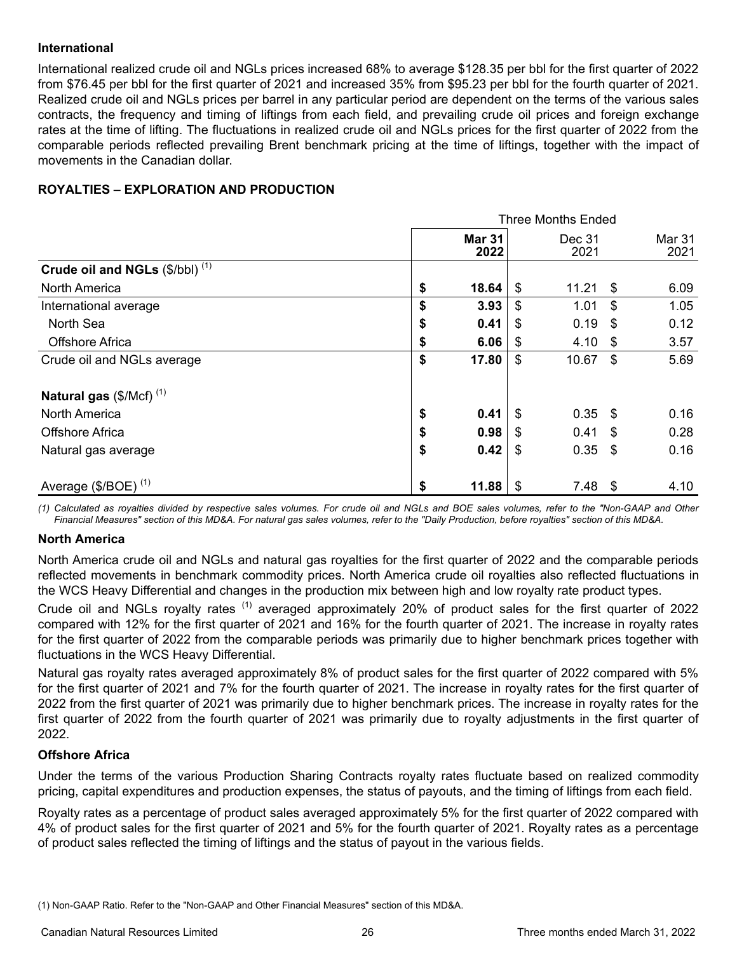### **International**

International realized crude oil and NGLs prices increased 68% to average \$128.35 per bbl for the first quarter of 2022 from \$76.45 per bbl for the first quarter of 2021 and increased 35% from \$95.23 per bbl for the fourth quarter of 2021. Realized crude oil and NGLs prices per barrel in any particular period are dependent on the terms of the various sales contracts, the frequency and timing of liftings from each field, and prevailing crude oil prices and foreign exchange rates at the time of lifting. The fluctuations in realized crude oil and NGLs prices for the first quarter of 2022 from the comparable periods reflected prevailing Brent benchmark pricing at the time of liftings, together with the impact of movements in the Canadian dollar.

## **ROYALTIES – EXPLORATION AND PRODUCTION**

|                                            | Three Months Ended |                       |    |                |      |                |  |
|--------------------------------------------|--------------------|-----------------------|----|----------------|------|----------------|--|
|                                            |                    | <b>Mar 31</b><br>2022 |    | Dec 31<br>2021 |      | Mar 31<br>2021 |  |
| Crude oil and NGLs (\$/bbl) <sup>(1)</sup> |                    |                       |    |                |      |                |  |
| <b>North America</b>                       | \$                 | 18.64                 | \$ | 11.21          | S    | 6.09           |  |
| International average                      | \$                 | 3.93                  | \$ | 1.01           | \$   | 1.05           |  |
| North Sea                                  | \$                 | 0.41                  | \$ | 0.19           | \$   | 0.12           |  |
| Offshore Africa                            | \$                 | 6.06                  | \$ | 4.10           | - \$ | 3.57           |  |
| Crude oil and NGLs average                 | \$                 | 17.80                 | \$ | 10.67          | \$   | 5.69           |  |
| Natural gas $(\frac{6}{\text{Mcf}})^{(1)}$ |                    |                       |    |                |      |                |  |
| North America                              | \$                 | 0.41                  | \$ | $0.35$ \$      |      | 0.16           |  |
| Offshore Africa                            | \$                 | 0.98                  | \$ | 0.41           | - \$ | 0.28           |  |
| Natural gas average                        | \$                 | 0.42                  | \$ | 0.35           | \$   | 0.16           |  |
| Average (\$/BOE) <sup>(1)</sup>            | \$                 | 11.88                 | \$ | 7.48           | - \$ | 4.10           |  |

*(1) Calculated as royalties divided by respective sales volumes. For crude oil and NGLs and BOE sales volumes, refer to the "Non-GAAP and Other Financial Measures" section of this MD&A. For natural gas sales volumes, refer to the "Daily Production, before royalties" section of this MD&A.*

### **North America**

North America crude oil and NGLs and natural gas royalties for the first quarter of 2022 and the comparable periods reflected movements in benchmark commodity prices. North America crude oil royalties also reflected fluctuations in the WCS Heavy Differential and changes in the production mix between high and low royalty rate product types.

Crude oil and NGLs royalty rates <sup>(1)</sup> averaged approximately 20% of product sales for the first quarter of 2022 compared with 12% for the first quarter of 2021 and 16% for the fourth quarter of 2021. The increase in royalty rates for the first quarter of 2022 from the comparable periods was primarily due to higher benchmark prices together with fluctuations in the WCS Heavy Differential.

Natural gas royalty rates averaged approximately 8% of product sales for the first quarter of 2022 compared with 5% for the first quarter of 2021 and 7% for the fourth quarter of 2021. The increase in royalty rates for the first quarter of 2022 from the first quarter of 2021 was primarily due to higher benchmark prices. The increase in royalty rates for the first quarter of 2022 from the fourth quarter of 2021 was primarily due to royalty adjustments in the first quarter of 2022.

### **Offshore Africa**

Under the terms of the various Production Sharing Contracts royalty rates fluctuate based on realized commodity pricing, capital expenditures and production expenses, the status of payouts, and the timing of liftings from each field.

Royalty rates as a percentage of product sales averaged approximately 5% for the first quarter of 2022 compared with 4% of product sales for the first quarter of 2021 and 5% for the fourth quarter of 2021. Royalty rates as a percentage of product sales reflected the timing of liftings and the status of payout in the various fields.

<sup>(1)</sup> Non-GAAP Ratio. Refer to the "Non-GAAP and Other Financial Measures" section of this MD&A.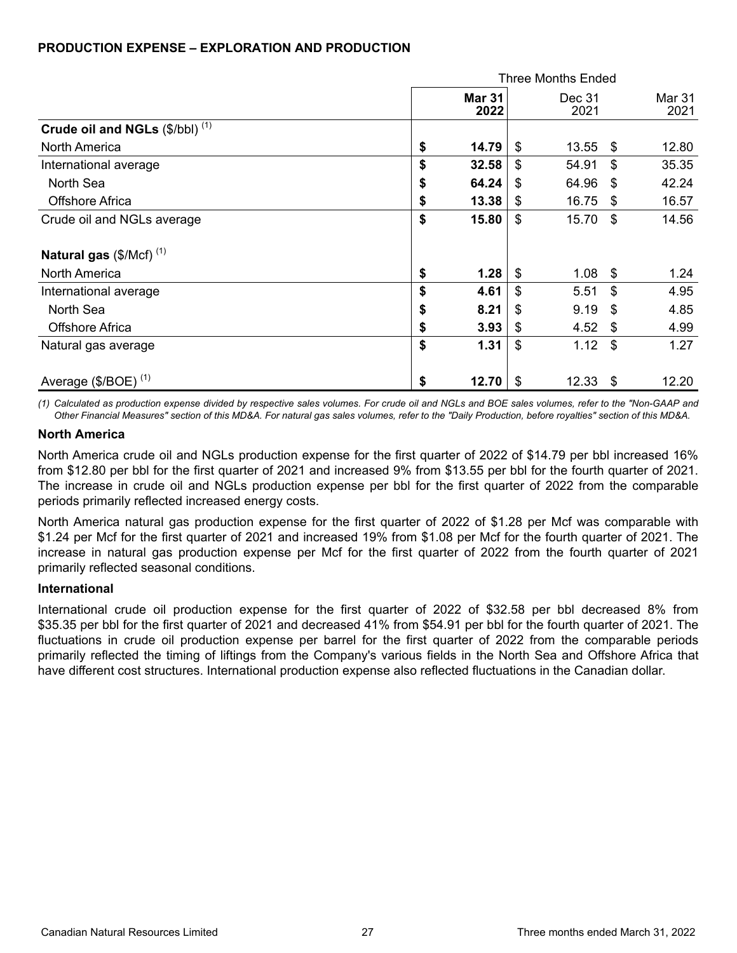### **PRODUCTION EXPENSE – EXPLORATION AND PRODUCTION**

|                                            | <b>Three Months Ended</b> |                       |    |                |      |                |  |
|--------------------------------------------|---------------------------|-----------------------|----|----------------|------|----------------|--|
|                                            |                           | <b>Mar 31</b><br>2022 |    | Dec 31<br>2021 |      | Mar 31<br>2021 |  |
| Crude oil and NGLs (\$/bbl) <sup>(1)</sup> |                           |                       |    |                |      |                |  |
| <b>North America</b>                       | \$                        | 14.79                 | \$ | 13.55          | - \$ | 12.80          |  |
| International average                      | \$                        | 32.58                 | \$ | 54.91          | \$   | 35.35          |  |
| North Sea                                  | \$                        | 64.24                 | \$ | 64.96          | -S   | 42.24          |  |
| Offshore Africa                            | \$                        | 13.38                 | \$ | 16.75          | \$   | 16.57          |  |
| Crude oil and NGLs average                 | \$                        | 15.80                 | \$ | 15.70          | \$   | 14.56          |  |
| Natural gas $(\frac{6}{\text{Mcf}})^{(1)}$ |                           |                       |    |                |      |                |  |
| <b>North America</b>                       | \$                        | 1.28                  | \$ | 1.08           | - \$ | 1.24           |  |
| International average                      | \$                        | 4.61                  | \$ | 5.51           | \$   | 4.95           |  |
| North Sea                                  | \$                        | 8.21                  | \$ | 9.19           | - \$ | 4.85           |  |
| <b>Offshore Africa</b>                     | \$                        | 3.93                  | \$ | 4.52           | \$   | 4.99           |  |
| Natural gas average                        | \$                        | 1.31                  | \$ | 1.12           | \$   | 1.27           |  |
|                                            |                           |                       |    |                |      |                |  |
| Average (\$/BOE) <sup>(1)</sup>            | \$                        | 12.70                 | \$ | 12.33          | \$   | 12.20          |  |

*(1) Calculated as production expense divided by respective sales volumes. For crude oil and NGLs and BOE sales volumes, refer to the "Non-GAAP and Other Financial Measures" section of this MD&A. For natural gas sales volumes, refer to the "Daily Production, before royalties" section of this MD&A.*

## **North America**

North America crude oil and NGLs production expense for the first quarter of 2022 of \$14.79 per bbl increased 16% from \$12.80 per bbl for the first quarter of 2021 and increased 9% from \$13.55 per bbl for the fourth quarter of 2021. The increase in crude oil and NGLs production expense per bbl for the first quarter of 2022 from the comparable periods primarily reflected increased energy costs.

North America natural gas production expense for the first quarter of 2022 of \$1.28 per Mcf was comparable with \$1.24 per Mcf for the first quarter of 2021 and increased 19% from \$1.08 per Mcf for the fourth quarter of 2021. The increase in natural gas production expense per Mcf for the first quarter of 2022 from the fourth quarter of 2021 primarily reflected seasonal conditions.

### **International**

International crude oil production expense for the first quarter of 2022 of \$32.58 per bbl decreased 8% from \$35.35 per bbl for the first quarter of 2021 and decreased 41% from \$54.91 per bbl for the fourth quarter of 2021. The fluctuations in crude oil production expense per barrel for the first quarter of 2022 from the comparable periods primarily reflected the timing of liftings from the Company's various fields in the North Sea and Offshore Africa that have different cost structures. International production expense also reflected fluctuations in the Canadian dollar.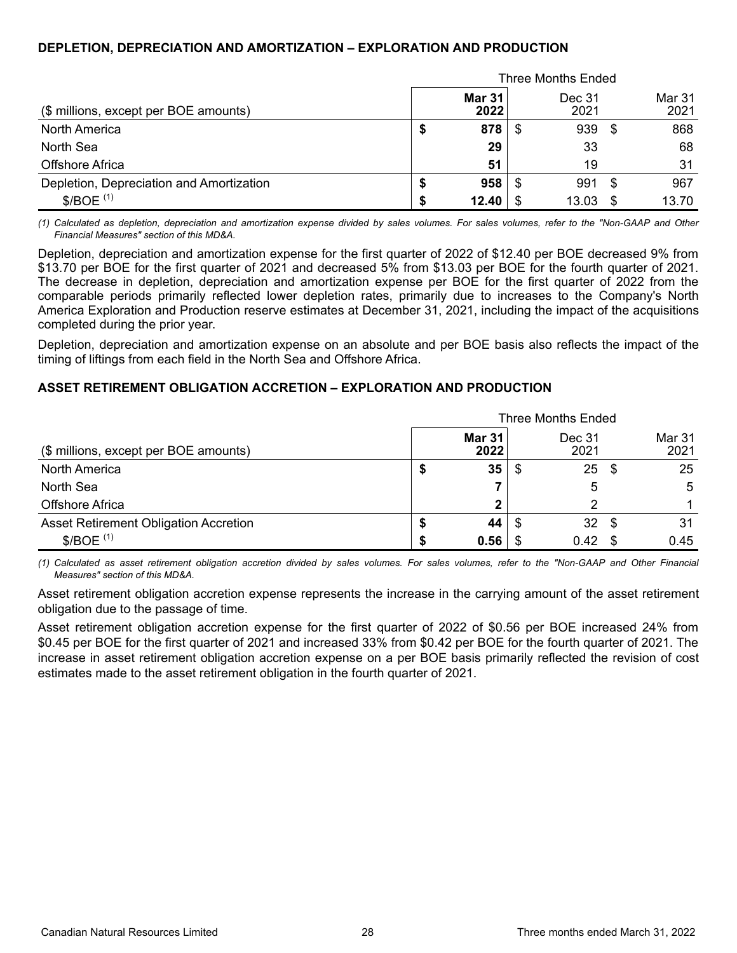### **DEPLETION, DEPRECIATION AND AMORTIZATION – EXPLORATION AND PRODUCTION**

|                                          | <b>Three Months Ended</b> |                       |    |                |  |                |  |
|------------------------------------------|---------------------------|-----------------------|----|----------------|--|----------------|--|
| (\$ millions, except per BOE amounts)    |                           | <b>Mar 31</b><br>2022 |    | Dec 31<br>2021 |  | Mar 31<br>2021 |  |
| North America                            | จ                         | 878                   | S. | 939            |  | 868            |  |
| North Sea                                |                           | 29                    |    | 33             |  | 68             |  |
| Offshore Africa                          |                           | 51                    |    | 19             |  | 31             |  |
| Depletion, Depreciation and Amortization |                           | 958                   |    | 991            |  | 967            |  |
| \$/BOE <sup>(1)</sup>                    |                           | 12.40                 |    | 13.03          |  | 13.70          |  |

*(1) Calculated as depletion, depreciation and amortization expense divided by sales volumes. For sales volumes, refer to the "Non-GAAP and Other Financial Measures" section of this MD&A.*

Depletion, depreciation and amortization expense for the first quarter of 2022 of \$12.40 per BOE decreased 9% from \$13.70 per BOE for the first quarter of 2021 and decreased 5% from \$13.03 per BOE for the fourth quarter of 2021. The decrease in depletion, depreciation and amortization expense per BOE for the first quarter of 2022 from the comparable periods primarily reflected lower depletion rates, primarily due to increases to the Company's North America Exploration and Production reserve estimates at December 31, 2021, including the impact of the acquisitions completed during the prior year.

Depletion, depreciation and amortization expense on an absolute and per BOE basis also reflects the impact of the timing of liftings from each field in the North Sea and Offshore Africa.

## **ASSET RETIREMENT OBLIGATION ACCRETION – EXPLORATION AND PRODUCTION**

|                                              | Three Months Ended |                       |      |                 |      |                |  |  |
|----------------------------------------------|--------------------|-----------------------|------|-----------------|------|----------------|--|--|
| (\$ millions, except per BOE amounts)        |                    | <b>Mar 31</b><br>2022 |      | Dec 31<br>2021  |      | Mar 31<br>2021 |  |  |
| <b>North America</b>                         |                    | 35 <sub>5</sub>       | S    | 25              |      | 25             |  |  |
| North Sea                                    |                    |                       |      | 5               |      | 5              |  |  |
| Offshore Africa                              |                    | 2                     |      |                 |      |                |  |  |
| <b>Asset Retirement Obligation Accretion</b> | จ                  | 44                    | - \$ | 32 <sup>2</sup> | - \$ | 31             |  |  |
| \$/BOE <sup>(1)</sup>                        |                    | 0.56                  |      | 0.42            |      | 0.45           |  |  |

*(1) Calculated as asset retirement obligation accretion divided by sales volumes. For sales volumes, refer to the "Non-GAAP and Other Financial Measures" section of this MD&A.*

Asset retirement obligation accretion expense represents the increase in the carrying amount of the asset retirement obligation due to the passage of time.

Asset retirement obligation accretion expense for the first quarter of 2022 of \$0.56 per BOE increased 24% from \$0.45 per BOE for the first quarter of 2021 and increased 33% from \$0.42 per BOE for the fourth quarter of 2021. The increase in asset retirement obligation accretion expense on a per BOE basis primarily reflected the revision of cost estimates made to the asset retirement obligation in the fourth quarter of 2021.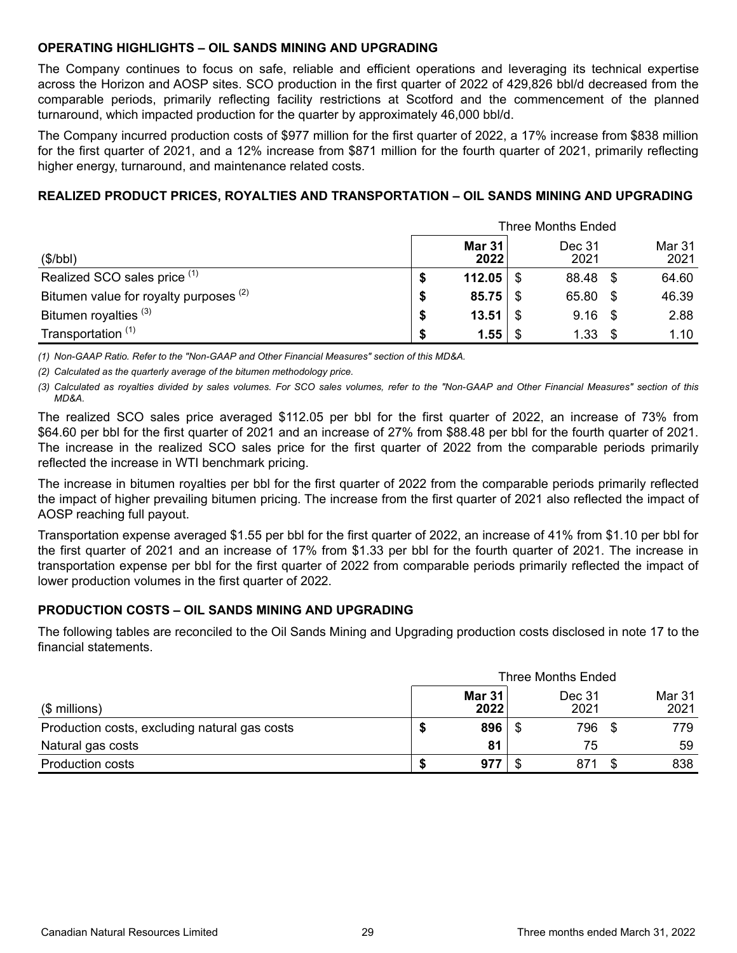### **OPERATING HIGHLIGHTS – OIL SANDS MINING AND UPGRADING**

The Company continues to focus on safe, reliable and efficient operations and leveraging its technical expertise across the Horizon and AOSP sites. SCO production in the first quarter of 2022 of 429,826 bbl/d decreased from the comparable periods, primarily reflecting facility restrictions at Scotford and the commencement of the planned turnaround, which impacted production for the quarter by approximately 46,000 bbl/d.

The Company incurred production costs of \$977 million for the first quarter of 2022, a 17% increase from \$838 million for the first quarter of 2021, and a 12% increase from \$871 million for the fourth quarter of 2021, primarily reflecting higher energy, turnaround, and maintenance related costs.

## **REALIZED PRODUCT PRICES, ROYALTIES AND TRANSPORTATION – OIL SANDS MINING AND UPGRADING**

|                                          | <b>Three Months Ended</b> |                       |      |                |  |                |  |
|------------------------------------------|---------------------------|-----------------------|------|----------------|--|----------------|--|
| (\$/bbl)                                 |                           | <b>Mar 31</b><br>2022 |      | Dec 31<br>2021 |  | Mar 31<br>2021 |  |
| Realized SCO sales price (1)             | S                         | 112.05                |      | 88.48          |  | 64.60          |  |
| Bitumen value for royalty purposes $(2)$ | \$                        | 85.75                 | - \$ | 65.80          |  | 46.39          |  |
| Bitumen royalties <sup>(3)</sup>         | \$                        | $13.51 \; \vert \; \$ |      | $9.16$ \$      |  | 2.88           |  |
| Transportation <sup>(1)</sup>            |                           | 1.55                  |      | 1.33           |  | 1.10           |  |

*(1) Non-GAAP Ratio. Refer to the "Non-GAAP and Other Financial Measures" section of this MD&A.*

*(2) Calculated as the quarterly average of the bitumen methodology price.*

*(3) Calculated as royalties divided by sales volumes. For SCO sales volumes, refer to the "Non-GAAP and Other Financial Measures" section of this MD&A.*

The realized SCO sales price averaged \$112.05 per bbl for the first quarter of 2022, an increase of 73% from \$64.60 per bbl for the first quarter of 2021 and an increase of 27% from \$88.48 per bbl for the fourth quarter of 2021. The increase in the realized SCO sales price for the first quarter of 2022 from the comparable periods primarily reflected the increase in WTI benchmark pricing.

The increase in bitumen royalties per bbl for the first quarter of 2022 from the comparable periods primarily reflected the impact of higher prevailing bitumen pricing. The increase from the first quarter of 2021 also reflected the impact of AOSP reaching full payout.

Transportation expense averaged \$1.55 per bbl for the first quarter of 2022, an increase of 41% from \$1.10 per bbl for the first quarter of 2021 and an increase of 17% from \$1.33 per bbl for the fourth quarter of 2021. The increase in transportation expense per bbl for the first quarter of 2022 from comparable periods primarily reflected the impact of lower production volumes in the first quarter of 2022.

### **PRODUCTION COSTS – OIL SANDS MINING AND UPGRADING**

The following tables are reconciled to the Oil Sands Mining and Upgrading production costs disclosed in note 17 to the financial statements.

|                                               | Three Months Ended |                       |  |                |  |                |  |
|-----------------------------------------------|--------------------|-----------------------|--|----------------|--|----------------|--|
| $$$ millions)                                 |                    | <b>Mar 31</b><br>2022 |  | Dec 31<br>2021 |  | Mar 31<br>2021 |  |
| Production costs, excluding natural gas costs |                    | 896                   |  | 796            |  | 779            |  |
| Natural gas costs                             |                    | 81                    |  | 75             |  | 59             |  |
| <b>Production costs</b>                       |                    |                       |  | 871            |  | 838            |  |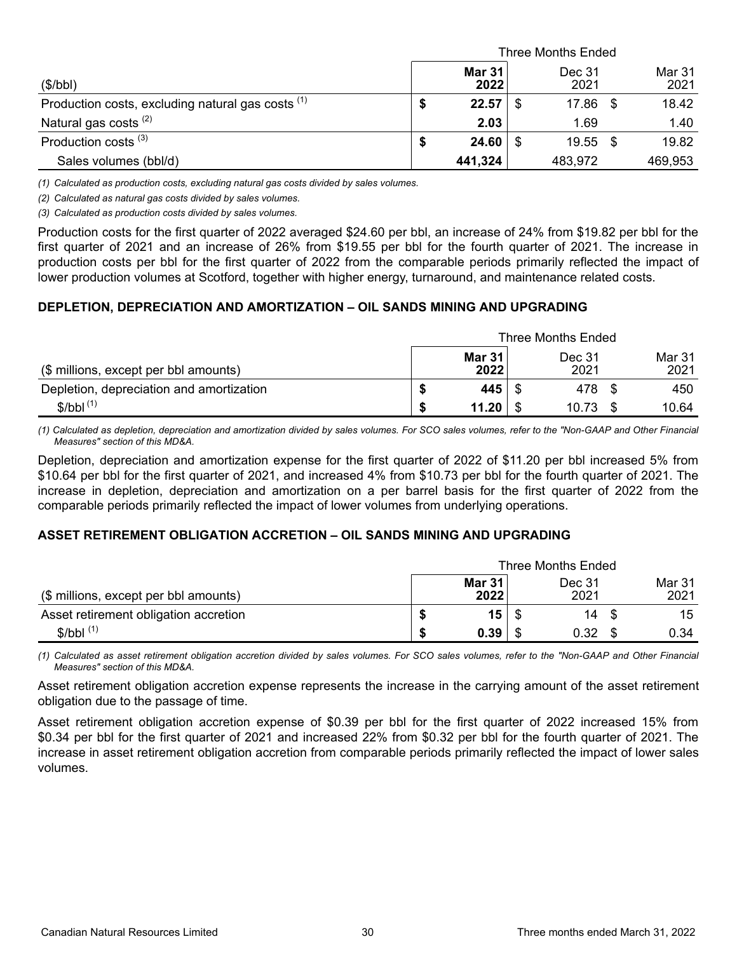|                                                   | <b>Three Months Ended</b> |                       |  |                |  |                |
|---------------------------------------------------|---------------------------|-----------------------|--|----------------|--|----------------|
| (\$/bbl)                                          |                           | <b>Mar 31</b><br>2022 |  | Dec 31<br>2021 |  | Mar 31<br>2021 |
| Production costs, excluding natural gas costs (1) |                           | 22.57                 |  | 17.86          |  | 18.42          |
| Natural gas costs $(2)$                           |                           | 2.03                  |  | 1.69           |  | 1.40           |
| Production costs <sup>(3)</sup>                   |                           | 24.60                 |  | 19.55          |  | 19.82          |
| Sales volumes (bbl/d)                             |                           | 441,324               |  | 483,972        |  | 469,953        |

*(1) Calculated as production costs, excluding natural gas costs divided by sales volumes.*

*(2) Calculated as natural gas costs divided by sales volumes.*

*(3) Calculated as production costs divided by sales volumes.*

Production costs for the first quarter of 2022 averaged \$24.60 per bbl, an increase of 24% from \$19.82 per bbl for the first quarter of 2021 and an increase of 26% from \$19.55 per bbl for the fourth quarter of 2021. The increase in production costs per bbl for the first quarter of 2022 from the comparable periods primarily reflected the impact of lower production volumes at Scotford, together with higher energy, turnaround, and maintenance related costs.

## **DEPLETION, DEPRECIATION AND AMORTIZATION – OIL SANDS MINING AND UPGRADING**

|                                          | <b>Three Months Ended</b> |                       |  |                |  |                |
|------------------------------------------|---------------------------|-----------------------|--|----------------|--|----------------|
| (\$ millions, except per bbl amounts)    |                           | <b>Mar 31</b><br>2022 |  | Dec 31<br>2021 |  | Mar 31<br>2021 |
| Depletion, depreciation and amortization |                           | 445                   |  | 478 \$         |  | 450            |
| $$/bbI$ <sup>(1)</sup>                   |                           | 11.20                 |  | 10.73          |  | 10.64          |

*(1) Calculated as depletion, depreciation and amortization divided by sales volumes. For SCO sales volumes, refer to the "Non-GAAP and Other Financial Measures" section of this MD&A.*

Depletion, depreciation and amortization expense for the first quarter of 2022 of \$11.20 per bbl increased 5% from \$10.64 per bbl for the first quarter of 2021, and increased 4% from \$10.73 per bbl for the fourth quarter of 2021. The increase in depletion, depreciation and amortization on a per barrel basis for the first quarter of 2022 from the comparable periods primarily reflected the impact of lower volumes from underlying operations.

### **ASSET RETIREMENT OBLIGATION ACCRETION – OIL SANDS MINING AND UPGRADING**

|                                       | Three Months Ended                                 |                 |  |      |  |      |  |
|---------------------------------------|----------------------------------------------------|-----------------|--|------|--|------|--|
| (\$ millions, except per bbl amounts) | Mar 31<br>Mar 31<br>Dec 31<br>2022<br>2021<br>2021 |                 |  |      |  |      |  |
| Asset retirement obligation accretion |                                                    | 15 <sub>1</sub> |  | 14S  |  | 15   |  |
| $$/bbl$ <sup><math>(1)</math></sup>   |                                                    | 0.39            |  | 0.32 |  | 0.34 |  |

*(1) Calculated as asset retirement obligation accretion divided by sales volumes. For SCO sales volumes, refer to the "Non-GAAP and Other Financial Measures" section of this MD&A.*

Asset retirement obligation accretion expense represents the increase in the carrying amount of the asset retirement obligation due to the passage of time.

Asset retirement obligation accretion expense of \$0.39 per bbl for the first quarter of 2022 increased 15% from \$0.34 per bbl for the first quarter of 2021 and increased 22% from \$0.32 per bbl for the fourth quarter of 2021. The increase in asset retirement obligation accretion from comparable periods primarily reflected the impact of lower sales volumes.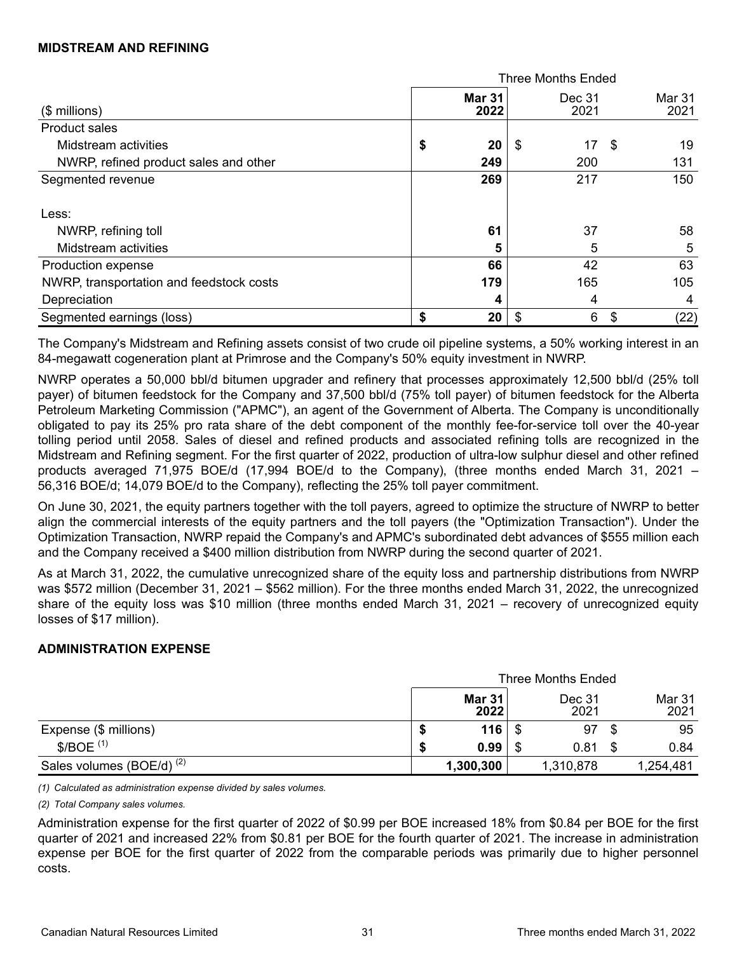### **MIDSTREAM AND REFINING**

|                                          | <b>Three Months Ended</b> |      |                |     |                |  |  |
|------------------------------------------|---------------------------|------|----------------|-----|----------------|--|--|
| $($$ millions)                           | <b>Mar 31</b><br>2022     |      | Dec 31<br>2021 |     | Mar 31<br>2021 |  |  |
| <b>Product sales</b>                     |                           |      |                |     |                |  |  |
| Midstream activities                     | \$<br>20                  | - \$ | 17             | -\$ | 19             |  |  |
| NWRP, refined product sales and other    | 249                       |      | 200            |     | 131            |  |  |
| Segmented revenue                        | 269                       |      | 217            |     | 150            |  |  |
| Less:                                    |                           |      |                |     |                |  |  |
| NWRP, refining toll                      | 61                        |      | 37             |     | 58             |  |  |
| Midstream activities                     | 5                         |      | 5              |     | 5              |  |  |
| Production expense                       | 66                        |      | 42             |     | 63             |  |  |
| NWRP, transportation and feedstock costs | 179                       |      | 165            |     | 105            |  |  |
| Depreciation                             | 4                         |      | 4              |     | 4              |  |  |
| Segmented earnings (loss)                | \$<br>20                  |      | 6              | \$  | (22)           |  |  |

The Company's Midstream and Refining assets consist of two crude oil pipeline systems, a 50% working interest in an 84-megawatt cogeneration plant at Primrose and the Company's 50% equity investment in NWRP.

NWRP operates a 50,000 bbl/d bitumen upgrader and refinery that processes approximately 12,500 bbl/d (25% toll payer) of bitumen feedstock for the Company and 37,500 bbl/d (75% toll payer) of bitumen feedstock for the Alberta Petroleum Marketing Commission ("APMC"), an agent of the Government of Alberta. The Company is unconditionally obligated to pay its 25% pro rata share of the debt component of the monthly fee-for-service toll over the 40-year tolling period until 2058. Sales of diesel and refined products and associated refining tolls are recognized in the Midstream and Refining segment. For the first quarter of 2022, production of ultra-low sulphur diesel and other refined products averaged 71,975 BOE/d (17,994 BOE/d to the Company), (three months ended March 31, 2021 – 56,316 BOE/d; 14,079 BOE/d to the Company), reflecting the 25% toll payer commitment.

On June 30, 2021, the equity partners together with the toll payers, agreed to optimize the structure of NWRP to better align the commercial interests of the equity partners and the toll payers (the "Optimization Transaction"). Under the Optimization Transaction, NWRP repaid the Company's and APMC's subordinated debt advances of \$555 million each and the Company received a \$400 million distribution from NWRP during the second quarter of 2021.

As at March 31, 2022, the cumulative unrecognized share of the equity loss and partnership distributions from NWRP was \$572 million (December 31, 2021 – \$562 million). For the three months ended March 31, 2022, the unrecognized share of the equity loss was \$10 million (three months ended March 31, 2021 – recovery of unrecognized equity losses of \$17 million).

## **ADMINISTRATION EXPENSE**

|                                      | <b>Three Months Ended</b> |                       |  |                |  |                |  |  |
|--------------------------------------|---------------------------|-----------------------|--|----------------|--|----------------|--|--|
|                                      |                           | <b>Mar 31</b><br>2022 |  | Dec 31<br>2021 |  | Mar 31<br>2021 |  |  |
| Expense (\$ millions)                |                           | 116                   |  | 97             |  | 95             |  |  |
| \$/BOE <sup>(1)</sup>                |                           | 0.99                  |  | 0.81           |  | 0.84           |  |  |
| Sales volumes (BOE/d) <sup>(2)</sup> |                           | 1,300,300             |  | 1,310,878      |  | 1,254,481      |  |  |

*(1) Calculated as administration expense divided by sales volumes.*

*(2) Total Company sales volumes.* 

Administration expense for the first quarter of 2022 of \$0.99 per BOE increased 18% from \$0.84 per BOE for the first quarter of 2021 and increased 22% from \$0.81 per BOE for the fourth quarter of 2021. The increase in administration expense per BOE for the first quarter of 2022 from the comparable periods was primarily due to higher personnel costs.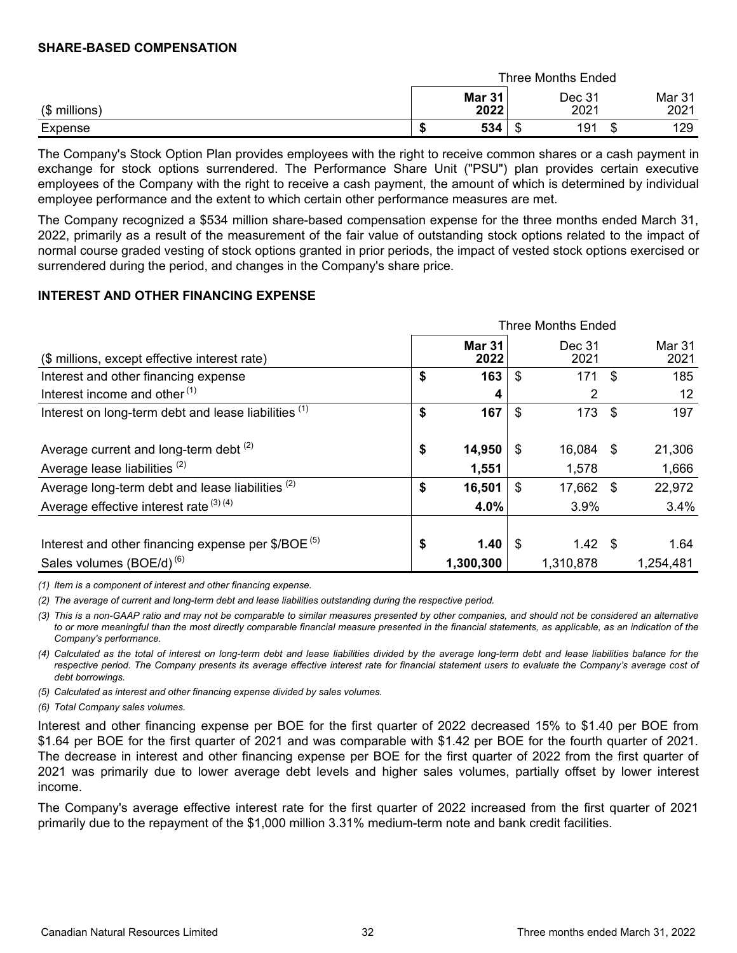### **SHARE-BASED COMPENSATION**

Three Months Ended

| (\$<br><br>millions. | <b>Mar 31</b><br>ררחר<br>ZUZZ | n,<br>Dec 31<br>2021             | Mar 31<br>2021 |
|----------------------|-------------------------------|----------------------------------|----------------|
| -<br>Expense         | ED A<br>. აპ4                 | 10 <sub>1</sub><br>- 11<br>1 J L | 120<br>ں ے ،   |

The Company's Stock Option Plan provides employees with the right to receive common shares or a cash payment in exchange for stock options surrendered. The Performance Share Unit ("PSU") plan provides certain executive employees of the Company with the right to receive a cash payment, the amount of which is determined by individual employee performance and the extent to which certain other performance measures are met.

The Company recognized a \$534 million share-based compensation expense for the three months ended March 31, 2022, primarily as a result of the measurement of the fair value of outstanding stock options related to the impact of normal course graded vesting of stock options granted in prior periods, the impact of vested stock options exercised or surrendered during the period, and changes in the Company's share price.

## **INTEREST AND OTHER FINANCING EXPENSE**

|                                                                 | <b>Three Months Ended</b> |                       |    |                 |      |                |
|-----------------------------------------------------------------|---------------------------|-----------------------|----|-----------------|------|----------------|
| (\$ millions, except effective interest rate)                   |                           | <b>Mar 31</b><br>2022 |    | Dec 31<br>2021  |      | Mar 31<br>2021 |
| Interest and other financing expense                            | \$                        | 163                   | \$ | 171             | -\$  | 185            |
| Interest income and other <sup>(1)</sup>                        |                           | 4                     |    | 2               |      | 12             |
| Interest on long-term debt and lease liabilities <sup>(1)</sup> | \$                        | 167                   | \$ | 173             | - \$ | 197            |
| Average current and long-term debt <sup>(2)</sup>               | \$                        | 14,950                | \$ | 16,084 \$       |      | 21,306         |
| Average lease liabilities <sup>(2)</sup>                        |                           | 1,551                 |    | 1,578           |      | 1,666          |
| Average long-term debt and lease liabilities <sup>(2)</sup>     | \$                        | 16,501                | \$ | 17,662 \$       |      | 22,972         |
| Average effective interest rate $(3)$ $(4)$                     |                           | 4.0%                  |    | 3.9%            |      | 3.4%           |
| Interest and other financing expense per \$/BOE <sup>(5)</sup>  | \$                        | 1.40                  | \$ | $1.42 \quad$ \$ |      | 1.64           |
| Sales volumes (BOE/d) <sup>(6)</sup>                            |                           | 1,300,300             |    | 1,310,878       |      | 1,254,481      |

*(1) Item is a component of interest and other financing expense.*

*(2) The average of current and long-term debt and lease liabilities outstanding during the respective period.*

*(3) This is a non-GAAP ratio and may not be comparable to similar measures presented by other companies, and should not be considered an alternative*  to or more meaningful than the most directly comparable financial measure presented in the financial statements, as applicable, as an indication of the *Company's performance.*

*(4) Calculated as the total of interest on long-term debt and lease liabilities divided by the average long-term debt and lease liabilities balance for the*  respective period. The Company presents its average effective interest rate for financial statement users to evaluate the Company's average cost of *debt borrowings.*

*(5) Calculated as interest and other financing expense divided by sales volumes.*

*(6) Total Company sales volumes.*

Interest and other financing expense per BOE for the first quarter of 2022 decreased 15% to \$1.40 per BOE from \$1.64 per BOE for the first quarter of 2021 and was comparable with \$1.42 per BOE for the fourth quarter of 2021. The decrease in interest and other financing expense per BOE for the first quarter of 2022 from the first quarter of 2021 was primarily due to lower average debt levels and higher sales volumes, partially offset by lower interest income.

The Company's average effective interest rate for the first quarter of 2022 increased from the first quarter of 2021 primarily due to the repayment of the \$1,000 million 3.31% medium-term note and bank credit facilities.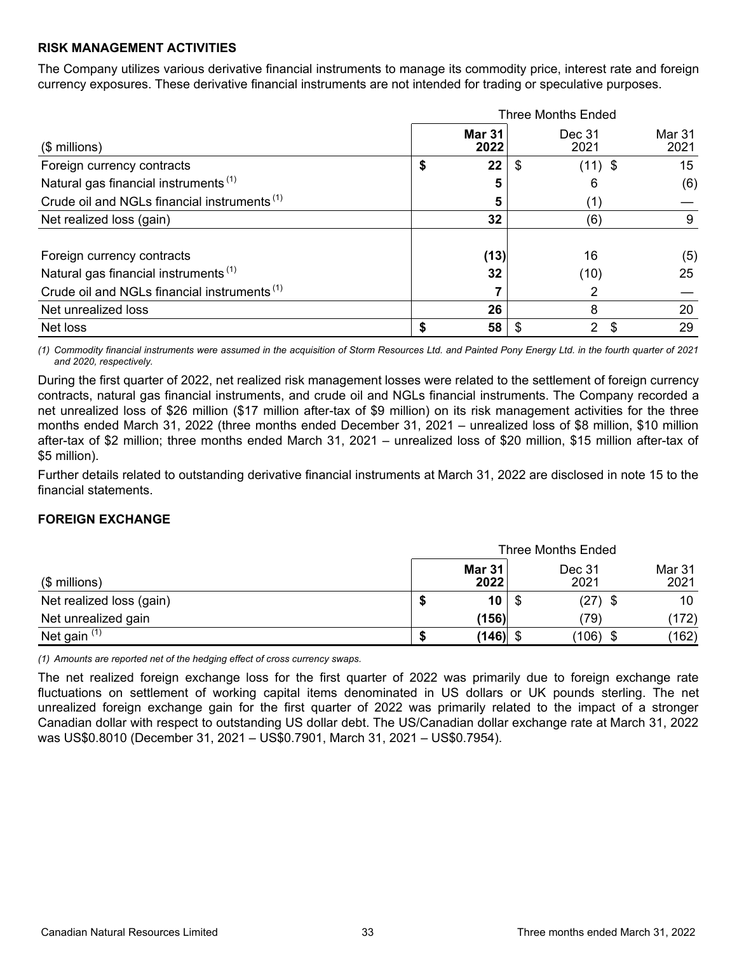### **RISK MANAGEMENT ACTIVITIES**

The Company utilizes various derivative financial instruments to manage its commodity price, interest rate and foreign currency exposures. These derivative financial instruments are not intended for trading or speculative purposes.

|                                                         | <b>Three Months Ended</b> |                 |                |  |  |  |  |
|---------------------------------------------------------|---------------------------|-----------------|----------------|--|--|--|--|
| $$$ millions)                                           | <b>Mar 31</b><br>2022     | Dec 31<br>2021  | Mar 31<br>2021 |  |  |  |  |
| Foreign currency contracts                              | \$<br>$22\phantom{.0}$    | $(11)$ \$<br>\$ | 15             |  |  |  |  |
| Natural gas financial instruments <sup>(1)</sup>        | 5                         | 6               | (6)            |  |  |  |  |
| Crude oil and NGLs financial instruments <sup>(1)</sup> | 5                         | (1)             |                |  |  |  |  |
| Net realized loss (gain)                                | 32                        | (6)             | 9              |  |  |  |  |
| Foreign currency contracts                              | (13)                      | 16              | (5)            |  |  |  |  |
| Natural gas financial instruments <sup>(1)</sup>        | 32                        | (10)            | 25             |  |  |  |  |
| Crude oil and NGLs financial instruments <sup>(1)</sup> |                           | 2               |                |  |  |  |  |
| Net unrealized loss                                     | 26                        | 8               | 20             |  |  |  |  |
| Net loss                                                | 58                        | $\overline{2}$  | 29             |  |  |  |  |

*(1) Commodity financial instruments were assumed in the acquisition of Storm Resources Ltd. and Painted Pony Energy Ltd. in the fourth quarter of 2021 and 2020, respectively.*

During the first quarter of 2022, net realized risk management losses were related to the settlement of foreign currency contracts, natural gas financial instruments, and crude oil and NGLs financial instruments. The Company recorded a net unrealized loss of \$26 million (\$17 million after-tax of \$9 million) on its risk management activities for the three months ended March 31, 2022 (three months ended December 31, 2021 – unrealized loss of \$8 million, \$10 million after-tax of \$2 million; three months ended March 31, 2021 – unrealized loss of \$20 million, \$15 million after-tax of \$5 million).

Further details related to outstanding derivative financial instruments at March 31, 2022 are disclosed in note 15 to the financial statements.

### **FOREIGN EXCHANGE**

|                          | <b>Three Months Ended</b> |                       |  |                |                |  |  |
|--------------------------|---------------------------|-----------------------|--|----------------|----------------|--|--|
| $($$ millions)           |                           | <b>Mar 31</b><br>2022 |  | Dec 31<br>2021 | Mar 31<br>2021 |  |  |
| Net realized loss (gain) |                           | 10                    |  | (27)           | 10             |  |  |
| Net unrealized gain      |                           | (156)                 |  | 79)            | (172)          |  |  |
| Net gain $(1)$           |                           | (146)  \$             |  | (106)          | (162)          |  |  |

*(1) Amounts are reported net of the hedging effect of cross currency swaps.*

The net realized foreign exchange loss for the first quarter of 2022 was primarily due to foreign exchange rate fluctuations on settlement of working capital items denominated in US dollars or UK pounds sterling. The net unrealized foreign exchange gain for the first quarter of 2022 was primarily related to the impact of a stronger Canadian dollar with respect to outstanding US dollar debt. The US/Canadian dollar exchange rate at March 31, 2022 was US\$0.8010 (December 31, 2021 – US\$0.7901, March 31, 2021 – US\$0.7954).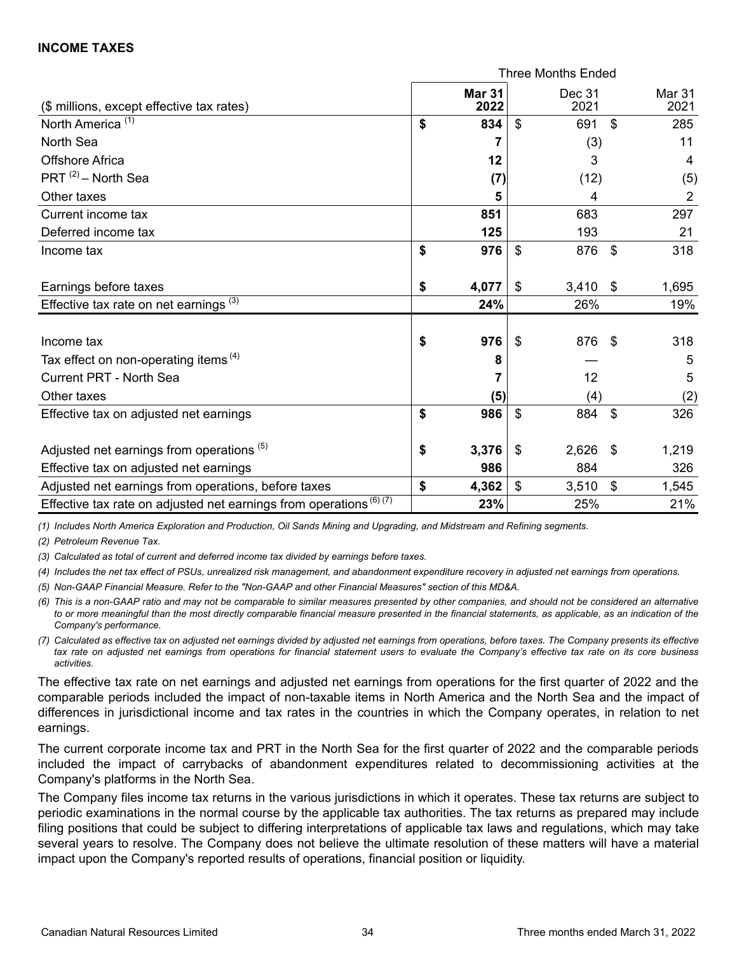### **INCOME TAXES**

|                                                                      | <b>Three Months Ended</b> |                       |                |                |                |                |
|----------------------------------------------------------------------|---------------------------|-----------------------|----------------|----------------|----------------|----------------|
| (\$ millions, except effective tax rates)                            |                           | <b>Mar 31</b><br>2022 |                | Dec 31<br>2021 |                | Mar 31<br>2021 |
| North America <sup>(1)</sup>                                         | \$                        | 834                   | \$             | 691            | \$             | 285            |
| North Sea                                                            |                           | 7                     |                | (3)            |                | 11             |
| Offshore Africa                                                      |                           | 12                    |                | 3              |                | 4              |
| $PRT^{(2)} - North Sea$                                              |                           | (7)                   |                | (12)           |                | (5)            |
| Other taxes                                                          |                           | 5                     |                | 4              |                | $\overline{2}$ |
| Current income tax                                                   |                           | 851                   |                | 683            |                | 297            |
| Deferred income tax                                                  |                           | 125                   |                | 193            |                | 21             |
| Income tax                                                           | \$                        | 976                   | $\mathfrak{S}$ | 876            | \$             | 318            |
|                                                                      |                           |                       |                |                |                |                |
| Earnings before taxes                                                | \$                        | 4,077                 | \$             | 3,410          | \$             | 1,695          |
| Effective tax rate on net earnings <sup>(3)</sup>                    |                           | 24%                   |                | 26%            |                | 19%            |
|                                                                      |                           |                       |                |                |                |                |
| Income tax                                                           | \$                        | 976                   | \$             | 876            | \$             | 318            |
| Tax effect on non-operating items $(4)$                              |                           | 8                     |                |                |                | 5              |
| <b>Current PRT - North Sea</b>                                       |                           | 7                     |                | 12             |                | 5              |
| Other taxes                                                          |                           | (5)                   |                | (4)            |                | (2)            |
| Effective tax on adjusted net earnings                               | \$                        | 986                   | \$             | 884            | $\mathfrak{S}$ | 326            |
|                                                                      |                           |                       |                |                |                |                |
| Adjusted net earnings from operations (5)                            | \$                        | 3,376                 | \$             | 2,626          | \$             | 1,219          |
| Effective tax on adjusted net earnings                               |                           | 986                   |                | 884            |                | 326            |
| Adjusted net earnings from operations, before taxes                  | \$                        | 4,362                 | $\mathfrak{S}$ | 3,510          | $\mathfrak{S}$ | 1,545          |
| Effective tax rate on adjusted net earnings from operations $(6)(7)$ |                           | 23%                   |                | 25%            |                | 21%            |

*(1) Includes North America Exploration and Production, Oil Sands Mining and Upgrading, and Midstream and Refining segments.*

*(2) Petroleum Revenue Tax.*

*(3) Calculated as total of current and deferred income tax divided by earnings before taxes.*

*(4) Includes the net tax effect of PSUs, unrealized risk management, and abandonment expenditure recovery in adjusted net earnings from operations.*

*(5) Non-GAAP Financial Measure. Refer to the "Non-GAAP and other Financial Measures" section of this MD&A.*

*(6) This is a non-GAAP ratio and may not be comparable to similar measures presented by other companies, and should not be considered an alternative*  to or more meaningful than the most directly comparable financial measure presented in the financial statements, as applicable, as an indication of the *Company's performance.*

*(7) Calculated as effective tax on adjusted net earnings divided by adjusted net earnings from operations, before taxes. The Company presents its effective tax rate on adjusted net earnings from operations for financial statement users to evaluate the Company's effective tax rate on its core business activities.*

The effective tax rate on net earnings and adjusted net earnings from operations for the first quarter of 2022 and the comparable periods included the impact of non-taxable items in North America and the North Sea and the impact of differences in jurisdictional income and tax rates in the countries in which the Company operates, in relation to net earnings.

The current corporate income tax and PRT in the North Sea for the first quarter of 2022 and the comparable periods included the impact of carrybacks of abandonment expenditures related to decommissioning activities at the Company's platforms in the North Sea.

The Company files income tax returns in the various jurisdictions in which it operates. These tax returns are subject to periodic examinations in the normal course by the applicable tax authorities. The tax returns as prepared may include filing positions that could be subject to differing interpretations of applicable tax laws and regulations, which may take several years to resolve. The Company does not believe the ultimate resolution of these matters will have a material impact upon the Company's reported results of operations, financial position or liquidity.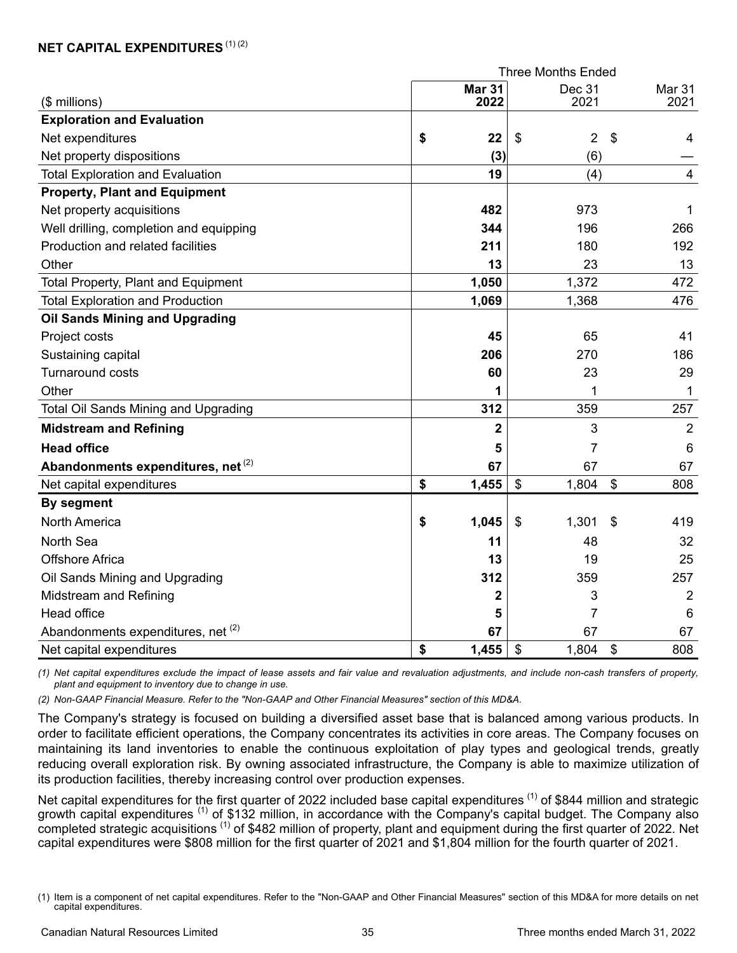### **NET CAPITAL EXPENDITURES** (1) (2)

| <b>Three Months Ended</b>                   |    |                       |                      |                           |                |  |  |
|---------------------------------------------|----|-----------------------|----------------------|---------------------------|----------------|--|--|
| (\$ millions)                               |    | <b>Mar 31</b><br>2022 | Dec 31<br>2021       |                           | Mar 31<br>2021 |  |  |
| <b>Exploration and Evaluation</b>           |    |                       |                      |                           |                |  |  |
| Net expenditures                            | \$ | 22                    | \$<br>$\overline{2}$ | $\boldsymbol{\mathsf{S}}$ | 4              |  |  |
| Net property dispositions                   |    | (3)                   | (6)                  |                           |                |  |  |
| <b>Total Exploration and Evaluation</b>     |    | 19                    | (4)                  |                           | $\overline{4}$ |  |  |
| <b>Property, Plant and Equipment</b>        |    |                       |                      |                           |                |  |  |
| Net property acquisitions                   |    | 482                   | 973                  |                           | 1              |  |  |
| Well drilling, completion and equipping     |    | 344                   | 196                  |                           | 266            |  |  |
| Production and related facilities           |    | 211                   | 180                  |                           | 192            |  |  |
| Other                                       |    | 13                    | 23                   |                           | 13             |  |  |
| <b>Total Property, Plant and Equipment</b>  |    | 1,050                 | 1,372                |                           | 472            |  |  |
| <b>Total Exploration and Production</b>     |    | 1,069                 | 1,368                |                           | 476            |  |  |
| <b>Oil Sands Mining and Upgrading</b>       |    |                       |                      |                           |                |  |  |
| Project costs                               |    | 45                    | 65                   |                           | 41             |  |  |
| Sustaining capital                          |    | 206                   | 270                  |                           | 186            |  |  |
| Turnaround costs                            |    | 60                    | 23                   |                           | 29             |  |  |
| Other                                       |    | 1                     | 1                    |                           | 1              |  |  |
| <b>Total Oil Sands Mining and Upgrading</b> |    | 312                   | 359                  |                           | 257            |  |  |
| <b>Midstream and Refining</b>               |    | $\overline{2}$        | 3                    |                           | $\overline{2}$ |  |  |
| <b>Head office</b>                          |    | 5                     | 7                    |                           | 6              |  |  |
| Abandonments expenditures, net $(2)$        |    | 67                    | 67                   |                           | 67             |  |  |
| Net capital expenditures                    | \$ | 1,455                 | \$<br>1,804          | \$                        | 808            |  |  |
| By segment                                  |    |                       |                      |                           |                |  |  |
| <b>North America</b>                        | \$ | 1,045                 | 1,301<br>\$          | \$                        | 419            |  |  |
| North Sea                                   |    | 11                    | 48                   |                           | 32             |  |  |
| <b>Offshore Africa</b>                      |    | 13                    | 19                   |                           | 25             |  |  |
| Oil Sands Mining and Upgrading              |    | 312                   | 359                  |                           | 257            |  |  |
| Midstream and Refining                      |    | 2                     | 3                    |                           | 2              |  |  |
| Head office                                 |    | 5                     | 7                    |                           | 6              |  |  |
| Abandonments expenditures, net (2)          |    | 67                    | 67                   |                           | 67             |  |  |
| Net capital expenditures                    | \$ | 1,455                 | \$<br>1,804          | \$                        | 808            |  |  |

*(1) Net capital expenditures exclude the impact of lease assets and fair value and revaluation adjustments, and include non-cash transfers of property, plant and equipment to inventory due to change in use.*

*(2) Non-GAAP Financial Measure. Refer to the "Non-GAAP and Other Financial Measures" section of this MD&A.*

The Company's strategy is focused on building a diversified asset base that is balanced among various products. In order to facilitate efficient operations, the Company concentrates its activities in core areas. The Company focuses on maintaining its land inventories to enable the continuous exploitation of play types and geological trends, greatly reducing overall exploration risk. By owning associated infrastructure, the Company is able to maximize utilization of its production facilities, thereby increasing control over production expenses.

Net capital expenditures for the first quarter of 2022 included base capital expenditures <sup>(1)</sup> of \$844 million and strategic growth capital expenditures <sup>(1)</sup> of \$132 million, in accordance with the Company's capital budget. The Company also completed strategic acquisitions <sup>(1)</sup> of \$482 million of property, plant and equipment during the first quarter of 2022. Net capital expenditures were \$808 million for the first quarter of 2021 and \$1,804 million for the fourth quarter of 2021.

<sup>(1)</sup> Item is a component of net capital expenditures. Refer to the "Non-GAAP and Other Financial Measures" section of this MD&A for more details on net capital expenditures.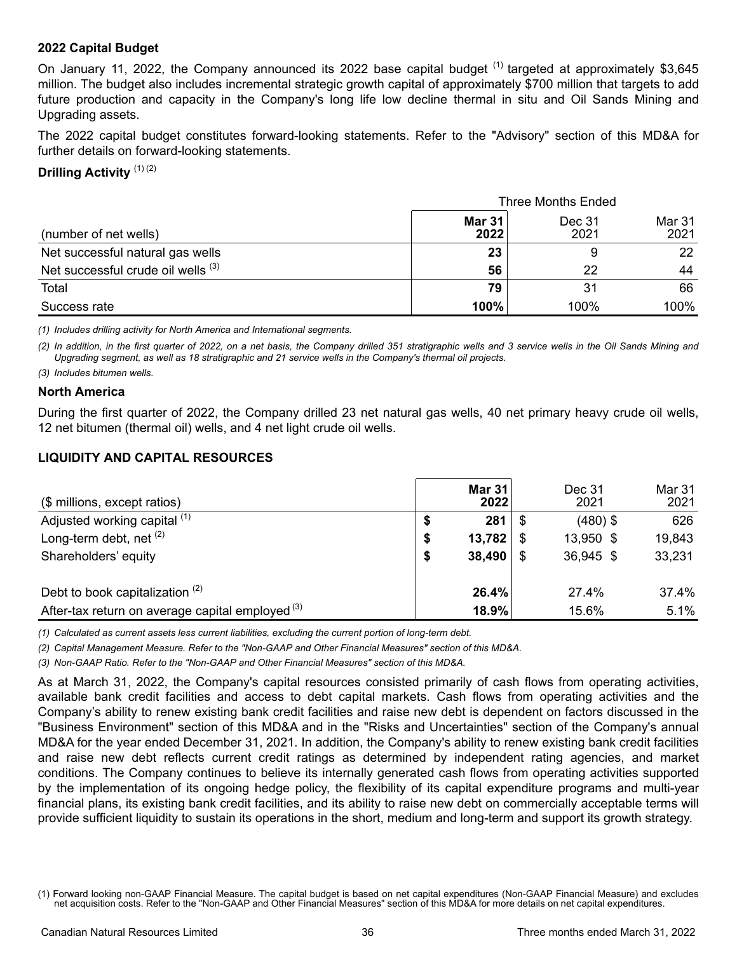### **2022 Capital Budget**

On January 11, 2022, the Company announced its 2022 base capital budget <sup>(1)</sup> targeted at approximately \$3,645 million. The budget also includes incremental strategic growth capital of approximately \$700 million that targets to add future production and capacity in the Company's long life low decline thermal in situ and Oil Sands Mining and Upgrading assets.

The 2022 capital budget constitutes forward-looking statements. Refer to the "Advisory" section of this MD&A for further details on forward-looking statements.

# **Drilling Activity** (1) (2)

|                                    | <b>Three Months Ended</b> |                |                |  |  |  |  |
|------------------------------------|---------------------------|----------------|----------------|--|--|--|--|
| (number of net wells)              | <b>Mar 31</b><br>2022     | Dec 31<br>2021 | Mar 31<br>2021 |  |  |  |  |
| Net successful natural gas wells   | 23                        | 9              | 22             |  |  |  |  |
| Net successful crude oil wells (3) | 56                        | 22             | 44             |  |  |  |  |
| Total                              | 79                        | 31             | 66             |  |  |  |  |
| Success rate                       | 100%                      | 100%           | 100%           |  |  |  |  |

*(1) Includes drilling activity for North America and International segments.*

*(2) In addition, in the first quarter of 2022, on a net basis, the Company drilled 351 stratigraphic wells and 3 service wells in the Oil Sands Mining and Upgrading segment, as well as 18 stratigraphic and 21 service wells in the Company's thermal oil projects.* 

*(3) Includes bitumen wells.*

### **North America**

During the first quarter of 2022, the Company drilled 23 net natural gas wells, 40 net primary heavy crude oil wells, 12 net bitumen (thermal oil) wells, and 4 net light crude oil wells.

## **LIQUIDITY AND CAPITAL RESOURCES**

| (\$ millions, except ratios)                       |     | <b>Mar 31</b><br>2022 | Dec 31<br>2021   | Mar 31<br>2021 |
|----------------------------------------------------|-----|-----------------------|------------------|----------------|
| Adjusted working capital <sup>(1)</sup>            |     | 281                   | \$<br>$(480)$ \$ | 626            |
| Long-term debt, net $(2)$                          | \$  | 13,782                | 13,950 \$        | 19,843         |
| Shareholders' equity                               | -\$ | 38,490                | 36,945 \$        | 33,231         |
| Debt to book capitalization <sup>(2)</sup>         |     | 26.4%                 | 27.4%            | 37.4%          |
| After-tax return on average capital employed $(3)$ |     | 18.9%                 | 15.6%            | 5.1%           |

*(1) Calculated as current assets less current liabilities, excluding the current portion of long-term debt.* 

*(2) Capital Management Measure. Refer to the "Non-GAAP and Other Financial Measures" section of this MD&A.*

*(3) Non-GAAP Ratio. Refer to the "Non-GAAP and Other Financial Measures" section of this MD&A.*

As at March 31, 2022, the Company's capital resources consisted primarily of cash flows from operating activities, available bank credit facilities and access to debt capital markets. Cash flows from operating activities and the Company's ability to renew existing bank credit facilities and raise new debt is dependent on factors discussed in the "Business Environment" section of this MD&A and in the "Risks and Uncertainties" section of the Company's annual MD&A for the year ended December 31, 2021. In addition, the Company's ability to renew existing bank credit facilities and raise new debt reflects current credit ratings as determined by independent rating agencies, and market conditions. The Company continues to believe its internally generated cash flows from operating activities supported by the implementation of its ongoing hedge policy, the flexibility of its capital expenditure programs and multi-year financial plans, its existing bank credit facilities, and its ability to raise new debt on commercially acceptable terms will provide sufficient liquidity to sustain its operations in the short, medium and long-term and support its growth strategy.

<sup>(1)</sup> Forward looking non-GAAP Financial Measure. The capital budget is based on net capital expenditures (Non-GAAP Financial Measure) and excludes net acquisition costs. Refer to the "Non-GAAP and Other Financial Measures" section of this MD&A for more details on net capital expenditures.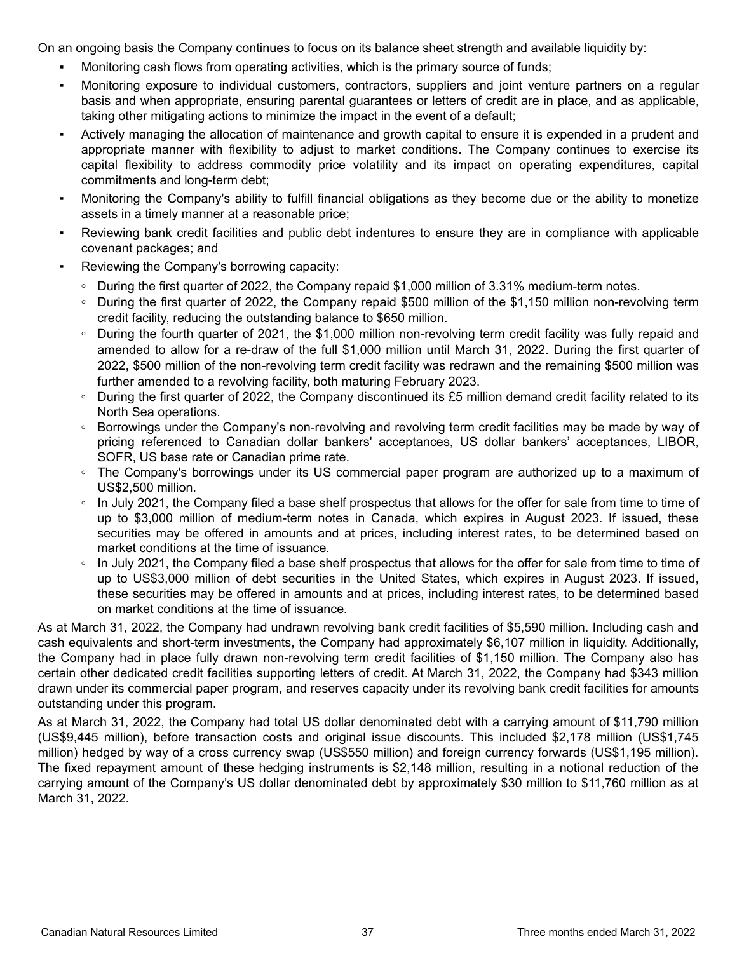On an ongoing basis the Company continues to focus on its balance sheet strength and available liquidity by:

- Monitoring cash flows from operating activities, which is the primary source of funds;
- Monitoring exposure to individual customers, contractors, suppliers and joint venture partners on a regular basis and when appropriate, ensuring parental guarantees or letters of credit are in place, and as applicable, taking other mitigating actions to minimize the impact in the event of a default;
- Actively managing the allocation of maintenance and growth capital to ensure it is expended in a prudent and appropriate manner with flexibility to adjust to market conditions. The Company continues to exercise its capital flexibility to address commodity price volatility and its impact on operating expenditures, capital commitments and long-term debt;
- Monitoring the Company's ability to fulfill financial obligations as they become due or the ability to monetize assets in a timely manner at a reasonable price;
- Reviewing bank credit facilities and public debt indentures to ensure they are in compliance with applicable covenant packages; and
- Reviewing the Company's borrowing capacity:
	- **◦** During the first quarter of 2022, the Company repaid \$1,000 million of 3.31% medium-term notes.
	- **◦** During the first quarter of 2022, the Company repaid \$500 million of the \$1,150 million non-revolving term credit facility, reducing the outstanding balance to \$650 million.
	- **◦** During the fourth quarter of 2021, the \$1,000 million non-revolving term credit facility was fully repaid and amended to allow for a re-draw of the full \$1,000 million until March 31, 2022. During the first quarter of 2022, \$500 million of the non-revolving term credit facility was redrawn and the remaining \$500 million was further amended to a revolving facility, both maturing February 2023.
	- **◦** During the first quarter of 2022, the Company discontinued its £5 million demand credit facility related to its North Sea operations.
	- **◦** Borrowings under the Company's non-revolving and revolving term credit facilities may be made by way of pricing referenced to Canadian dollar bankers' acceptances, US dollar bankers' acceptances, LIBOR, SOFR, US base rate or Canadian prime rate.
	- **◦** The Company's borrowings under its US commercial paper program are authorized up to a maximum of US\$2,500 million.
	- **◦** In July 2021, the Company filed a base shelf prospectus that allows for the offer for sale from time to time of up to \$3,000 million of medium-term notes in Canada, which expires in August 2023. If issued, these securities may be offered in amounts and at prices, including interest rates, to be determined based on market conditions at the time of issuance.
	- **◦** In July 2021, the Company filed a base shelf prospectus that allows for the offer for sale from time to time of up to US\$3,000 million of debt securities in the United States, which expires in August 2023. If issued, these securities may be offered in amounts and at prices, including interest rates, to be determined based on market conditions at the time of issuance.

As at March 31, 2022, the Company had undrawn revolving bank credit facilities of \$5,590 million. Including cash and cash equivalents and short-term investments, the Company had approximately \$6,107 million in liquidity. Additionally, the Company had in place fully drawn non-revolving term credit facilities of \$1,150 million. The Company also has certain other dedicated credit facilities supporting letters of credit. At March 31, 2022, the Company had \$343 million drawn under its commercial paper program, and reserves capacity under its revolving bank credit facilities for amounts outstanding under this program.

As at March 31, 2022, the Company had total US dollar denominated debt with a carrying amount of \$11,790 million (US\$9,445 million), before transaction costs and original issue discounts. This included \$2,178 million (US\$1,745 million) hedged by way of a cross currency swap (US\$550 million) and foreign currency forwards (US\$1,195 million). The fixed repayment amount of these hedging instruments is \$2,148 million, resulting in a notional reduction of the carrying amount of the Company's US dollar denominated debt by approximately \$30 million to \$11,760 million as at March 31, 2022.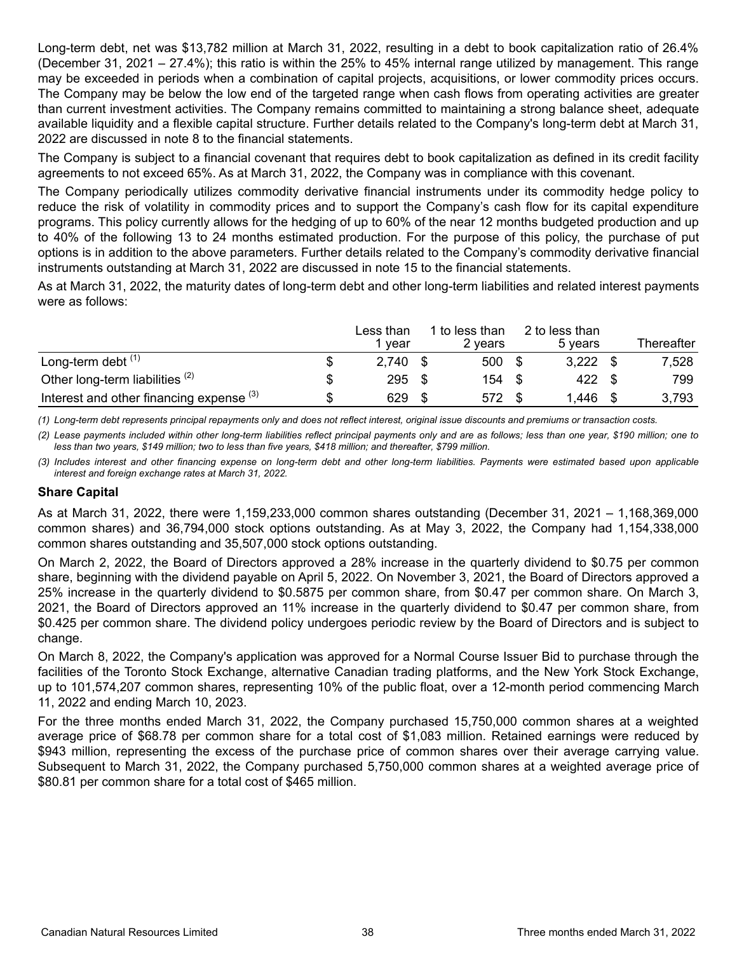Long-term debt, net was \$13,782 million at March 31, 2022, resulting in a debt to book capitalization ratio of 26.4% (December 31, 2021 – 27.4%); this ratio is within the 25% to 45% internal range utilized by management. This range may be exceeded in periods when a combination of capital projects, acquisitions, or lower commodity prices occurs. The Company may be below the low end of the targeted range when cash flows from operating activities are greater than current investment activities. The Company remains committed to maintaining a strong balance sheet, adequate available liquidity and a flexible capital structure. Further details related to the Company's long-term debt at March 31, 2022 are discussed in note 8 to the financial statements.

The Company is subject to a financial covenant that requires debt to book capitalization as defined in its credit facility agreements to not exceed 65%. As at March 31, 2022, the Company was in compliance with this covenant.

The Company periodically utilizes commodity derivative financial instruments under its commodity hedge policy to reduce the risk of volatility in commodity prices and to support the Company's cash flow for its capital expenditure programs. This policy currently allows for the hedging of up to 60% of the near 12 months budgeted production and up to 40% of the following 13 to 24 months estimated production. For the purpose of this policy, the purchase of put options is in addition to the above parameters. Further details related to the Company's commodity derivative financial instruments outstanding at March 31, 2022 are discussed in note 15 to the financial statements.

As at March 31, 2022, the maturity dates of long-term debt and other long-term liabilities and related interest payments were as follows:

|                                          | Less than<br>vear | to less than<br>2 years | 2 to less than<br>5 years | Thereafter |
|------------------------------------------|-------------------|-------------------------|---------------------------|------------|
| Long-term debt $(1)$                     | 2,740             | 500                     | 3,222                     | 7,528      |
| Other long-term liabilities (2)          | 295               | 154                     | 422                       | 799        |
| Interest and other financing expense (3) | 629               | 572                     | .446                      | 3,793      |

*(1) Long-term debt represents principal repayments only and does not reflect interest, original issue discounts and premiums or transaction costs.*

*(2) Lease payments included within other long-term liabilities reflect principal payments only and are as follows; less than one year, \$190 million; one to less than two years, \$149 million; two to less than five years, \$418 million; and thereafter, \$799 million.*

*(3) Includes interest and other financing expense on long-term debt and other long-term liabilities. Payments were estimated based upon applicable interest and foreign exchange rates at March 31, 2022.*

#### **Share Capital**

As at March 31, 2022, there were 1,159,233,000 common shares outstanding (December 31, 2021 – 1,168,369,000 common shares) and 36,794,000 stock options outstanding. As at May 3, 2022, the Company had 1,154,338,000 common shares outstanding and 35,507,000 stock options outstanding.

On March 2, 2022, the Board of Directors approved a 28% increase in the quarterly dividend to \$0.75 per common share, beginning with the dividend payable on April 5, 2022. On November 3, 2021, the Board of Directors approved a 25% increase in the quarterly dividend to \$0.5875 per common share, from \$0.47 per common share. On March 3, 2021, the Board of Directors approved an 11% increase in the quarterly dividend to \$0.47 per common share, from \$0.425 per common share. The dividend policy undergoes periodic review by the Board of Directors and is subject to change.

On March 8, 2022, the Company's application was approved for a Normal Course Issuer Bid to purchase through the facilities of the Toronto Stock Exchange, alternative Canadian trading platforms, and the New York Stock Exchange, up to 101,574,207 common shares, representing 10% of the public float, over a 12-month period commencing March 11, 2022 and ending March 10, 2023.

For the three months ended March 31, 2022, the Company purchased 15,750,000 common shares at a weighted average price of \$68.78 per common share for a total cost of \$1,083 million. Retained earnings were reduced by \$943 million, representing the excess of the purchase price of common shares over their average carrying value. Subsequent to March 31, 2022, the Company purchased 5,750,000 common shares at a weighted average price of \$80.81 per common share for a total cost of \$465 million.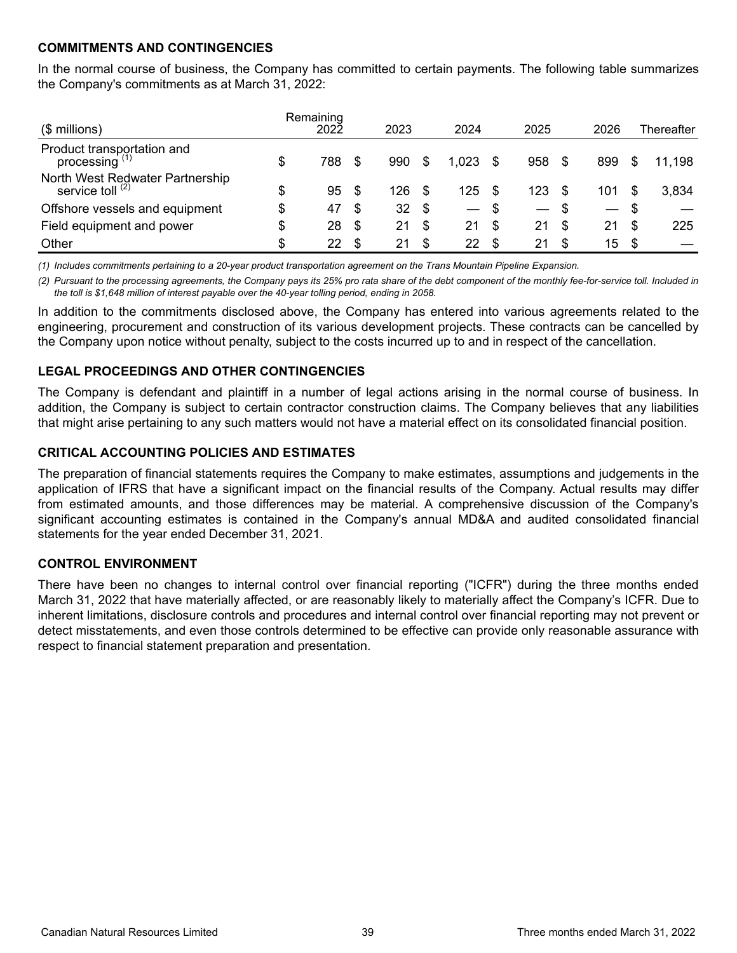## **COMMITMENTS AND CONTINGENCIES**

In the normal course of business, the Company has committed to certain payments. The following table summarizes the Company's commitments as at March 31, 2022:

| $($$ millions)                                        | Remaining<br>2022 |      | 2023 |      | 2024  |      | 2025 |    | 2026 |     | Thereafter |
|-------------------------------------------------------|-------------------|------|------|------|-------|------|------|----|------|-----|------------|
| Product transportation and<br>processing (1)          | 788               |      | 990  | S    | 1,023 | S    | 958  | S  | 899  |     | 11.198     |
| North West Redwater Partnership<br>service toll $(2)$ | 95                | \$   | 126  | \$.  | 125   | \$   | 123  | -S | 101  |     | 3,834      |
| Offshore vessels and equipment                        | \$<br>47          | - \$ | 32   | - \$ |       |      |      |    |      | \$  |            |
| Field equipment and power                             | \$<br>28          | \$   | 21   | \$   | 21    | - \$ | 21   | S  | 21   | \$. | 225        |
| Other                                                 | 22                | S    | 21   | -S   | 22    | -S   | 21   | S  | 15   | -S  |            |

*(1) Includes commitments pertaining to a 20-year product transportation agreement on the Trans Mountain Pipeline Expansion.*

*(2) Pursuant to the processing agreements, the Company pays its 25% pro rata share of the debt component of the monthly fee-for-service toll. Included in the toll is \$1,648 million of interest payable over the 40-year tolling period, ending in 2058.*

In addition to the commitments disclosed above, the Company has entered into various agreements related to the engineering, procurement and construction of its various development projects. These contracts can be cancelled by the Company upon notice without penalty, subject to the costs incurred up to and in respect of the cancellation.

## **LEGAL PROCEEDINGS AND OTHER CONTINGENCIES**

The Company is defendant and plaintiff in a number of legal actions arising in the normal course of business. In addition, the Company is subject to certain contractor construction claims. The Company believes that any liabilities that might arise pertaining to any such matters would not have a material effect on its consolidated financial position.

## **CRITICAL ACCOUNTING POLICIES AND ESTIMATES**

The preparation of financial statements requires the Company to make estimates, assumptions and judgements in the application of IFRS that have a significant impact on the financial results of the Company. Actual results may differ from estimated amounts, and those differences may be material. A comprehensive discussion of the Company's significant accounting estimates is contained in the Company's annual MD&A and audited consolidated financial statements for the year ended December 31, 2021.

## **CONTROL ENVIRONMENT**

There have been no changes to internal control over financial reporting ("ICFR") during the three months ended March 31, 2022 that have materially affected, or are reasonably likely to materially affect the Company's ICFR. Due to inherent limitations, disclosure controls and procedures and internal control over financial reporting may not prevent or detect misstatements, and even those controls determined to be effective can provide only reasonable assurance with respect to financial statement preparation and presentation.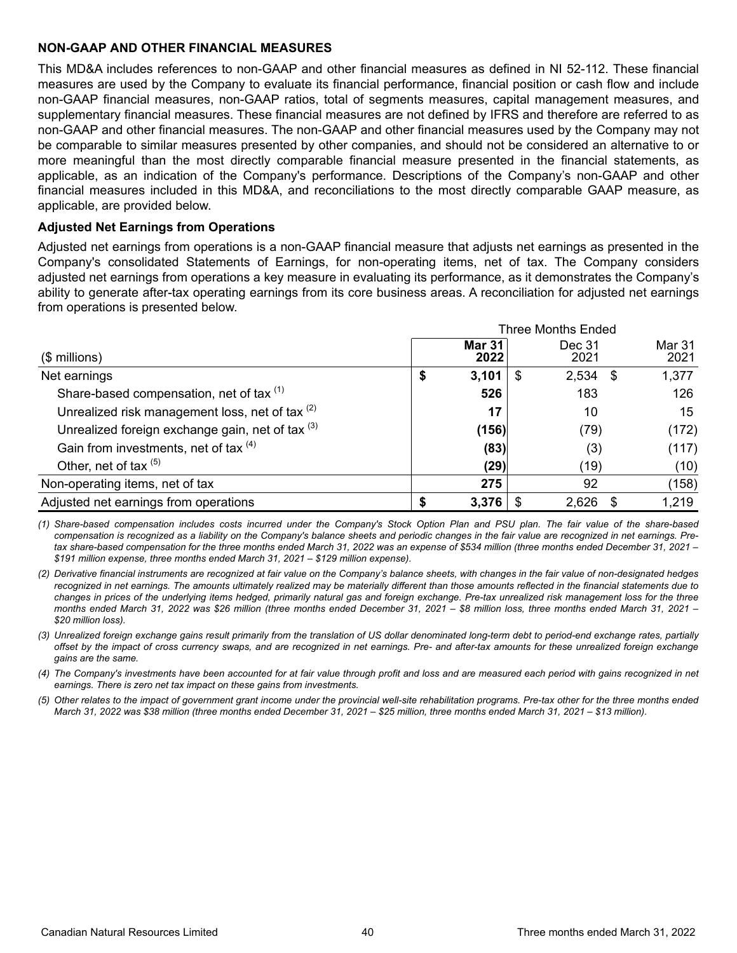#### **NON-GAAP AND OTHER FINANCIAL MEASURES**

This MD&A includes references to non-GAAP and other financial measures as defined in NI 52-112. These financial measures are used by the Company to evaluate its financial performance, financial position or cash flow and include non-GAAP financial measures, non-GAAP ratios, total of segments measures, capital management measures, and supplementary financial measures. These financial measures are not defined by IFRS and therefore are referred to as non-GAAP and other financial measures. The non-GAAP and other financial measures used by the Company may not be comparable to similar measures presented by other companies, and should not be considered an alternative to or more meaningful than the most directly comparable financial measure presented in the financial statements, as applicable, as an indication of the Company's performance. Descriptions of the Company's non-GAAP and other financial measures included in this MD&A, and reconciliations to the most directly comparable GAAP measure, as applicable, are provided below.

#### **Adjusted Net Earnings from Operations**

Adjusted net earnings from operations is a non-GAAP financial measure that adjusts net earnings as presented in the Company's consolidated Statements of Earnings, for non-operating items, net of tax. The Company considers adjusted net earnings from operations a key measure in evaluating its performance, as it demonstrates the Company's ability to generate after-tax operating earnings from its core business areas. A reconciliation for adjusted net earnings from operations is presented below.

|                                                            | <b>Three Months Ended</b> |                       |  |                |  |                |  |  |  |  |
|------------------------------------------------------------|---------------------------|-----------------------|--|----------------|--|----------------|--|--|--|--|
| (\$ millions)                                              |                           | <b>Mar 31</b><br>2022 |  | Dec 31<br>2021 |  | Mar 31<br>2021 |  |  |  |  |
| Net earnings                                               | \$                        | 3,101                 |  | $2,534$ \$     |  | 1,377          |  |  |  |  |
| Share-based compensation, net of tax (1)                   |                           | 526                   |  | 183            |  | 126            |  |  |  |  |
| Unrealized risk management loss, net of tax <sup>(2)</sup> |                           | 17                    |  | 10             |  | 15             |  |  |  |  |
| Unrealized foreign exchange gain, net of tax (3)           |                           | (156)                 |  | (79)           |  | (172)          |  |  |  |  |
| Gain from investments, net of tax (4)                      |                           | (83)                  |  | (3)            |  | (117)          |  |  |  |  |
| Other, net of tax $(5)$                                    |                           | (29)                  |  | (19)           |  | (10)           |  |  |  |  |
| Non-operating items, net of tax                            |                           | 275                   |  | 92             |  | (158)          |  |  |  |  |
| Adjusted net earnings from operations                      | \$                        | 3,376                 |  | 2,626          |  | 1,219          |  |  |  |  |

*(1) Share-based compensation includes costs incurred under the Company's Stock Option Plan and PSU plan. The fair value of the share-based compensation is recognized as a liability on the Company's balance sheets and periodic changes in the fair value are recognized in net earnings. Pretax share-based compensation for the three months ended March 31, 2022 was an expense of \$534 million (three months ended December 31, 2021 – \$191 million expense, three months ended March 31, 2021 – \$129 million expense).*

- *(2) Derivative financial instruments are recognized at fair value on the Company's balance sheets, with changes in the fair value of non-designated hedges recognized in net earnings. The amounts ultimately realized may be materially different than those amounts reflected in the financial statements due to changes in prices of the underlying items hedged, primarily natural gas and foreign exchange. Pre-tax unrealized risk management loss for the three months ended March 31, 2022 was \$26 million (three months ended December 31, 2021 – \$8 million loss, three months ended March 31, 2021 – \$20 million loss).*
- *(3) Unrealized foreign exchange gains result primarily from the translation of US dollar denominated long-term debt to period-end exchange rates, partially offset by the impact of cross currency swaps, and are recognized in net earnings. Pre- and after-tax amounts for these unrealized foreign exchange gains are the same.*
- (4) The Company's investments have been accounted for at fair value through profit and loss and are measured each period with gains recognized in net *earnings. There is zero net tax impact on these gains from investments.*
- *(5) Other relates to the impact of government grant income under the provincial well-site rehabilitation programs. Pre-tax other for the three months ended March 31, 2022 was \$38 million (three months ended December 31, 2021 – \$25 million, three months ended March 31, 2021 – \$13 million).*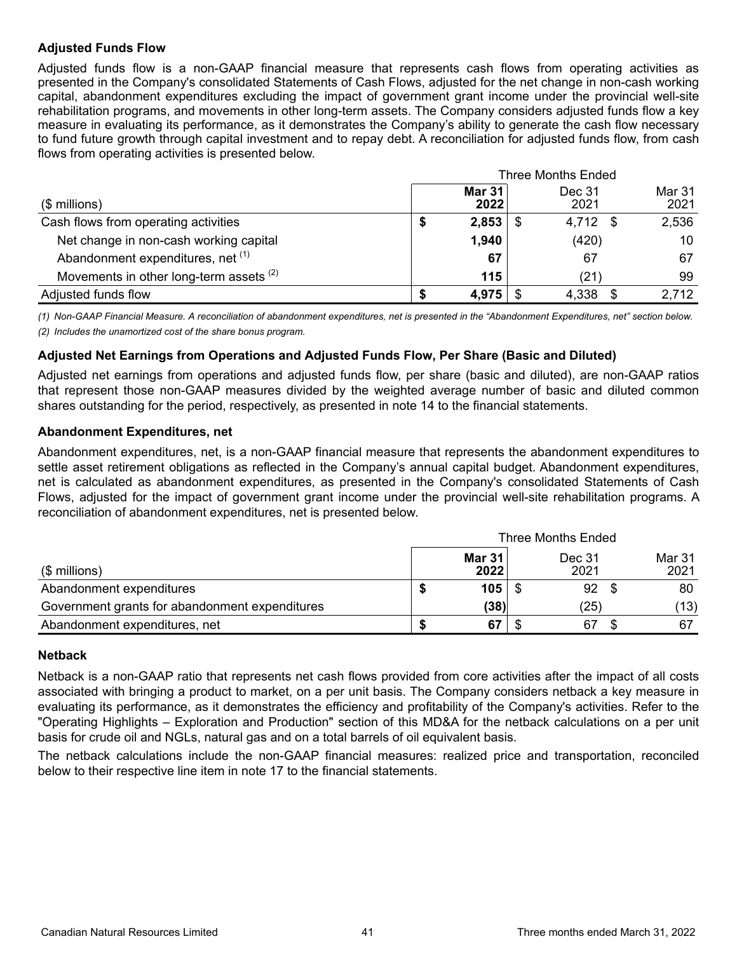## **Adjusted Funds Flow**

Adjusted funds flow is a non-GAAP financial measure that represents cash flows from operating activities as presented in the Company's consolidated Statements of Cash Flows, adjusted for the net change in non-cash working capital, abandonment expenditures excluding the impact of government grant income under the provincial well-site rehabilitation programs, and movements in other long-term assets. The Company considers adjusted funds flow a key measure in evaluating its performance, as it demonstrates the Company's ability to generate the cash flow necessary to fund future growth through capital investment and to repay debt. A reconciliation for adjusted funds flow, from cash flows from operating activities is presented below.

|                                           | <b>Three Months Ended</b> |                       |                |  |                |  |  |  |  |
|-------------------------------------------|---------------------------|-----------------------|----------------|--|----------------|--|--|--|--|
| $$$ millions)                             |                           | <b>Mar 31</b><br>2022 | Dec 31<br>2021 |  | Mar 31<br>2021 |  |  |  |  |
| Cash flows from operating activities      |                           | 2,853                 | 4,712<br>\$.   |  | 2,536          |  |  |  |  |
| Net change in non-cash working capital    |                           | 1,940                 | (420)          |  | 10             |  |  |  |  |
| Abandonment expenditures, net (1)         |                           | 67                    | 67             |  | 67             |  |  |  |  |
| Movements in other long-term assets $(2)$ |                           | 115                   | (21)           |  | 99             |  |  |  |  |
| Adjusted funds flow                       |                           | 4,975                 | 4,338          |  | 2,712          |  |  |  |  |

*(1) Non-GAAP Financial Measure. A reconciliation of abandonment expenditures, net is presented in the "Abandonment Expenditures, net" section below. (2) Includes the unamortized cost of the share bonus program.*

## **Adjusted Net Earnings from Operations and Adjusted Funds Flow, Per Share (Basic and Diluted)**

Adjusted net earnings from operations and adjusted funds flow, per share (basic and diluted), are non-GAAP ratios that represent those non-GAAP measures divided by the weighted average number of basic and diluted common shares outstanding for the period, respectively, as presented in note 14 to the financial statements.

## **Abandonment Expenditures, net**

Abandonment expenditures, net, is a non-GAAP financial measure that represents the abandonment expenditures to settle asset retirement obligations as reflected in the Company's annual capital budget. Abandonment expenditures, net is calculated as abandonment expenditures, as presented in the Company's consolidated Statements of Cash Flows, adjusted for the impact of government grant income under the provincial well-site rehabilitation programs. A reconciliation of abandonment expenditures, net is presented below.

|                                                | Three Months Ended |                       |  |                |  |                |  |  |
|------------------------------------------------|--------------------|-----------------------|--|----------------|--|----------------|--|--|
| $($$ millions)                                 |                    | <b>Mar 31</b><br>2022 |  | Dec 31<br>2021 |  | Mar 31<br>2021 |  |  |
| Abandonment expenditures                       |                    | 105                   |  | 92             |  | 80             |  |  |
| Government grants for abandonment expenditures |                    | (38)                  |  | (25)           |  | (13)           |  |  |
| Abandonment expenditures, net                  |                    | 67                    |  | 67             |  | 67             |  |  |

## **Netback**

Netback is a non-GAAP ratio that represents net cash flows provided from core activities after the impact of all costs associated with bringing a product to market, on a per unit basis. The Company considers netback a key measure in evaluating its performance, as it demonstrates the efficiency and profitability of the Company's activities. Refer to the "Operating Highlights – Exploration and Production" section of this MD&A for the netback calculations on a per unit basis for crude oil and NGLs, natural gas and on a total barrels of oil equivalent basis.

The netback calculations include the non-GAAP financial measures: realized price and transportation, reconciled below to their respective line item in note 17 to the financial statements.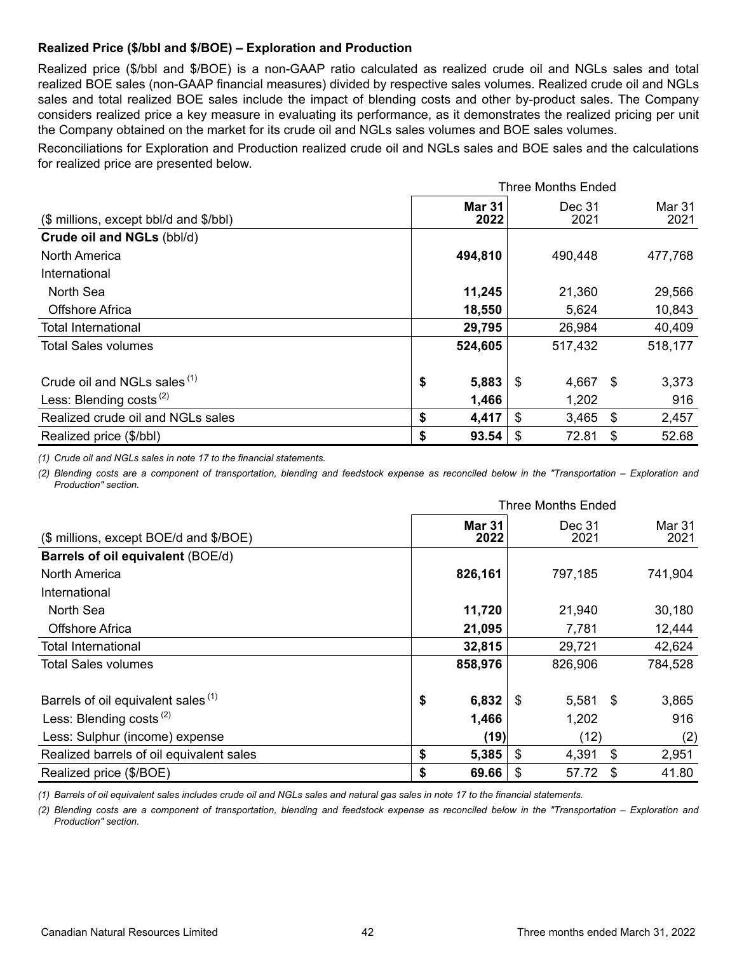## **Realized Price (\$/bbl and \$/BOE) – Exploration and Production**

Realized price (\$/bbl and \$/BOE) is a non-GAAP ratio calculated as realized crude oil and NGLs sales and total realized BOE sales (non-GAAP financial measures) divided by respective sales volumes. Realized crude oil and NGLs sales and total realized BOE sales include the impact of blending costs and other by-product sales. The Company considers realized price a key measure in evaluating its performance, as it demonstrates the realized pricing per unit the Company obtained on the market for its crude oil and NGLs sales volumes and BOE sales volumes.

Reconciliations for Exploration and Production realized crude oil and NGLs sales and BOE sales and the calculations for realized price are presented below.

|                                        |                       |                | <b>Three Months Ended</b> |                |  |  |  |  |  |  |  |
|----------------------------------------|-----------------------|----------------|---------------------------|----------------|--|--|--|--|--|--|--|
| (\$ millions, except bbl/d and \$/bbl) | <b>Mar 31</b><br>2022 | Dec 31<br>2021 |                           | Mar 31<br>2021 |  |  |  |  |  |  |  |
| Crude oil and NGLs (bbl/d)             |                       |                |                           |                |  |  |  |  |  |  |  |
| North America                          | 494,810               | 490,448        |                           | 477,768        |  |  |  |  |  |  |  |
| International                          |                       |                |                           |                |  |  |  |  |  |  |  |
| North Sea                              | 11,245                | 21,360         |                           | 29,566         |  |  |  |  |  |  |  |
| Offshore Africa                        | 18,550                | 5,624          |                           | 10,843         |  |  |  |  |  |  |  |
| <b>Total International</b>             | 29,795                | 26,984         |                           | 40,409         |  |  |  |  |  |  |  |
| <b>Total Sales volumes</b>             | 524,605               | 517,432        |                           | 518,177        |  |  |  |  |  |  |  |
|                                        |                       |                |                           |                |  |  |  |  |  |  |  |
| Crude oil and NGLs sales (1)           | \$<br>5,883           | \$<br>4,667    | - \$                      | 3,373          |  |  |  |  |  |  |  |
| Less: Blending costs $(2)$             | 1,466                 | 1,202          |                           | 916            |  |  |  |  |  |  |  |
| Realized crude oil and NGLs sales      | \$<br>4,417           | \$<br>3,465    | \$                        | 2,457          |  |  |  |  |  |  |  |
| Realized price (\$/bbl)                | \$<br>93.54           | \$<br>72.81    | \$                        | 52.68          |  |  |  |  |  |  |  |

*(1) Crude oil and NGLs sales in note 17 to the financial statements.*

*(2) Blending costs are a component of transportation, blending and feedstock expense as reconciled below in the "Transportation – Exploration and Production" section.*

|                                                | <b>Three Months Ended</b> |                       |     |                |    |                |  |  |  |  |
|------------------------------------------------|---------------------------|-----------------------|-----|----------------|----|----------------|--|--|--|--|
| (\$ millions, except BOE/d and \$/BOE)         |                           | <b>Mar 31</b><br>2022 |     | Dec 31<br>2021 |    | Mar 31<br>2021 |  |  |  |  |
| <b>Barrels of oil equivalent (BOE/d)</b>       |                           |                       |     |                |    |                |  |  |  |  |
| North America                                  |                           | 826,161               |     | 797,185        |    | 741,904        |  |  |  |  |
| International                                  |                           |                       |     |                |    |                |  |  |  |  |
| North Sea                                      |                           | 11,720                |     | 21,940         |    | 30,180         |  |  |  |  |
| Offshore Africa                                |                           | 21,095                |     | 7,781          |    | 12,444         |  |  |  |  |
| <b>Total International</b>                     |                           | 32,815                |     | 29,721         |    | 42,624         |  |  |  |  |
| Total Sales volumes                            |                           | 858,976               |     | 826,906        |    | 784,528        |  |  |  |  |
| Barrels of oil equivalent sales <sup>(1)</sup> | \$                        | 6,832                 | -\$ | $5,581$ \$     |    | 3,865          |  |  |  |  |
| Less: Blending costs $(2)$                     |                           | 1,466                 |     | 1,202          |    | 916            |  |  |  |  |
| Less: Sulphur (income) expense                 |                           | (19)                  |     | (12)           |    | (2)            |  |  |  |  |
| Realized barrels of oil equivalent sales       | \$                        | 5,385                 | \$  | 4,391          | \$ | 2,951          |  |  |  |  |
| Realized price (\$/BOE)                        | \$                        | 69.66                 | \$  | 57.72          | \$ | 41.80          |  |  |  |  |

*(1) Barrels of oil equivalent sales includes crude oil and NGLs sales and natural gas sales in note 17 to the financial statements.*

*(2) Blending costs are a component of transportation, blending and feedstock expense as reconciled below in the "Transportation – Exploration and Production" section.*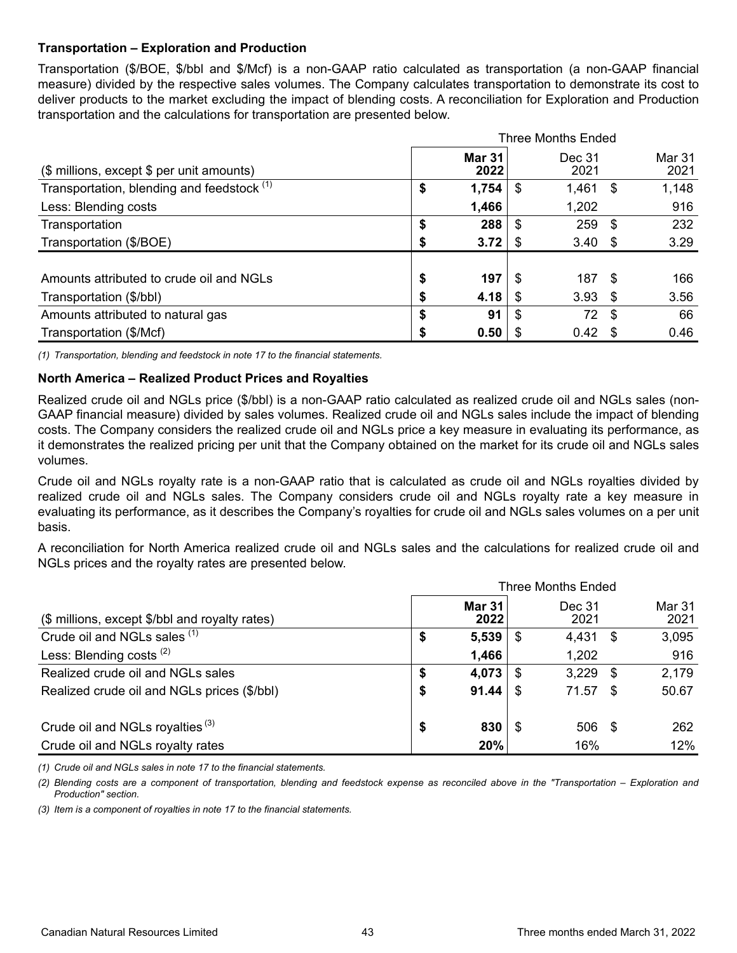#### **Transportation – Exploration and Production**

Transportation (\$/BOE, \$/bbl and \$/Mcf) is a non-GAAP ratio calculated as transportation (a non-GAAP financial measure) divided by the respective sales volumes. The Company calculates transportation to demonstrate its cost to deliver products to the market excluding the impact of blending costs. A reconciliation for Exploration and Production transportation and the calculations for transportation are presented below.

|                                            | Three Months Ended |                       |    |                   |      |                |  |  |
|--------------------------------------------|--------------------|-----------------------|----|-------------------|------|----------------|--|--|
| (\$ millions, except \$ per unit amounts)  |                    | <b>Mar 31</b><br>2022 |    | Dec 31<br>2021    |      | Mar 31<br>2021 |  |  |
| Transportation, blending and feedstock (1) | \$                 | 1,754                 | \$ | 1,461             | - \$ | 1,148          |  |  |
| Less: Blending costs                       |                    | 1,466                 |    | 1,202             |      | 916            |  |  |
| Transportation                             | \$                 | 288                   | S  | 259               | - \$ | 232            |  |  |
| Transportation (\$/BOE)                    | \$                 | 3.72                  | \$ | $3.40 \text{ } $$ |      | 3.29           |  |  |
|                                            |                    |                       |    |                   |      |                |  |  |
| Amounts attributed to crude oil and NGLs   | \$                 | 197                   | S  | 187               | - \$ | 166            |  |  |
| Transportation (\$/bbl)                    | \$                 | 4.18                  | \$ | $3.93$ \$         |      | 3.56           |  |  |
| Amounts attributed to natural gas          | \$                 | 91                    | \$ | 72                | -\$  | 66             |  |  |
| Transportation (\$/Mcf)                    | \$                 | 0.50                  | S  | 0.42              |      | 0.46           |  |  |

*(1) Transportation, blending and feedstock in note 17 to the financial statements.*

#### **North America – Realized Product Prices and Royalties**

Realized crude oil and NGLs price (\$/bbl) is a non-GAAP ratio calculated as realized crude oil and NGLs sales (non-GAAP financial measure) divided by sales volumes. Realized crude oil and NGLs sales include the impact of blending costs. The Company considers the realized crude oil and NGLs price a key measure in evaluating its performance, as it demonstrates the realized pricing per unit that the Company obtained on the market for its crude oil and NGLs sales volumes.

Crude oil and NGLs royalty rate is a non-GAAP ratio that is calculated as crude oil and NGLs royalties divided by realized crude oil and NGLs sales. The Company considers crude oil and NGLs royalty rate a key measure in evaluating its performance, as it describes the Company's royalties for crude oil and NGLs sales volumes on a per unit basis.

A reconciliation for North America realized crude oil and NGLs sales and the calculations for realized crude oil and NGLs prices and the royalty rates are presented below.

|                                                | <b>Three Months Ended</b> |                       |    |                |      |                |  |  |
|------------------------------------------------|---------------------------|-----------------------|----|----------------|------|----------------|--|--|
| (\$ millions, except \$/bbl and royalty rates) |                           | <b>Mar 31</b><br>2022 |    | Dec 31<br>2021 |      | Mar 31<br>2021 |  |  |
| Crude oil and NGLs sales (1)                   | \$                        | 5,539                 | \$ | 4,431          |      | 3,095          |  |  |
| Less: Blending costs <sup>(2)</sup>            |                           | 1,466                 |    | 1,202          |      | 916            |  |  |
| Realized crude oil and NGLs sales              | \$                        | 4,073                 | S  | 3,229          | - \$ | 2,179          |  |  |
| Realized crude oil and NGLs prices (\$/bbl)    | \$                        | 91.44                 | S  | 71.57          | -S   | 50.67          |  |  |
| Crude oil and NGLs royalties <sup>(3)</sup>    | \$                        | 830                   | S  | 506            |      | 262            |  |  |
| Crude oil and NGLs royalty rates               |                           | 20%                   |    | 16%            |      | 12%            |  |  |

*(1) Crude oil and NGLs sales in note 17 to the financial statements.*

*(2) Blending costs are a component of transportation, blending and feedstock expense as reconciled above in the "Transportation – Exploration and Production" section.*

*(3) Item is a component of royalties in note 17 to the financial statements.*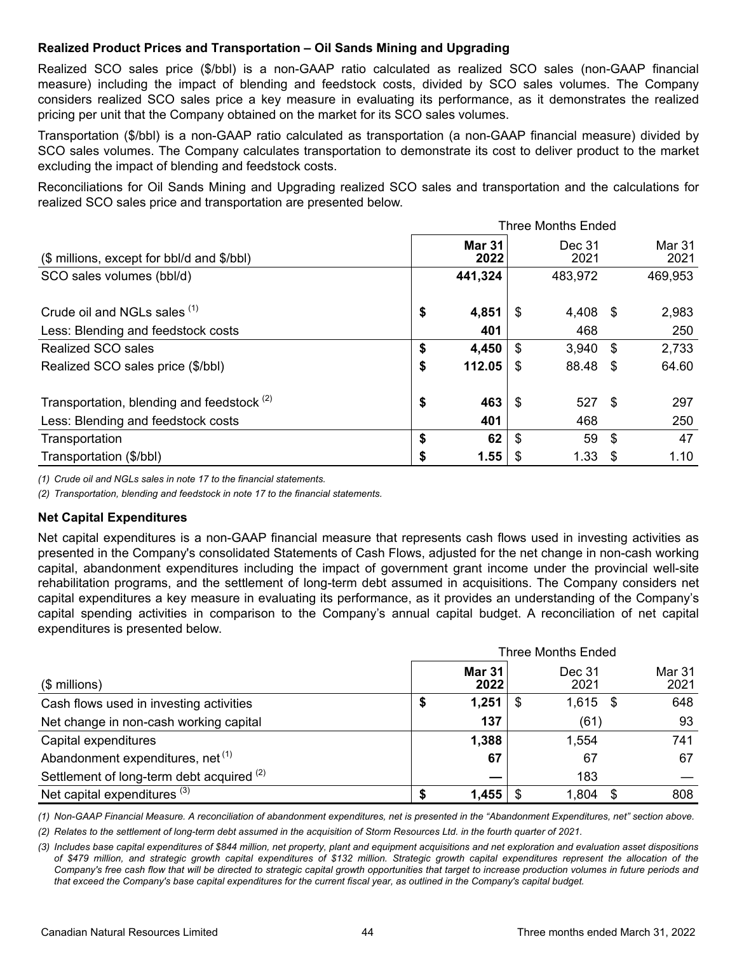## **Realized Product Prices and Transportation – Oil Sands Mining and Upgrading**

Realized SCO sales price (\$/bbl) is a non-GAAP ratio calculated as realized SCO sales (non-GAAP financial measure) including the impact of blending and feedstock costs, divided by SCO sales volumes. The Company considers realized SCO sales price a key measure in evaluating its performance, as it demonstrates the realized pricing per unit that the Company obtained on the market for its SCO sales volumes.

Transportation (\$/bbl) is a non-GAAP ratio calculated as transportation (a non-GAAP financial measure) divided by SCO sales volumes. The Company calculates transportation to demonstrate its cost to deliver product to the market excluding the impact of blending and feedstock costs.

Reconciliations for Oil Sands Mining and Upgrading realized SCO sales and transportation and the calculations for realized SCO sales price and transportation are presented below.

|                                                       | <b>Three Months Ended</b> |                       |    |                |    |                |  |  |  |
|-------------------------------------------------------|---------------------------|-----------------------|----|----------------|----|----------------|--|--|--|
| (\$ millions, except for bbl/d and \$/bbl)            |                           | <b>Mar 31</b><br>2022 |    | Dec 31<br>2021 |    | Mar 31<br>2021 |  |  |  |
| SCO sales volumes (bbl/d)                             |                           | 441,324               |    | 483,972        |    | 469,953        |  |  |  |
| Crude oil and NGLs sales (1)                          | \$                        | 4,851                 | S  | $4,408$ \$     |    | 2,983          |  |  |  |
| Less: Blending and feedstock costs                    |                           | 401                   |    | 468            |    | 250            |  |  |  |
| <b>Realized SCO sales</b>                             | \$                        | 4,450                 | \$ | $3,940$ \$     |    | 2,733          |  |  |  |
| Realized SCO sales price (\$/bbl)                     | \$                        | 112.05                | S  | 88.48          | -S | 64.60          |  |  |  |
| Transportation, blending and feedstock <sup>(2)</sup> | \$                        | 463                   | \$ | 527 \$         |    | 297            |  |  |  |
| Less: Blending and feedstock costs                    |                           | 401                   |    | 468            |    | 250            |  |  |  |
| Transportation                                        | \$                        | 62                    | \$ | 59             | \$ | 47             |  |  |  |
| Transportation (\$/bbl)                               | \$                        | 1.55                  | S  | 1.33           | S. | 1.10           |  |  |  |

*(1) Crude oil and NGLs sales in note 17 to the financial statements.*

*(2) Transportation, blending and feedstock in note 17 to the financial statements.*

## **Net Capital Expenditures**

Net capital expenditures is a non-GAAP financial measure that represents cash flows used in investing activities as presented in the Company's consolidated Statements of Cash Flows, adjusted for the net change in non-cash working capital, abandonment expenditures including the impact of government grant income under the provincial well-site rehabilitation programs, and the settlement of long-term debt assumed in acquisitions. The Company considers net capital expenditures a key measure in evaluating its performance, as it provides an understanding of the Company's capital spending activities in comparison to the Company's annual capital budget. A reconciliation of net capital expenditures is presented below.

|                                              | Three Months Ended |    |                       |   |                |  |                |  |  |
|----------------------------------------------|--------------------|----|-----------------------|---|----------------|--|----------------|--|--|
| $($$ millions)                               |                    |    | <b>Mar 31</b><br>2022 |   | Dec 31<br>2021 |  | Mar 31<br>2021 |  |  |
| Cash flows used in investing activities      |                    | \$ | 1,251                 | S | $1,615$ \$     |  | 648            |  |  |
| Net change in non-cash working capital       |                    |    | 137                   |   | (61)           |  | 93             |  |  |
| Capital expenditures                         |                    |    | 1,388                 |   | 1,554          |  | 741            |  |  |
| Abandonment expenditures, net <sup>(1)</sup> |                    |    | 67                    |   | 67             |  | 67             |  |  |
| Settlement of long-term debt acquired (2)    |                    |    |                       |   | 183            |  |                |  |  |
| Net capital expenditures <sup>(3)</sup>      |                    |    | 1,455                 |   | 1,804          |  | 808            |  |  |

*(1) Non-GAAP Financial Measure. A reconciliation of abandonment expenditures, net is presented in the "Abandonment Expenditures, net" section above.*

*(2) Relates to the settlement of long-term debt assumed in the acquisition of Storm Resources Ltd. in the fourth quarter of 2021.*

*<sup>(3)</sup> Includes base capital expenditures of \$844 million, net property, plant and equipment acquisitions and net exploration and evaluation asset dispositions of \$479 million, and strategic growth capital expenditures of \$132 million. Strategic growth capital expenditures represent the allocation of the Company's free cash flow that will be directed to strategic capital growth opportunities that target to increase production volumes in future periods and that exceed the Company's base capital expenditures for the current fiscal year, as outlined in the Company's capital budget.*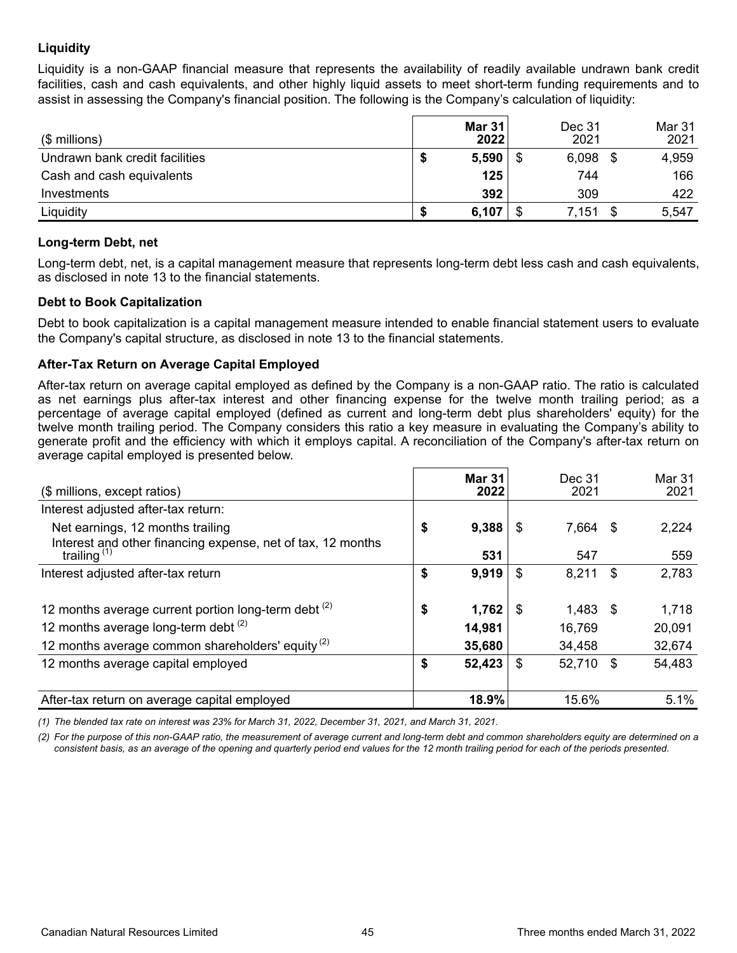# **Liquidity**

Liquidity is a non-GAAP financial measure that represents the availability of readily available undrawn bank credit facilities, cash and cash equivalents, and other highly liquid assets to meet short-term funding requirements and to assist in assessing the Company's financial position. The following is the Company's calculation of liquidity:

| $$$ millions)                  | <b>Mar 31</b><br>2022 | Dec 31<br>2021 | Mar 31<br>2021 |
|--------------------------------|-----------------------|----------------|----------------|
| Undrawn bank credit facilities | 5,590                 | 6,098          | 4,959          |
| Cash and cash equivalents      | 125                   | 744            | 166            |
| Investments                    | 392                   | 309            | 422            |
| Liquidity                      | 6,107                 | 7,151          | 5,547          |

## **Long-term Debt, net**

Long-term debt, net, is a capital management measure that represents long-term debt less cash and cash equivalents, as disclosed in note 13 to the financial statements.

#### **Debt to Book Capitalization**

Debt to book capitalization is a capital management measure intended to enable financial statement users to evaluate the Company's capital structure, as disclosed in note 13 to the financial statements.

## **After-Tax Return on Average Capital Employed**

After-tax return on average capital employed as defined by the Company is a non-GAAP ratio. The ratio is calculated as net earnings plus after-tax interest and other financing expense for the twelve month trailing period; as a percentage of average capital employed (defined as current and long-term debt plus shareholders' equity) for the twelve month trailing period. The Company considers this ratio a key measure in evaluating the Company's ability to generate profit and the efficiency with which it employs capital. A reconciliation of the Company's after-tax return on average capital employed is presented below.

| (\$ millions, except ratios)                                                                                      | <b>Mar 31</b><br>2022 | Dec 31<br>2021   |    | Mar 31<br>2021 |
|-------------------------------------------------------------------------------------------------------------------|-----------------------|------------------|----|----------------|
| Interest adjusted after-tax return:                                                                               |                       |                  |    |                |
| Net earnings, 12 months trailing<br>Interest and other financing expense, net of tax, 12 months trailing $^{(1)}$ | \$<br>9,388           | \$<br>7,664      | \$ | 2,224          |
|                                                                                                                   | 531                   | 547              |    | 559            |
| Interest adjusted after-tax return                                                                                | \$<br>9,919           | \$<br>8,211      | \$ | 2,783          |
| 12 months average current portion long-term debt $(2)$                                                            | \$<br>1,762           | \$<br>$1,483$ \$ |    | 1,718          |
| 12 months average long-term debt $(2)$                                                                            | 14,981                | 16,769           |    | 20,091         |
| 12 months average common shareholders' equity $(2)$                                                               | 35,680                | 34,458           |    | 32,674         |
| 12 months average capital employed                                                                                | \$<br>52,423          | \$<br>52,710     | S  | 54,483         |
| After-tax return on average capital employed                                                                      | 18.9%                 | 15.6%            |    | 5.1%           |

*(1) The blended tax rate on interest was 23% for March 31, 2022, December 31, 2021, and March 31, 2021.*

*(2) For the purpose of this non-GAAP ratio, the measurement of average current and long-term debt and common shareholders equity are determined on a consistent basis, as an average of the opening and quarterly period end values for the 12 month trailing period for each of the periods presented.*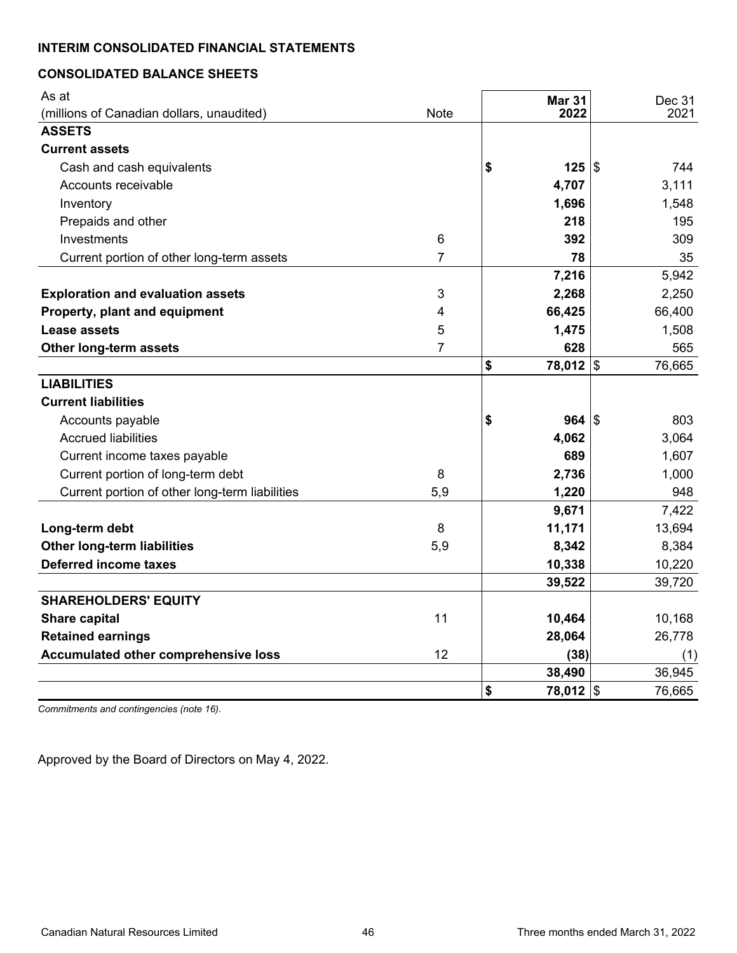## **INTERIM CONSOLIDATED FINANCIAL STATEMENTS**

## **CONSOLIDATED BALANCE SHEETS**

| As at                                          |                | <b>Mar 31</b>      | Dec 31 |
|------------------------------------------------|----------------|--------------------|--------|
| (millions of Canadian dollars, unaudited)      | <b>Note</b>    | 2022               | 2021   |
| <b>ASSETS</b>                                  |                |                    |        |
| <b>Current assets</b>                          |                |                    |        |
| Cash and cash equivalents                      |                | \$<br>125 $ $ \$   | 744    |
| Accounts receivable                            |                | 4,707              | 3,111  |
| Inventory                                      |                | 1,696              | 1,548  |
| Prepaids and other                             |                | 218                | 195    |
| Investments                                    | 6              | 392                | 309    |
| Current portion of other long-term assets      | $\overline{7}$ | 78                 | 35     |
|                                                |                | 7,216              | 5,942  |
| <b>Exploration and evaluation assets</b>       | 3              | 2,268              | 2,250  |
| Property, plant and equipment                  | 4              | 66,425             | 66,400 |
| <b>Lease assets</b>                            | 5              | 1,475              | 1,508  |
| Other long-term assets                         | $\overline{7}$ | 628                | 565    |
|                                                |                | \$<br>$78,012$ \$  | 76,665 |
| <b>LIABILITIES</b>                             |                |                    |        |
| <b>Current liabilities</b>                     |                |                    |        |
| Accounts payable                               |                | \$<br>$964 $ \$    | 803    |
| <b>Accrued liabilities</b>                     |                | 4,062              | 3,064  |
| Current income taxes payable                   |                | 689                | 1,607  |
| Current portion of long-term debt              | 8              | 2,736              | 1,000  |
| Current portion of other long-term liabilities | 5,9            | 1,220              | 948    |
|                                                |                | 9,671              | 7,422  |
| Long-term debt                                 | 8              | 11,171             | 13,694 |
| <b>Other long-term liabilities</b>             | 5,9            | 8,342              | 8,384  |
| <b>Deferred income taxes</b>                   |                | 10,338             | 10,220 |
|                                                |                | 39,522             | 39,720 |
| <b>SHAREHOLDERS' EQUITY</b>                    |                |                    |        |
| <b>Share capital</b>                           | 11             | 10,464             | 10,168 |
| <b>Retained earnings</b>                       |                | 28,064             | 26,778 |
| Accumulated other comprehensive loss           | 12             | (38)               | (1)    |
|                                                |                | 38,490             | 36,945 |
|                                                |                | \$<br>$78,012$ \\$ | 76,665 |

*Commitments and contingencies (note 16).*

Approved by the Board of Directors on May 4, 2022.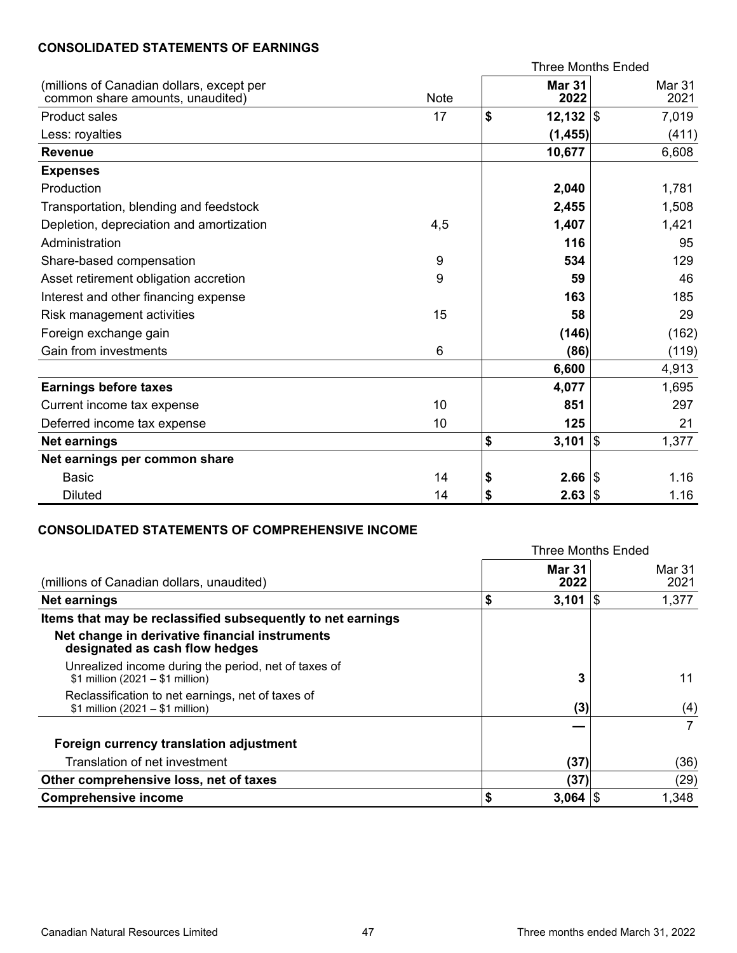# **CONSOLIDATED STATEMENTS OF EARNINGS**

|                                                                               |             | <b>Three Months Ended</b>  |            |                |
|-------------------------------------------------------------------------------|-------------|----------------------------|------------|----------------|
| (millions of Canadian dollars, except per<br>common share amounts, unaudited) | <b>Note</b> | <b>Mar 31</b><br>2022      |            | Mar 31<br>2021 |
| <b>Product sales</b>                                                          | 17          | \$<br>12,132 $\frac{1}{3}$ |            | 7,019          |
| Less: royalties                                                               |             | (1, 455)                   |            | (411)          |
| <b>Revenue</b>                                                                |             | 10,677                     |            | 6,608          |
| <b>Expenses</b>                                                               |             |                            |            |                |
| Production                                                                    |             | 2,040                      |            | 1,781          |
| Transportation, blending and feedstock                                        |             | 2,455                      |            | 1,508          |
| Depletion, depreciation and amortization                                      | 4,5         | 1,407                      |            | 1,421          |
| Administration                                                                |             | 116                        |            | 95             |
| Share-based compensation                                                      | 9           | 534                        |            | 129            |
| Asset retirement obligation accretion                                         | 9           | 59                         |            | 46             |
| Interest and other financing expense                                          |             | 163                        |            | 185            |
| Risk management activities                                                    | 15          | 58                         |            | 29             |
| Foreign exchange gain                                                         |             | (146)                      |            | (162)          |
| Gain from investments                                                         | 6           | (86)                       |            | (119)          |
|                                                                               |             | 6,600                      |            | 4,913          |
| <b>Earnings before taxes</b>                                                  |             | 4,077                      |            | 1,695          |
| Current income tax expense                                                    | 10          | 851                        |            | 297            |
| Deferred income tax expense                                                   | 10          | 125                        |            | 21             |
| <b>Net earnings</b>                                                           |             | \$<br>3,101                | \$         | 1,377          |
| Net earnings per common share                                                 |             |                            |            |                |
| <b>Basic</b>                                                                  | 14          | \$<br>2.66                 | \$         | 1.16           |
| <b>Diluted</b>                                                                | 14          | \$<br>2.63                 | $\sqrt{3}$ | 1.16           |

# **CONSOLIDATED STATEMENTS OF COMPREHENSIVE INCOME**

|                                                                                           | <b>Three Months Ended</b> |            |                |  |  |  |  |  |
|-------------------------------------------------------------------------------------------|---------------------------|------------|----------------|--|--|--|--|--|
| (millions of Canadian dollars, unaudited)                                                 | <b>Mar 31</b><br>2022     |            | Mar 31<br>2021 |  |  |  |  |  |
| <b>Net earnings</b>                                                                       | \$<br>3,101               | $\sqrt{5}$ | 1,377          |  |  |  |  |  |
| Items that may be reclassified subsequently to net earnings                               |                           |            |                |  |  |  |  |  |
| Net change in derivative financial instruments<br>designated as cash flow hedges          |                           |            |                |  |  |  |  |  |
| Unrealized income during the period, net of taxes of<br>$$1$ million (2021 - \$1 million) | 3                         |            | 11             |  |  |  |  |  |
| Reclassification to net earnings, net of taxes of<br>\$1 million $(2021 - $1$ million)    | (3)                       |            | (4)            |  |  |  |  |  |
|                                                                                           |                           |            | 7              |  |  |  |  |  |
| Foreign currency translation adjustment                                                   |                           |            |                |  |  |  |  |  |
| Translation of net investment                                                             | (37)                      |            | (36)           |  |  |  |  |  |
| Other comprehensive loss, net of taxes                                                    | (37)                      |            | (29)           |  |  |  |  |  |
| <b>Comprehensive income</b>                                                               | \$<br>$3,064$ \\$         |            | 1,348          |  |  |  |  |  |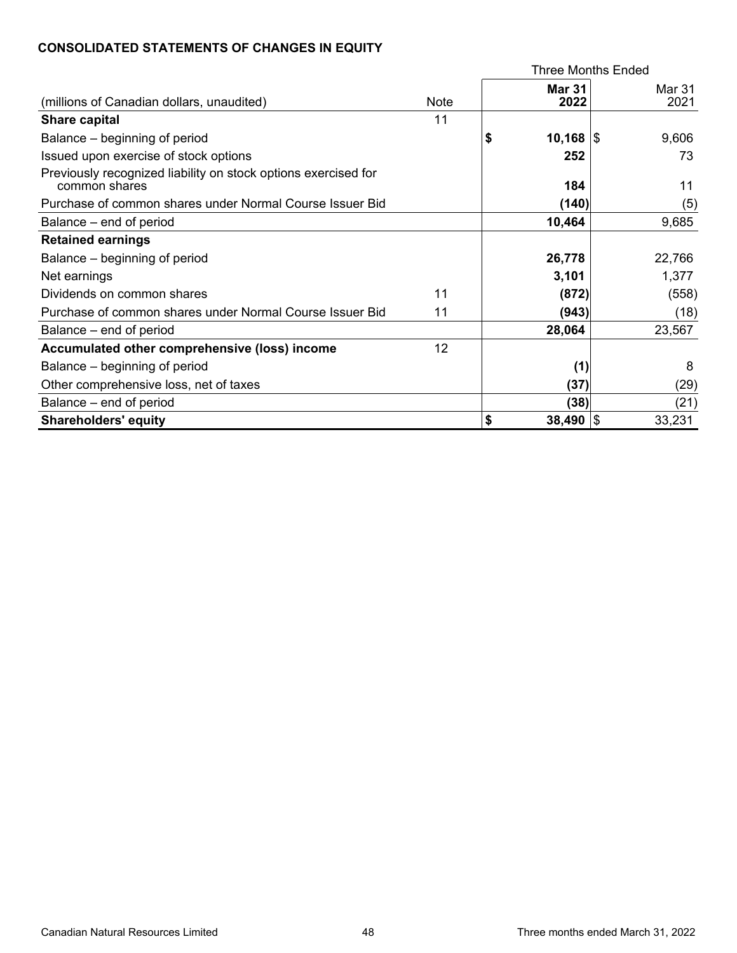# **CONSOLIDATED STATEMENTS OF CHANGES IN EQUITY**

|                                                                                 |             | <b>Three Months Ended</b> |                       |  |                |  |
|---------------------------------------------------------------------------------|-------------|---------------------------|-----------------------|--|----------------|--|
| (millions of Canadian dollars, unaudited)                                       | <b>Note</b> |                           | <b>Mar 31</b><br>2022 |  | Mar 31<br>2021 |  |
| Share capital                                                                   | 11          |                           |                       |  |                |  |
| Balance - beginning of period                                                   |             | \$                        | $10,168$ \\$          |  | 9,606          |  |
| Issued upon exercise of stock options                                           |             |                           | 252                   |  | 73             |  |
| Previously recognized liability on stock options exercised for<br>common shares |             |                           | 184                   |  | 11             |  |
| Purchase of common shares under Normal Course Issuer Bid                        |             |                           | (140)                 |  | (5)            |  |
| Balance – end of period                                                         |             |                           | 10,464                |  | 9,685          |  |
| <b>Retained earnings</b>                                                        |             |                           |                       |  |                |  |
| Balance – beginning of period                                                   |             |                           | 26,778                |  | 22,766         |  |
| Net earnings                                                                    |             |                           | 3,101                 |  | 1,377          |  |
| Dividends on common shares                                                      | 11          |                           | (872)                 |  | (558)          |  |
| Purchase of common shares under Normal Course Issuer Bid                        | 11          |                           | (943)                 |  | (18)           |  |
| Balance – end of period                                                         |             |                           | 28,064                |  | 23,567         |  |
| Accumulated other comprehensive (loss) income                                   | 12          |                           |                       |  |                |  |
| Balance – beginning of period                                                   |             |                           | (1)                   |  | 8              |  |
| Other comprehensive loss, net of taxes                                          |             |                           | (37)                  |  | (29)           |  |
| Balance – end of period                                                         |             |                           | (38)                  |  | (21)           |  |
| <b>Shareholders' equity</b>                                                     |             | \$                        | 38,490                |  | 33,231         |  |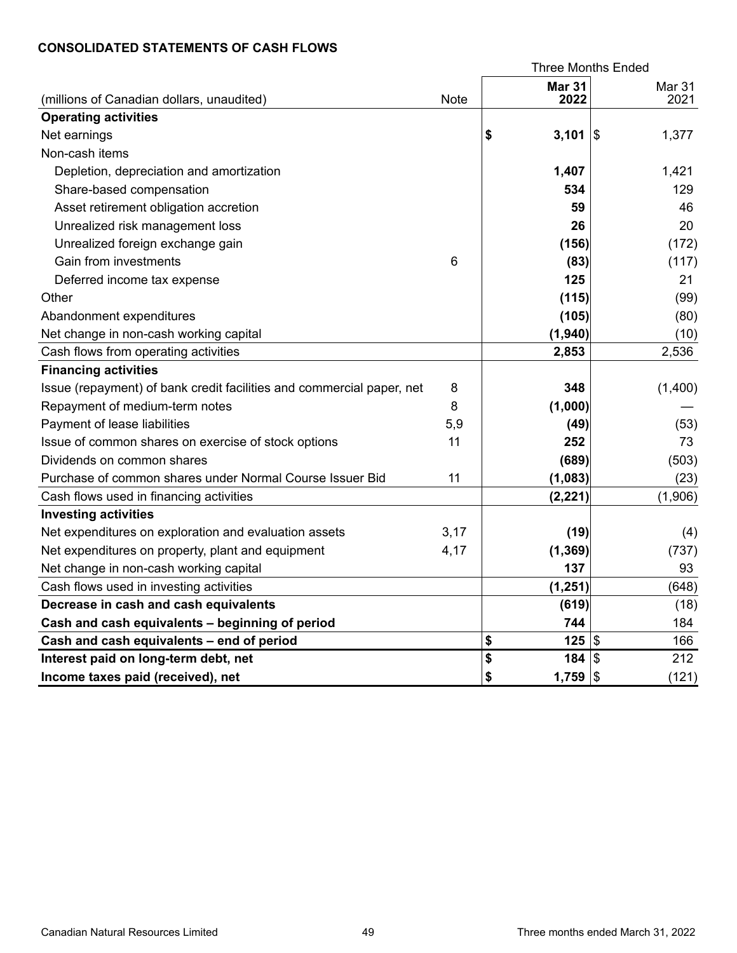# **CONSOLIDATED STATEMENTS OF CASH FLOWS**

|                                                                       |      |                       | <b>Three Months Ended</b> |
|-----------------------------------------------------------------------|------|-----------------------|---------------------------|
| (millions of Canadian dollars, unaudited)                             | Note | <b>Mar 31</b><br>2022 | Mar 31<br>2021            |
| <b>Operating activities</b>                                           |      |                       |                           |
| Net earnings                                                          |      | \$<br>3,101           | $\vert$ \$<br>1,377       |
| Non-cash items                                                        |      |                       |                           |
| Depletion, depreciation and amortization                              |      | 1,407                 | 1,421                     |
| Share-based compensation                                              |      | 534                   | 129                       |
| Asset retirement obligation accretion                                 |      | 59                    | 46                        |
| Unrealized risk management loss                                       |      | 26                    | 20                        |
| Unrealized foreign exchange gain                                      |      | (156)                 | (172)                     |
| Gain from investments                                                 | 6    | (83)                  | (117)                     |
| Deferred income tax expense                                           |      | 125                   | 21                        |
| Other                                                                 |      | (115)                 | (99)                      |
| Abandonment expenditures                                              |      | (105)                 | (80)                      |
| Net change in non-cash working capital                                |      | (1,940)               | (10)                      |
| Cash flows from operating activities                                  |      | 2,853                 | 2,536                     |
| <b>Financing activities</b>                                           |      |                       |                           |
| Issue (repayment) of bank credit facilities and commercial paper, net | 8    | 348                   | (1,400)                   |
| Repayment of medium-term notes                                        | 8    | (1,000)               |                           |
| Payment of lease liabilities                                          | 5,9  | (49)                  | (53)                      |
| Issue of common shares on exercise of stock options                   | 11   | 252                   | 73                        |
| Dividends on common shares                                            |      | (689)                 | (503)                     |
| Purchase of common shares under Normal Course Issuer Bid              | 11   | (1,083)               | (23)                      |
| Cash flows used in financing activities                               |      | (2, 221)              | (1,906)                   |
| <b>Investing activities</b>                                           |      |                       |                           |
| Net expenditures on exploration and evaluation assets                 | 3,17 | (19)                  | (4)                       |
| Net expenditures on property, plant and equipment                     | 4,17 | (1, 369)              | (737)                     |
| Net change in non-cash working capital                                |      | 137                   | 93                        |
| Cash flows used in investing activities                               |      | (1, 251)              | (648)                     |
| Decrease in cash and cash equivalents                                 |      | (619)                 | (18)                      |
| Cash and cash equivalents - beginning of period                       |      | 744                   | 184                       |
| Cash and cash equivalents - end of period                             |      | \$<br>$125 $ \$       | 166                       |
| Interest paid on long-term debt, net                                  |      | \$<br>184             | 212<br>$\mathcal{S}$      |
| Income taxes paid (received), net                                     |      | \$<br>1,759           | \$<br>(121)               |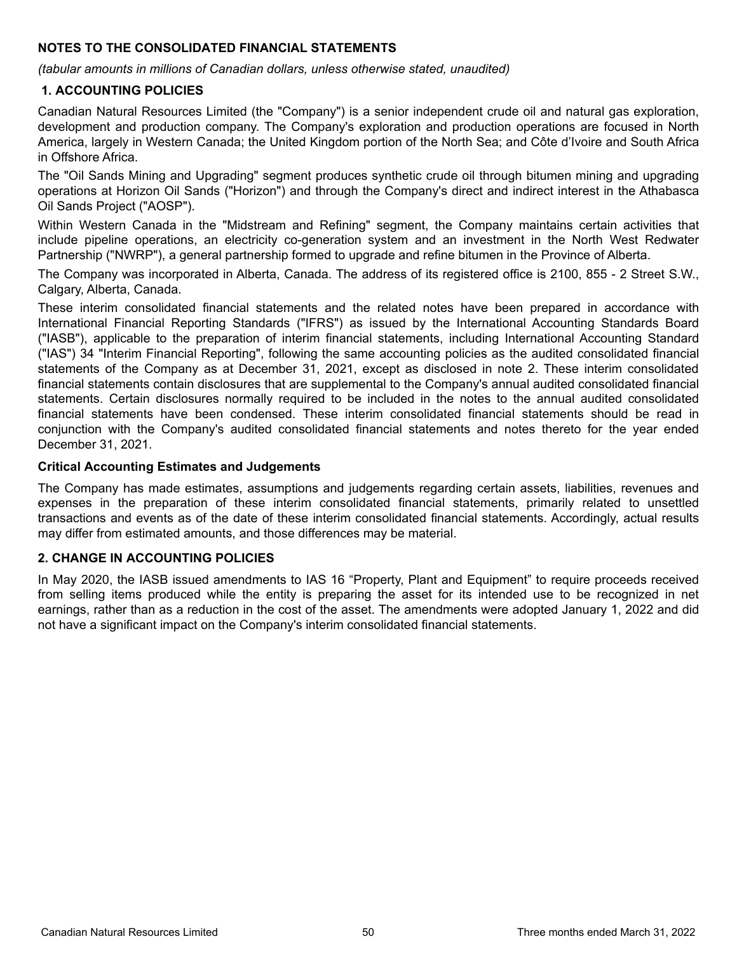## **NOTES TO THE CONSOLIDATED FINANCIAL STATEMENTS**

*(tabular amounts in millions of Canadian dollars, unless otherwise stated, unaudited)*

## **1. ACCOUNTING POLICIES**

Canadian Natural Resources Limited (the "Company") is a senior independent crude oil and natural gas exploration, development and production company. The Company's exploration and production operations are focused in North America, largely in Western Canada; the United Kingdom portion of the North Sea; and Côte d'Ivoire and South Africa in Offshore Africa.

The "Oil Sands Mining and Upgrading" segment produces synthetic crude oil through bitumen mining and upgrading operations at Horizon Oil Sands ("Horizon") and through the Company's direct and indirect interest in the Athabasca Oil Sands Project ("AOSP").

Within Western Canada in the "Midstream and Refining" segment, the Company maintains certain activities that include pipeline operations, an electricity co-generation system and an investment in the North West Redwater Partnership ("NWRP"), a general partnership formed to upgrade and refine bitumen in the Province of Alberta.

The Company was incorporated in Alberta, Canada. The address of its registered office is 2100, 855 - 2 Street S.W., Calgary, Alberta, Canada.

These interim consolidated financial statements and the related notes have been prepared in accordance with International Financial Reporting Standards ("IFRS") as issued by the International Accounting Standards Board ("IASB"), applicable to the preparation of interim financial statements, including International Accounting Standard ("IAS") 34 "Interim Financial Reporting", following the same accounting policies as the audited consolidated financial statements of the Company as at December 31, 2021, except as disclosed in note 2. These interim consolidated financial statements contain disclosures that are supplemental to the Company's annual audited consolidated financial statements. Certain disclosures normally required to be included in the notes to the annual audited consolidated financial statements have been condensed. These interim consolidated financial statements should be read in conjunction with the Company's audited consolidated financial statements and notes thereto for the year ended December 31, 2021.

## **Critical Accounting Estimates and Judgements**

The Company has made estimates, assumptions and judgements regarding certain assets, liabilities, revenues and expenses in the preparation of these interim consolidated financial statements, primarily related to unsettled transactions and events as of the date of these interim consolidated financial statements. Accordingly, actual results may differ from estimated amounts, and those differences may be material.

## **2. CHANGE IN ACCOUNTING POLICIES**

In May 2020, the IASB issued amendments to IAS 16 "Property, Plant and Equipment" to require proceeds received from selling items produced while the entity is preparing the asset for its intended use to be recognized in net earnings, rather than as a reduction in the cost of the asset. The amendments were adopted January 1, 2022 and did not have a significant impact on the Company's interim consolidated financial statements.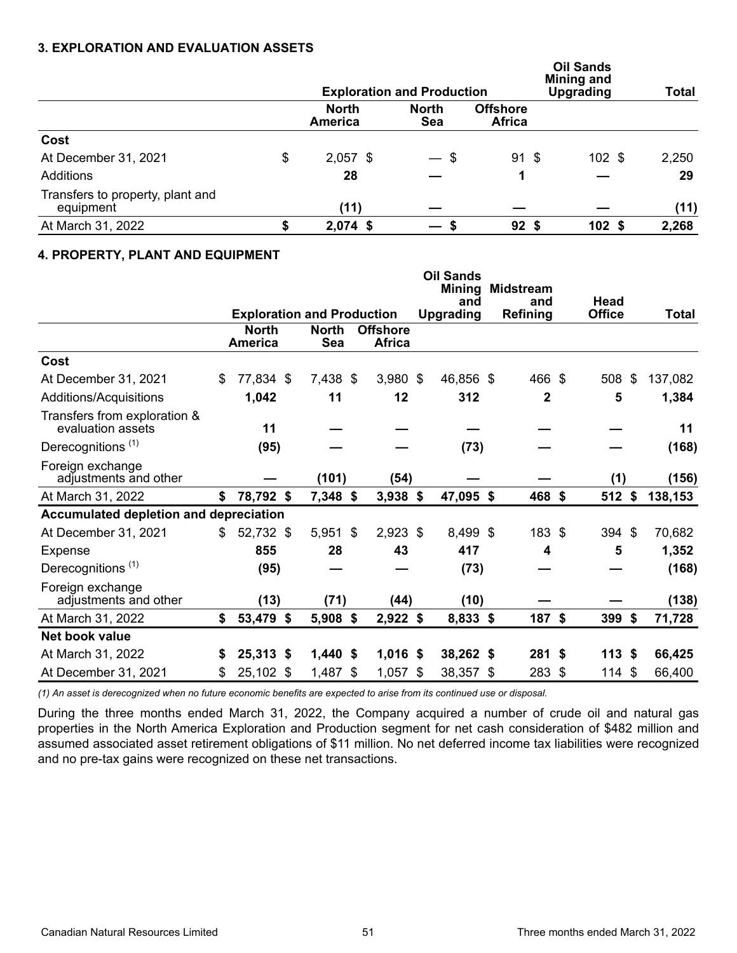#### **3. EXPLORATION AND EVALUATION ASSETS**

|                                               | <b>Exploration and Production</b> | <b>Oil Sands</b><br>Mining and<br><b>Upgrading</b> | <b>Total</b>                     |                  |       |
|-----------------------------------------------|-----------------------------------|----------------------------------------------------|----------------------------------|------------------|-------|
|                                               | <b>North</b><br>America           | <b>North</b><br>Sea                                | <b>Offshore</b><br><b>Africa</b> |                  |       |
| Cost                                          |                                   |                                                    |                                  |                  |       |
| At December 31, 2021                          | \$<br>$2,057$ \$                  | \$<br>$\overline{\phantom{0}}$                     | $91 \text{ } $$                  | 102S             | 2,250 |
| Additions                                     | 28                                |                                                    | 1                                |                  | 29    |
| Transfers to property, plant and<br>equipment | (11)                              |                                                    |                                  |                  | (11)  |
| At March 31, 2022                             | \$<br>$2,074$ \$                  | S<br>$\overline{\phantom{0}}$                      | $92 \;$ \$                       | 102 <sup>5</sup> | 2,268 |

# **4. PROPERTY, PLANT AND EQUIPMENT**

|                                                   |     |                                   |                     |                                  | <b>Oil Sands</b><br><b>Mining</b><br>and | Midstream<br>and | Head          |     |         |
|---------------------------------------------------|-----|-----------------------------------|---------------------|----------------------------------|------------------------------------------|------------------|---------------|-----|---------|
|                                                   |     | <b>Exploration and Production</b> |                     |                                  | <b>Upgrading</b>                         | <b>Refining</b>  | <b>Office</b> |     | Total   |
|                                                   |     | <b>North</b><br>America           | <b>North</b><br>Sea | <b>Offshore</b><br><b>Africa</b> |                                          |                  |               |     |         |
| Cost                                              |     |                                   |                     |                                  |                                          |                  |               |     |         |
| At December 31, 2021                              | \$. | 77,834 \$                         | 7,438 \$            | $3,980$ \$                       | 46,856 \$                                | 466 \$           | 508           | \$  | 137,082 |
| Additions/Acquisitions                            |     | 1,042                             | 11                  | 12                               | 312                                      | 2                | 5             |     | 1,384   |
| Transfers from exploration &<br>evaluation assets |     | 11                                |                     |                                  |                                          |                  |               |     | 11      |
| Derecognitions <sup>(1)</sup>                     |     | (95)                              |                     |                                  | (73)                                     |                  |               |     | (168)   |
| Foreign exchange<br>adjustments and other         |     |                                   | (101)               | (54)                             |                                          |                  | (1)           |     | (156)   |
| At March 31, 2022                                 | \$  | 78,792 \$                         | 7,348 \$            | 3,938                            | \$<br>47,095 \$                          | 468 \$           | 512           | \$  | 138,153 |
| Accumulated depletion and depreciation            |     |                                   |                     |                                  |                                          |                  |               |     |         |
| At December 31, 2021                              | \$  | 52,732 \$                         | $5,951$ \$          | $2,923$ \$                       | 8,499 \$                                 | 183 \$           | 394 \$        |     | 70,682  |
| Expense                                           |     | 855                               | 28                  | 43                               | 417                                      | 4                | 5             |     | 1,352   |
| Derecognitions <sup>(1)</sup>                     |     | (95)                              |                     |                                  | (73)                                     |                  |               |     | (168)   |
| Foreign exchange<br>adjustments and other         |     | (13)                              | (71)                | (44)                             | (10)                                     |                  |               |     | (138)   |
| At March 31, 2022                                 | \$  | 53,479 \$                         | $5,908$ \$          | $2,922$ \$                       | 8,833 \$                                 | 187 \$           | 399           | \$  | 71,728  |
| <b>Net book value</b>                             |     |                                   |                     |                                  |                                          |                  |               |     |         |
| At March 31, 2022                                 | S   | 25,313 \$                         | $1,440$ \$          | $1,016$ \$                       | 38,262 \$                                | 281 \$           | 113S          |     | 66,425  |
| At December 31, 2021                              | \$  | 25,102 \$                         | 1,487               | \$<br>1,057                      | \$<br>38,357                             | \$<br>283 \$     | 114           | -\$ | 66,400  |

*(1) An asset is derecognized when no future economic benefits are expected to arise from its continued use or disposal.*

During the three months ended March 31, 2022, the Company acquired a number of crude oil and natural gas properties in the North America Exploration and Production segment for net cash consideration of \$482 million and assumed associated asset retirement obligations of \$11 million. No net deferred income tax liabilities were recognized and no pre-tax gains were recognized on these net transactions.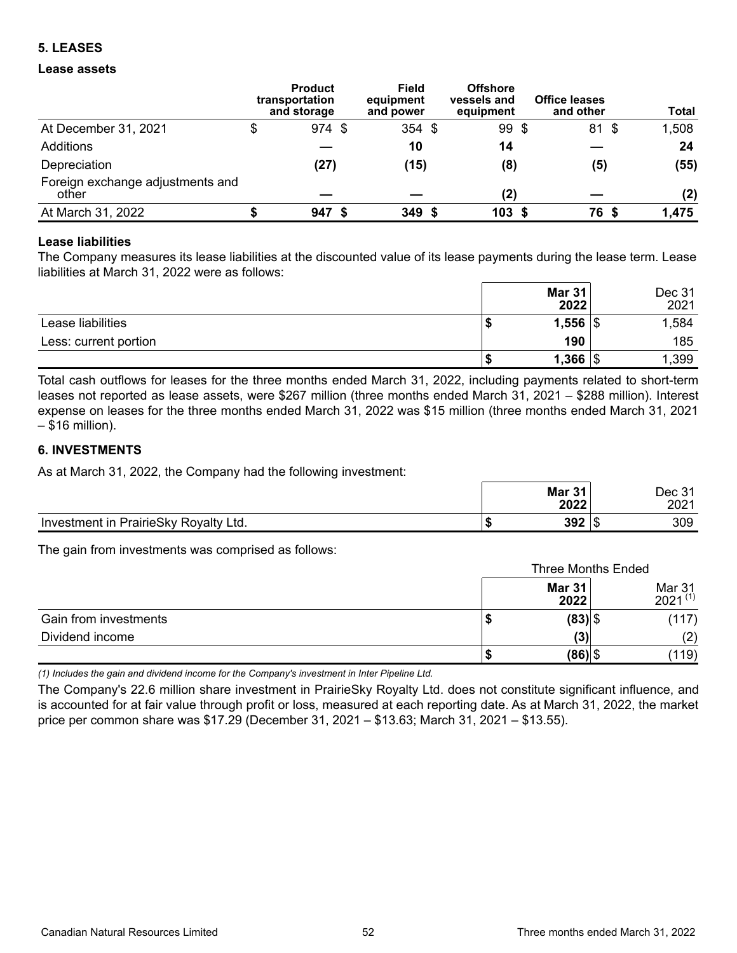## **5. LEASES**

#### **Lease assets**

|                                           | <b>Product</b><br>transportation<br>and storage | <b>Field</b><br>equipment<br>and power | <b>Offshore</b><br>vessels and<br>equipment | Office leases<br>and other | <b>Total</b> |
|-------------------------------------------|-------------------------------------------------|----------------------------------------|---------------------------------------------|----------------------------|--------------|
| At December 31, 2021                      | \$<br>974 \$                                    | 354 \$                                 | $99 \text{ } $$                             | 81 \$                      | 1,508        |
| Additions                                 |                                                 | 10                                     | 14                                          |                            | 24           |
| Depreciation                              | (27)                                            | (15)                                   | (8)                                         | (5)                        | (55)         |
| Foreign exchange adjustments and<br>other |                                                 |                                        | (2)                                         |                            | (2)          |
| At March 31, 2022                         | 947 \$                                          | 349 \$                                 | 103S                                        | 76 \$                      | 1,475        |

#### **Lease liabilities**

The Company measures its lease liabilities at the discounted value of its lease payments during the lease term. Lease liabilities at March 31, 2022 were as follows:

|                       | <b>Mar 31</b><br>2022 | Dec 31<br>2021 |
|-----------------------|-----------------------|----------------|
| Lease liabilities     | $1,556$ \\$           | 1,584          |
| Less: current portion | 190                   | 185            |
|                       | $1,366$ \\$           | 1,399          |

Total cash outflows for leases for the three months ended March 31, 2022, including payments related to short-term leases not reported as lease assets, were \$267 million (three months ended March 31, 2021 – \$288 million). Interest expense on leases for the three months ended March 31, 2022 was \$15 million (three months ended March 31, 2021  $-$  \$16 million).

## **6. INVESTMENTS**

As at March 31, 2022, the Company had the following investment:

|                                       | Mar 31<br>2022 |        | Dec 31<br>2021 |
|---------------------------------------|----------------|--------|----------------|
| Investment in PrairieSky Royalty Ltd. | 392            | ന<br>ື | 309            |

The gain from investments was comprised as follows:

|                       | <b>Three Months Ended</b> |  |                      |  |  |  |
|-----------------------|---------------------------|--|----------------------|--|--|--|
|                       | <b>Mar 31</b><br>2022     |  | Mar 31<br>2021 $(1)$ |  |  |  |
| Gain from investments | $(83)$ \$                 |  | (117)                |  |  |  |
| Dividend income       | (3)                       |  | (2)                  |  |  |  |
|                       | $(86) $ \$                |  | (119)                |  |  |  |

*(1) Includes the gain and dividend income for the Company's investment in Inter Pipeline Ltd.*

The Company's 22.6 million share investment in PrairieSky Royalty Ltd. does not constitute significant influence, and is accounted for at fair value through profit or loss, measured at each reporting date. As at March 31, 2022, the market price per common share was \$17.29 (December 31, 2021 – \$13.63; March 31, 2021 – \$13.55).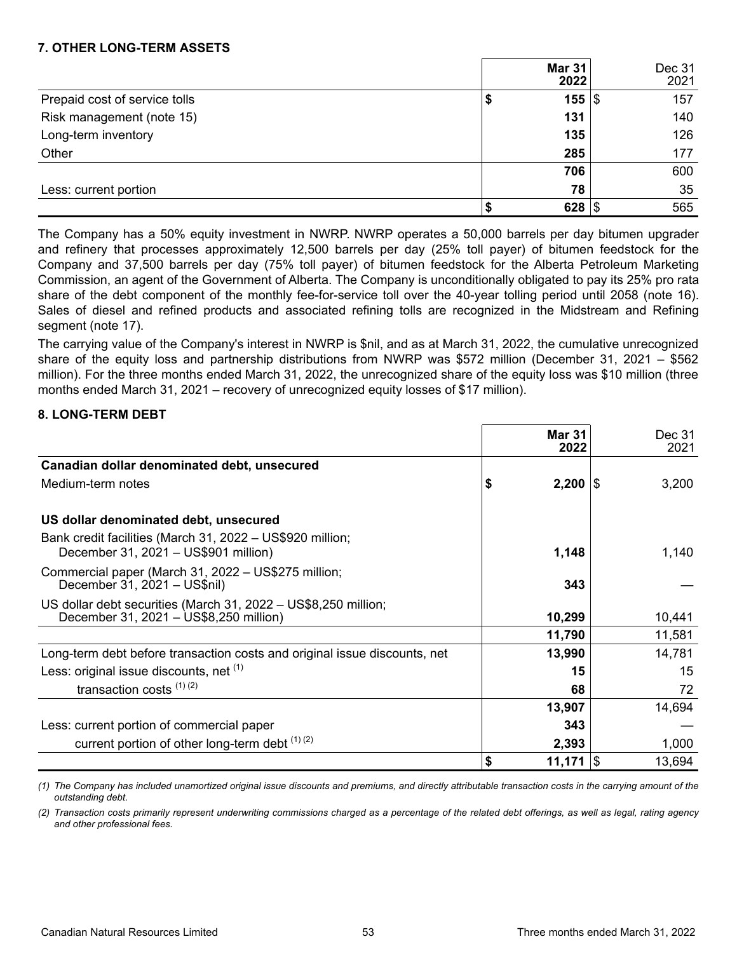#### **7. OTHER LONG-TERM ASSETS**

|                               | <b>Mar 31</b> | 2022 | Dec 31<br>2021 |
|-------------------------------|---------------|------|----------------|
| Prepaid cost of service tolls |               | 155  | 157            |
| Risk management (note 15)     |               | 131  | 140            |
| Long-term inventory           |               | 135  | 126            |
| Other                         |               | 285  | 177            |
|                               |               | 706  | 600            |
| Less: current portion         |               | 78   | 35             |
|                               |               | 628  | 565            |

The Company has a 50% equity investment in NWRP. NWRP operates a 50,000 barrels per day bitumen upgrader and refinery that processes approximately 12,500 barrels per day (25% toll payer) of bitumen feedstock for the Company and 37,500 barrels per day (75% toll payer) of bitumen feedstock for the Alberta Petroleum Marketing Commission, an agent of the Government of Alberta. The Company is unconditionally obligated to pay its 25% pro rata share of the debt component of the monthly fee-for-service toll over the 40-year tolling period until 2058 (note 16). Sales of diesel and refined products and associated refining tolls are recognized in the Midstream and Refining segment (note 17).

The carrying value of the Company's interest in NWRP is \$nil, and as at March 31, 2022, the cumulative unrecognized share of the equity loss and partnership distributions from NWRP was \$572 million (December 31, 2021 – \$562 million). For the three months ended March 31, 2022, the unrecognized share of the equity loss was \$10 million (three months ended March 31, 2021 – recovery of unrecognized equity losses of \$17 million).

## **8. LONG-TERM DEBT**

|                                                                                     | <b>Mar 31</b><br>2022        | Dec 31<br>2021 |
|-------------------------------------------------------------------------------------|------------------------------|----------------|
| Canadian dollar denominated debt, unsecured                                         |                              |                |
| Medium-term notes                                                                   | \$<br>$2,200  $ \$           | 3,200          |
| US dollar denominated debt, unsecured                                               |                              |                |
| Bank credit facilities (March 31, 2022 - US\$920 million;                           |                              |                |
| December 31, 2021 - US\$901 million)                                                | 1,148                        | 1,140          |
| Commercial paper (March 31, 2022 - US\$275 million;<br>December 31, 2021 - US\$nil) | 343                          |                |
| US dollar debt securities (March 31, 2022 – US\$8,250 million;                      |                              |                |
| December 31, 2021 – US\$8,250 million)                                              | 10,299                       | 10,441         |
|                                                                                     | 11,790                       | 11,581         |
| Long-term debt before transaction costs and original issue discounts, net           | 13,990                       | 14,781         |
| Less: original issue discounts, net (1)                                             | 15                           | 15             |
| transaction costs $(1)(2)$                                                          | 68                           | 72             |
|                                                                                     | 13,907                       | 14,694         |
| Less: current portion of commercial paper                                           | 343                          |                |
| current portion of other long-term debt $(1)(2)$                                    | 2,393                        | 1,000          |
|                                                                                     | \$<br>$11,171$ $\frac{1}{9}$ | 13,694         |

*(1) The Company has included unamortized original issue discounts and premiums, and directly attributable transaction costs in the carrying amount of the outstanding debt.*

*(2) Transaction costs primarily represent underwriting commissions charged as a percentage of the related debt offerings, as well as legal, rating agency and other professional fees.*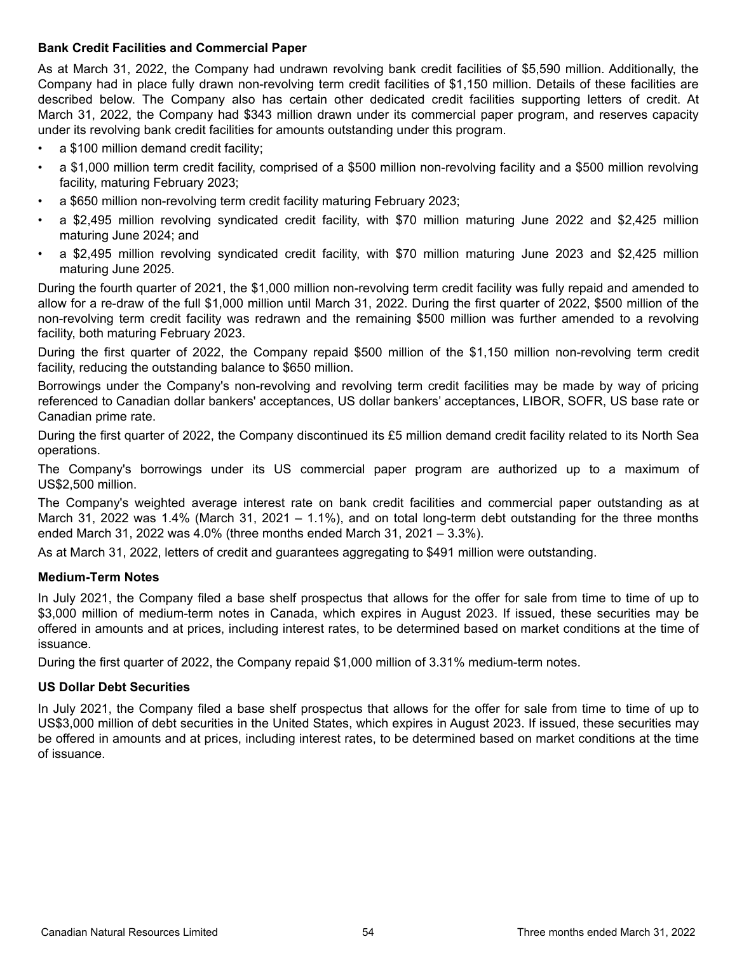## **Bank Credit Facilities and Commercial Paper**

As at March 31, 2022, the Company had undrawn revolving bank credit facilities of \$5,590 million. Additionally, the Company had in place fully drawn non-revolving term credit facilities of \$1,150 million. Details of these facilities are described below. The Company also has certain other dedicated credit facilities supporting letters of credit. At March 31, 2022, the Company had \$343 million drawn under its commercial paper program, and reserves capacity under its revolving bank credit facilities for amounts outstanding under this program.

- a \$100 million demand credit facility;
- a \$1,000 million term credit facility, comprised of a \$500 million non-revolving facility and a \$500 million revolving facility, maturing February 2023;
- a \$650 million non-revolving term credit facility maturing February 2023;
- a \$2,495 million revolving syndicated credit facility, with \$70 million maturing June 2022 and \$2,425 million maturing June 2024; and
- a \$2,495 million revolving syndicated credit facility, with \$70 million maturing June 2023 and \$2,425 million maturing June 2025.

During the fourth quarter of 2021, the \$1,000 million non-revolving term credit facility was fully repaid and amended to allow for a re-draw of the full \$1,000 million until March 31, 2022. During the first quarter of 2022, \$500 million of the non-revolving term credit facility was redrawn and the remaining \$500 million was further amended to a revolving facility, both maturing February 2023.

During the first quarter of 2022, the Company repaid \$500 million of the \$1,150 million non-revolving term credit facility, reducing the outstanding balance to \$650 million.

Borrowings under the Company's non-revolving and revolving term credit facilities may be made by way of pricing referenced to Canadian dollar bankers' acceptances, US dollar bankers' acceptances, LIBOR, SOFR, US base rate or Canadian prime rate.

During the first quarter of 2022, the Company discontinued its £5 million demand credit facility related to its North Sea operations.

The Company's borrowings under its US commercial paper program are authorized up to a maximum of US\$2,500 million.

The Company's weighted average interest rate on bank credit facilities and commercial paper outstanding as at March 31, 2022 was 1.4% (March 31, 2021 – 1.1%), and on total long-term debt outstanding for the three months ended March 31, 2022 was 4.0% (three months ended March 31, 2021 – 3.3%).

As at March 31, 2022, letters of credit and guarantees aggregating to \$491 million were outstanding.

## **Medium-Term Notes**

In July 2021, the Company filed a base shelf prospectus that allows for the offer for sale from time to time of up to \$3,000 million of medium-term notes in Canada, which expires in August 2023. If issued, these securities may be offered in amounts and at prices, including interest rates, to be determined based on market conditions at the time of issuance.

During the first quarter of 2022, the Company repaid \$1,000 million of 3.31% medium-term notes.

## **US Dollar Debt Securities**

In July 2021, the Company filed a base shelf prospectus that allows for the offer for sale from time to time of up to US\$3,000 million of debt securities in the United States, which expires in August 2023. If issued, these securities may be offered in amounts and at prices, including interest rates, to be determined based on market conditions at the time of issuance.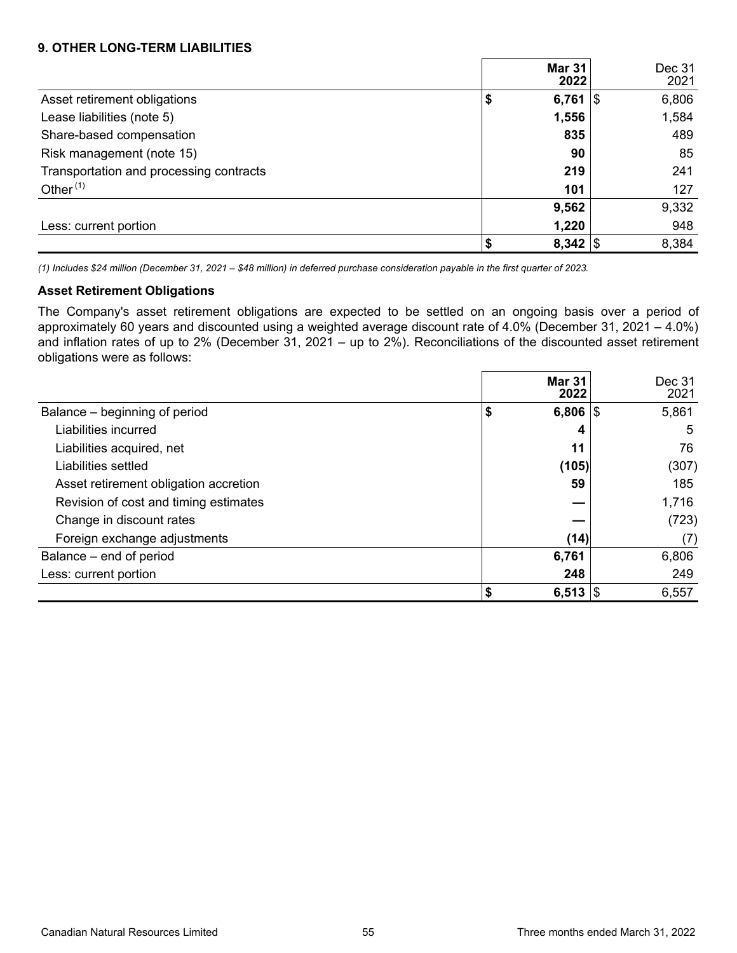#### **9. OTHER LONG-TERM LIABILITIES**

|                                         | <b>Mar 31</b><br>2022     | Dec 31<br>2021 |
|-----------------------------------------|---------------------------|----------------|
| Asset retirement obligations            | \$<br>6,761 $\frac{1}{3}$ | 6,806          |
| Lease liabilities (note 5)              | 1,556                     | 1,584          |
| Share-based compensation                | 835                       | 489            |
| Risk management (note 15)               | 90                        | 85             |
| Transportation and processing contracts | 219                       | 241            |
| Other $(1)$                             | 101                       | 127            |
|                                         | 9,562                     | 9,332          |
| Less: current portion                   | 1,220                     | 948            |
|                                         | $8,342$ \\$               | 8,384          |

*(1) Includes \$24 million (December 31, 2021* – *\$48 million) in deferred purchase consideration payable in the first quarter of 2023.*

## **Asset Retirement Obligations**

The Company's asset retirement obligations are expected to be settled on an ongoing basis over a period of approximately 60 years and discounted using a weighted average discount rate of 4.0% (December 31, 2021 – 4.0%) and inflation rates of up to 2% (December 31, 2021 – up to 2%). Reconciliations of the discounted asset retirement obligations were as follows:

|                                       | <b>Mar 31</b>             | 2022                | Dec 31<br>2021 |
|---------------------------------------|---------------------------|---------------------|----------------|
| Balance - beginning of period         | \$<br>6,806 $\frac{1}{3}$ |                     | 5,861          |
| Liabilities incurred                  |                           | 4                   | 5              |
| Liabilities acquired, net             |                           | 11                  | 76             |
| Liabilities settled                   |                           | (105)               | (307)          |
| Asset retirement obligation accretion |                           | 59                  | 185            |
| Revision of cost and timing estimates |                           |                     | 1,716          |
| Change in discount rates              |                           |                     | (723)          |
| Foreign exchange adjustments          |                           | (14)                | (7)            |
| Balance – end of period               | 6,761                     |                     | 6,806          |
| Less: current portion                 |                           | 248                 | 249            |
|                                       |                           | 6,513 $\frac{1}{3}$ | 6,557          |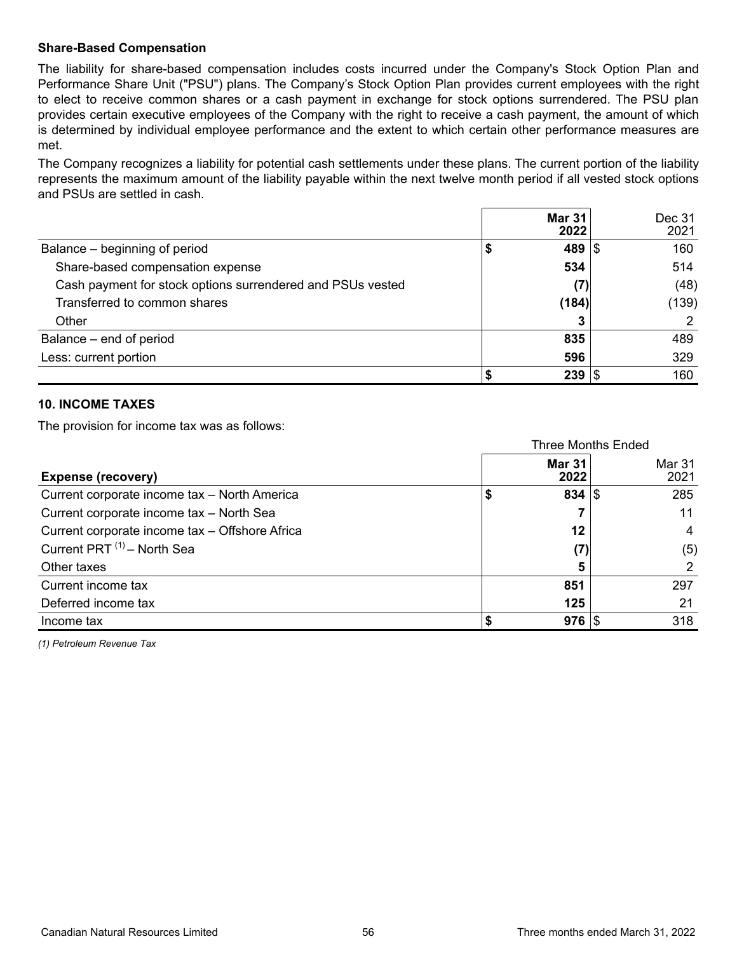#### **Share-Based Compensation**

The liability for share-based compensation includes costs incurred under the Company's Stock Option Plan and Performance Share Unit ("PSU") plans. The Company's Stock Option Plan provides current employees with the right to elect to receive common shares or a cash payment in exchange for stock options surrendered. The PSU plan provides certain executive employees of the Company with the right to receive a cash payment, the amount of which is determined by individual employee performance and the extent to which certain other performance measures are met.

The Company recognizes a liability for potential cash settlements under these plans. The current portion of the liability represents the maximum amount of the liability payable within the next twelve month period if all vested stock options and PSUs are settled in cash.

|                                                            | <b>Mar 31</b><br>2022 | Dec 31<br>2021 |
|------------------------------------------------------------|-----------------------|----------------|
| Balance – beginning of period                              | \$<br>489 S           | 160            |
| Share-based compensation expense                           | 534                   | 514            |
| Cash payment for stock options surrendered and PSUs vested | (7)                   | (48)           |
| Transferred to common shares                               | (184)                 | (139)          |
| Other                                                      |                       |                |
| Balance – end of period                                    | 835                   | 489            |
| Less: current portion                                      | 596                   | 329            |
|                                                            | 239                   | 160            |

## **10. INCOME TAXES**

The provision for income tax was as follows:

|                                                | <b>Three Months Ended</b> |                       |  |                |  |  |
|------------------------------------------------|---------------------------|-----------------------|--|----------------|--|--|
| <b>Expense (recovery)</b>                      |                           | <b>Mar 31</b><br>2022 |  | Mar 31<br>2021 |  |  |
| Current corporate income tax - North America   | \$                        | $834  $ \$            |  | 285            |  |  |
| Current corporate income tax - North Sea       |                           |                       |  | 11             |  |  |
| Current corporate income tax - Offshore Africa |                           | 12                    |  | 4              |  |  |
| Current PRT <sup>(1)</sup> - North Sea         |                           | (7)                   |  | (5)            |  |  |
| Other taxes                                    |                           |                       |  | 2              |  |  |
| Current income tax                             |                           | 851                   |  | 297            |  |  |
| Deferred income tax                            |                           | 125                   |  | 21             |  |  |
| Income tax                                     |                           | $976  $ \$            |  | 318            |  |  |

*(1) Petroleum Revenue Tax*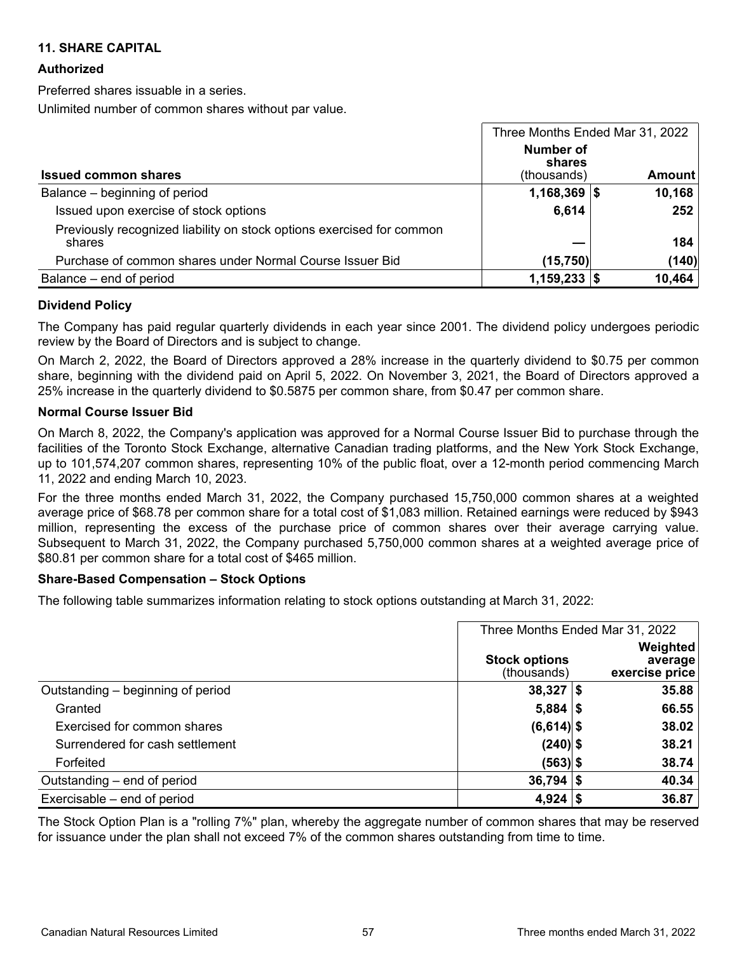# **11. SHARE CAPITAL**

#### **Authorized**

Preferred shares issuable in a series.

Unlimited number of common shares without par value.

|                                                                                 | Three Months Ended Mar 31, 2022 |  |        |  |
|---------------------------------------------------------------------------------|---------------------------------|--|--------|--|
|                                                                                 | Number of<br>shares             |  |        |  |
| <b>Issued common shares</b>                                                     | (thousands)                     |  | Amount |  |
| Balance - beginning of period                                                   | $1,168,369$ \$                  |  | 10,168 |  |
| Issued upon exercise of stock options                                           | 6,614                           |  | 252    |  |
| Previously recognized liability on stock options exercised for common<br>shares |                                 |  | 184    |  |
| Purchase of common shares under Normal Course Issuer Bid                        | (15, 750)                       |  | (140)  |  |
| Balance – end of period                                                         | $1,159,233$ \\$                 |  | 10,464 |  |

#### **Dividend Policy**

The Company has paid regular quarterly dividends in each year since 2001. The dividend policy undergoes periodic review by the Board of Directors and is subject to change.

On March 2, 2022, the Board of Directors approved a 28% increase in the quarterly dividend to \$0.75 per common share, beginning with the dividend paid on April 5, 2022. On November 3, 2021, the Board of Directors approved a 25% increase in the quarterly dividend to \$0.5875 per common share, from \$0.47 per common share.

#### **Normal Course Issuer Bid**

On March 8, 2022, the Company's application was approved for a Normal Course Issuer Bid to purchase through the facilities of the Toronto Stock Exchange, alternative Canadian trading platforms, and the New York Stock Exchange, up to 101,574,207 common shares, representing 10% of the public float, over a 12-month period commencing March 11, 2022 and ending March 10, 2023.

For the three months ended March 31, 2022, the Company purchased 15,750,000 common shares at a weighted average price of \$68.78 per common share for a total cost of \$1,083 million. Retained earnings were reduced by \$943 million, representing the excess of the purchase price of common shares over their average carrying value. Subsequent to March 31, 2022, the Company purchased 5,750,000 common shares at a weighted average price of \$80.81 per common share for a total cost of \$465 million.

## **Share-Based Compensation – Stock Options**

The following table summarizes information relating to stock options outstanding at March 31, 2022:

|                                   | Three Months Ended Mar 31, 2022     |  |                                       |  |
|-----------------------------------|-------------------------------------|--|---------------------------------------|--|
|                                   | <b>Stock options</b><br>(thousands) |  | Weighted<br>average<br>exercise price |  |
| Outstanding – beginning of period | $38,327$ \\$                        |  | 35.88                                 |  |
| Granted                           | $5,884$ \\$                         |  | 66.55                                 |  |
| Exercised for common shares       | $(6,614)$ \$                        |  | 38.02                                 |  |
| Surrendered for cash settlement   | $(240)$ \$                          |  | 38.21                                 |  |
| Forfeited                         | (563) \$                            |  | 38.74                                 |  |
| Outstanding – end of period       | $36,794$ \\$                        |  | 40.34                                 |  |
| Exercisable – end of period       | $4,924$ \\$                         |  | 36.87                                 |  |

The Stock Option Plan is a "rolling 7%" plan, whereby the aggregate number of common shares that may be reserved for issuance under the plan shall not exceed 7% of the common shares outstanding from time to time.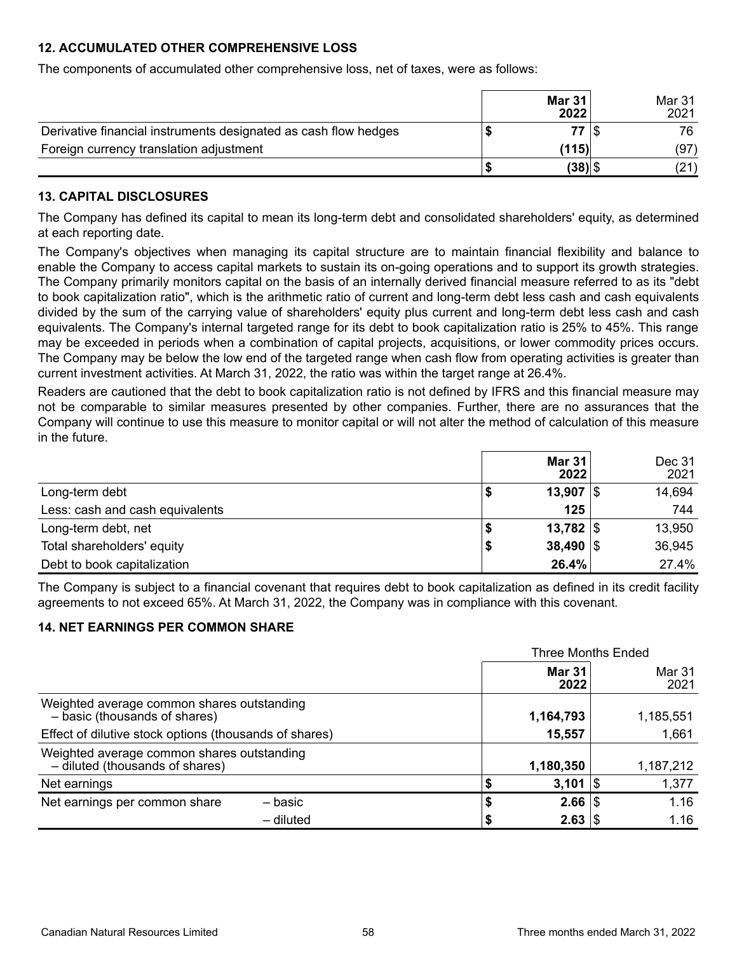# **12. ACCUMULATED OTHER COMPREHENSIVE LOSS**

The components of accumulated other comprehensive loss, net of taxes, were as follows:

|                                                                 | <b>Mar 31</b><br>2022 | Mar 31<br>2021 |
|-----------------------------------------------------------------|-----------------------|----------------|
| Derivative financial instruments designated as cash flow hedges | 771                   | 76.            |
| Foreign currency translation adjustment                         | (115)                 | (97)           |
|                                                                 | $(38)$ \$             | (21)           |

# **13. CAPITAL DISCLOSURES**

The Company has defined its capital to mean its long-term debt and consolidated shareholders' equity, as determined at each reporting date.

The Company's objectives when managing its capital structure are to maintain financial flexibility and balance to enable the Company to access capital markets to sustain its on-going operations and to support its growth strategies. The Company primarily monitors capital on the basis of an internally derived financial measure referred to as its "debt to book capitalization ratio", which is the arithmetic ratio of current and long-term debt less cash and cash equivalents divided by the sum of the carrying value of shareholders' equity plus current and long-term debt less cash and cash equivalents. The Company's internal targeted range for its debt to book capitalization ratio is 25% to 45%. This range may be exceeded in periods when a combination of capital projects, acquisitions, or lower commodity prices occurs. The Company may be below the low end of the targeted range when cash flow from operating activities is greater than current investment activities. At March 31, 2022, the ratio was within the target range at 26.4%.

Readers are cautioned that the debt to book capitalization ratio is not defined by IFRS and this financial measure may not be comparable to similar measures presented by other companies. Further, there are no assurances that the Company will continue to use this measure to monitor capital or will not alter the method of calculation of this measure in the future.

|                                 | <b>Mar 31</b><br>2022      | Dec 31<br>2021 |
|---------------------------------|----------------------------|----------------|
| Long-term debt                  | \$<br>13,907 $\frac{1}{3}$ | 14,694         |
| Less: cash and cash equivalents | 125                        | 744            |
| Long-term debt, net             | \$<br>13,782 $\frac{1}{3}$ | 13,950         |
| Total shareholders' equity      | \$<br>$38,490 $ \$         | 36,945         |
| Debt to book capitalization     | 26.4%                      | 27.4%          |

The Company is subject to a financial covenant that requires debt to book capitalization as defined in its credit facility agreements to not exceed 65%. At March 31, 2022, the Company was in compliance with this covenant.

## **14. NET EARNINGS PER COMMON SHARE**

|                                                                               | <b>Three Months Ended</b> |                       |     |                |
|-------------------------------------------------------------------------------|---------------------------|-----------------------|-----|----------------|
|                                                                               |                           | <b>Mar 31</b><br>2022 |     | Mar 31<br>2021 |
| Weighted average common shares outstanding<br>- basic (thousands of shares)   |                           | 1,164,793             |     | 1,185,551      |
| Effect of dilutive stock options (thousands of shares)                        |                           | 15,557                |     | 1,661          |
| Weighted average common shares outstanding<br>- diluted (thousands of shares) |                           | 1,180,350             |     | 1,187,212      |
| Net earnings                                                                  |                           | 3,101                 | !\$ | 1,377          |
| Net earnings per common share<br>– basic                                      | \$                        | 2.66                  | S   | 1.16           |
| - diluted                                                                     |                           | 2.63                  |     | 1.16           |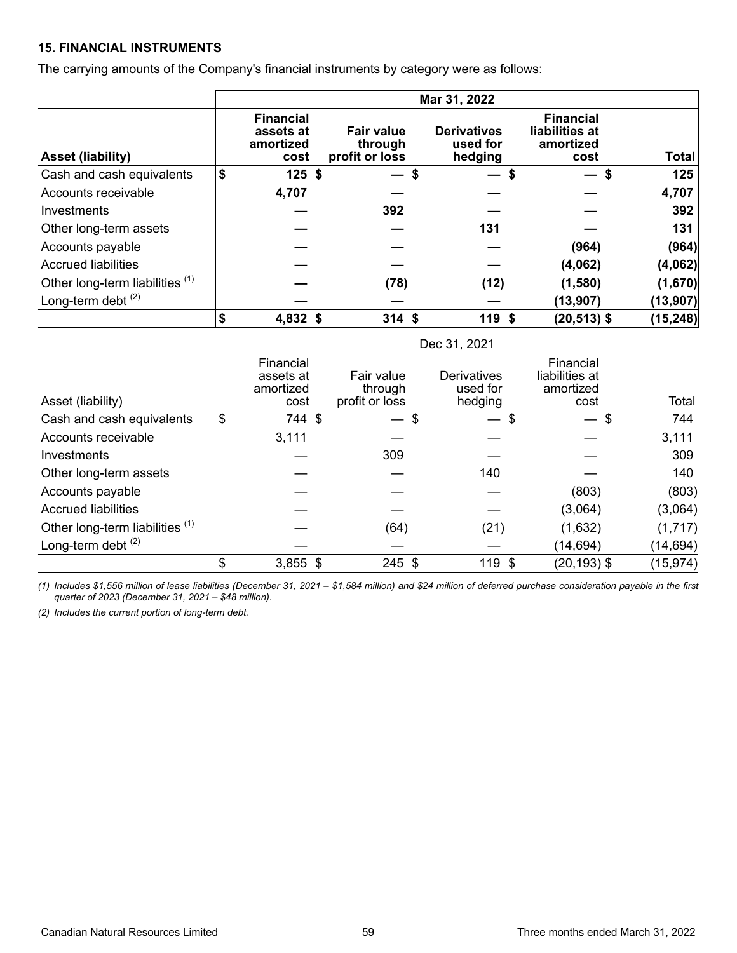#### **15. FINANCIAL INSTRUMENTS**

The carrying amounts of the Company's financial instruments by category were as follows:

|                                            | Mar 31, 2022 |                                                    |  |                                                |                                           |                                                         |              |  |
|--------------------------------------------|--------------|----------------------------------------------------|--|------------------------------------------------|-------------------------------------------|---------------------------------------------------------|--------------|--|
| <b>Asset (liability)</b>                   |              | <b>Financial</b><br>assets at<br>amortized<br>cost |  | <b>Fair value</b><br>through<br>profit or loss | <b>Derivatives</b><br>used for<br>hedging | <b>Financial</b><br>liabilities at<br>amortized<br>cost | <b>Total</b> |  |
| Cash and cash equivalents                  | \$           | $125$ \$                                           |  | — \$                                           | \$<br>$\overline{\phantom{0}}$            | $\overline{\phantom{0}}$                                | \$<br>125    |  |
| Accounts receivable                        |              | 4,707                                              |  |                                                |                                           |                                                         | 4,707        |  |
| Investments                                |              |                                                    |  | 392                                            |                                           |                                                         | 392          |  |
| Other long-term assets                     |              |                                                    |  |                                                | 131                                       |                                                         | 131          |  |
| Accounts payable                           |              |                                                    |  |                                                |                                           | (964)                                                   | (964)        |  |
| <b>Accrued liabilities</b>                 |              |                                                    |  |                                                |                                           | (4,062)                                                 | (4,062)      |  |
| Other long-term liabilities <sup>(1)</sup> |              |                                                    |  | (78)                                           | (12)                                      | (1,580)                                                 | (1,670)      |  |
| Long-term debt $(2)$                       |              |                                                    |  |                                                |                                           | (13, 907)                                               | (13,907)     |  |
|                                            | \$           | 4,832 \$                                           |  | 314S                                           | 119 \$                                    | $(20, 513)$ \$                                          | (15, 248)    |  |

|                                            |                                             |                                         | Dec 31, 2021                       |                                                  |           |
|--------------------------------------------|---------------------------------------------|-----------------------------------------|------------------------------------|--------------------------------------------------|-----------|
| Asset (liability)                          | Financial<br>assets at<br>amortized<br>cost | Fair value<br>through<br>profit or loss | Derivatives<br>used for<br>hedging | Financial<br>liabilities at<br>amortized<br>cost | Total     |
| Cash and cash equivalents                  | \$<br>744 \$                                | $-$ \$                                  | \$<br>$\overline{\phantom{0}}$     | \$<br>$\qquad \qquad -$                          | 744       |
| Accounts receivable                        | 3,111                                       |                                         |                                    |                                                  | 3,111     |
| Investments                                |                                             | 309                                     |                                    |                                                  | 309       |
| Other long-term assets                     |                                             |                                         | 140                                |                                                  | 140       |
| Accounts payable                           |                                             |                                         |                                    | (803)                                            | (803)     |
| <b>Accrued liabilities</b>                 |                                             |                                         |                                    | (3,064)                                          | (3,064)   |
| Other long-term liabilities <sup>(1)</sup> |                                             | (64)                                    | (21)                               | (1,632)                                          | (1,717)   |
| Long-term debt $(2)$                       |                                             |                                         |                                    | (14, 694)                                        | (14, 694) |
|                                            | \$<br>$3,855$ \$                            | 245 \$                                  | 119 \$                             | $(20, 193)$ \$                                   | (15, 974) |

*(1) Includes \$1,556 million of lease liabilities (December 31, 2021 – \$1,584 million) and \$24 million of deferred purchase consideration payable in the first quarter of 2023 (December 31, 2021 – \$48 million).*

*(2) Includes the current portion of long-term debt.*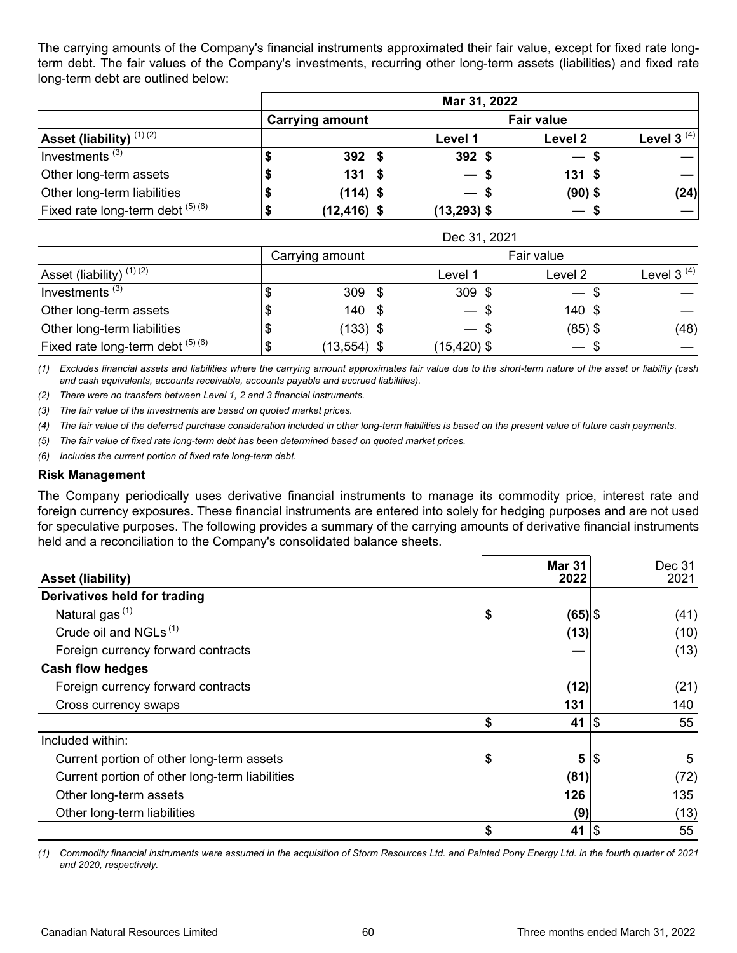The carrying amounts of the Company's financial instruments approximated their fair value, except for fixed rate longterm debt. The fair values of the Company's investments, recurring other long-term assets (liabilities) and fixed rate long-term debt are outlined below:

|                                       | Mar 31, 2022    |     |               |           |               |  |  |  |  |  |  |
|---------------------------------------|-----------------|-----|---------------|-----------|---------------|--|--|--|--|--|--|
|                                       | Carrying amount |     |               |           |               |  |  |  |  |  |  |
| Asset (liability) $(1)(2)$            |                 |     | Level 1       | Level 2   | Level 3 $(4)$ |  |  |  |  |  |  |
| Investments $(3)$                     | 392             | ∣\$ | 392 \$        | — S       |               |  |  |  |  |  |  |
| Other long-term assets                | 131             | 15  | $-$ \$        | $131$ \$  |               |  |  |  |  |  |  |
| Other long-term liabilities           | $(114)$ \$      |     | $-$ \$        | $(90)$ \$ | (24)          |  |  |  |  |  |  |
| Fixed rate long-term debt $(5)$ $(6)$ | $(12, 416)$ \$  |     | $(13,293)$ \$ | $-5$      |               |  |  |  |  |  |  |

|                                     | Dec 31, 2021 |                 |     |                |            |                   |  |                             |  |  |  |
|-------------------------------------|--------------|-----------------|-----|----------------|------------|-------------------|--|-----------------------------|--|--|--|
|                                     |              | Carrying amount |     |                | Fair value |                   |  |                             |  |  |  |
| Asset (liability) <sup>(1)(2)</sup> |              |                 |     | Level 1        |            | Level 2           |  | Level 3 $^{\left(4\right)}$ |  |  |  |
| Investments $(3)$                   |              | 309             | -96 | $309$ \$       |            | $-$ \$            |  |                             |  |  |  |
| Other long-term assets              |              | 140             | 1\$ | $-$ \$         |            | $140 \text{ }$ \$ |  |                             |  |  |  |
| Other long-term liabilities         |              | (133)  \$       |     | $-$ \$         |            | $(85)$ \$         |  | (48)                        |  |  |  |
| Fixed rate long-term debt $(5)(6)$  | c            | (13,554)   \$   |     | $(15, 420)$ \$ |            | $-$ \$            |  |                             |  |  |  |

*(1) Excludes financial assets and liabilities where the carrying amount approximates fair value due to the short-term nature of the asset or liability (cash and cash equivalents, accounts receivable, accounts payable and accrued liabilities).*

*(2) There were no transfers between Level 1, 2 and 3 financial instruments.*

*(3) The fair value of the investments are based on quoted market prices.*

*(4) The fair value of the deferred purchase consideration included in other long-term liabilities is based on the present value of future cash payments.*

*(5) The fair value of fixed rate long-term debt has been determined based on quoted market prices.*

*(6) Includes the current portion of fixed rate long-term debt.*

#### **Risk Management**

The Company periodically uses derivative financial instruments to manage its commodity price, interest rate and foreign currency exposures. These financial instruments are entered into solely for hedging purposes and are not used for speculative purposes. The following provides a summary of the carrying amounts of derivative financial instruments held and a reconciliation to the Company's consolidated balance sheets.

| <b>Asset (liability)</b>                       | <b>Mar 31</b><br>2022 |    | Dec 31<br>2021 |
|------------------------------------------------|-----------------------|----|----------------|
| Derivatives held for trading                   |                       |    |                |
| Natural gas $(1)$                              | \$<br>$(65) $ \$      |    | (41)           |
| Crude oil and NGLs <sup>(1)</sup>              | (13)                  |    | (10)           |
| Foreign currency forward contracts             |                       |    | (13)           |
| <b>Cash flow hedges</b>                        |                       |    |                |
| Foreign currency forward contracts             | (12)                  |    | (21)           |
| Cross currency swaps                           | 131                   |    | 140            |
|                                                | \$<br>41              | \$ | 55             |
| Included within:                               |                       |    |                |
| Current portion of other long-term assets      | \$<br>5               | \$ | 5              |
| Current portion of other long-term liabilities | (81)                  |    | (72)           |
| Other long-term assets                         | 126                   |    | 135            |
| Other long-term liabilities                    | (9)                   |    | (13)           |
|                                                | \$<br>41              | \$ | 55             |

*(1) Commodity financial instruments were assumed in the acquisition of Storm Resources Ltd. and Painted Pony Energy Ltd. in the fourth quarter of 2021 and 2020, respectively.*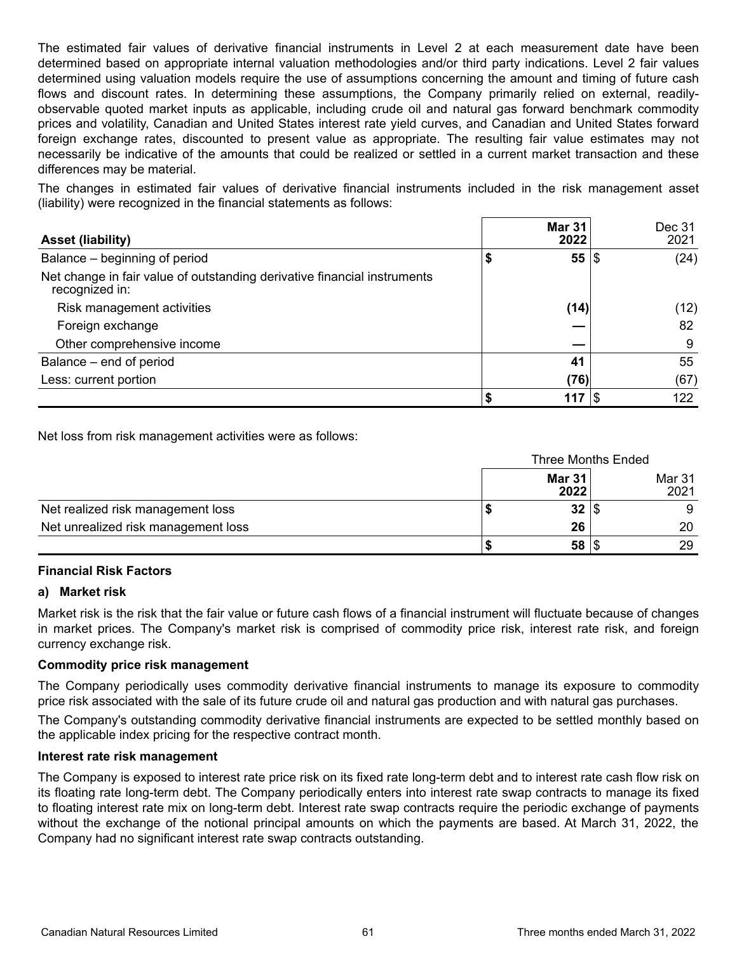The estimated fair values of derivative financial instruments in Level 2 at each measurement date have been determined based on appropriate internal valuation methodologies and/or third party indications. Level 2 fair values determined using valuation models require the use of assumptions concerning the amount and timing of future cash flows and discount rates. In determining these assumptions, the Company primarily relied on external, readilyobservable quoted market inputs as applicable, including crude oil and natural gas forward benchmark commodity prices and volatility, Canadian and United States interest rate yield curves, and Canadian and United States forward foreign exchange rates, discounted to present value as appropriate. The resulting fair value estimates may not necessarily be indicative of the amounts that could be realized or settled in a current market transaction and these differences may be material.

The changes in estimated fair values of derivative financial instruments included in the risk management asset (liability) were recognized in the financial statements as follows:

| <b>Asset (liability)</b>                                                                   |   | <b>Mar 31</b><br>2022 | Dec 31<br>2021 |
|--------------------------------------------------------------------------------------------|---|-----------------------|----------------|
| Balance - beginning of period                                                              | ⊅ | 55                    | (24)           |
| Net change in fair value of outstanding derivative financial instruments<br>recognized in: |   |                       |                |
| Risk management activities                                                                 |   | (14)                  | (12)           |
| Foreign exchange                                                                           |   |                       | 82             |
| Other comprehensive income                                                                 |   |                       | 9              |
| Balance – end of period                                                                    |   | 41                    | 55             |
| Less: current portion                                                                      |   | (76)                  | (67)           |
|                                                                                            |   | 117                   | 122            |

Net loss from risk management activities were as follows:

|                                     | <b>Three Months Ended</b> |      |                |
|-------------------------------------|---------------------------|------|----------------|
|                                     | <b>Mar 31</b><br>2022     |      | Mar 31<br>2021 |
| Net realized risk management loss   | 32                        | - \$ |                |
| Net unrealized risk management loss | 26                        |      | 20             |
|                                     | 58                        | 15   | 29             |

## **Financial Risk Factors**

## **a) Market risk**

Market risk is the risk that the fair value or future cash flows of a financial instrument will fluctuate because of changes in market prices. The Company's market risk is comprised of commodity price risk, interest rate risk, and foreign currency exchange risk.

## **Commodity price risk management**

The Company periodically uses commodity derivative financial instruments to manage its exposure to commodity price risk associated with the sale of its future crude oil and natural gas production and with natural gas purchases.

The Company's outstanding commodity derivative financial instruments are expected to be settled monthly based on the applicable index pricing for the respective contract month.

#### **Interest rate risk management**

The Company is exposed to interest rate price risk on its fixed rate long-term debt and to interest rate cash flow risk on its floating rate long-term debt. The Company periodically enters into interest rate swap contracts to manage its fixed to floating interest rate mix on long-term debt. Interest rate swap contracts require the periodic exchange of payments without the exchange of the notional principal amounts on which the payments are based. At March 31, 2022, the Company had no significant interest rate swap contracts outstanding.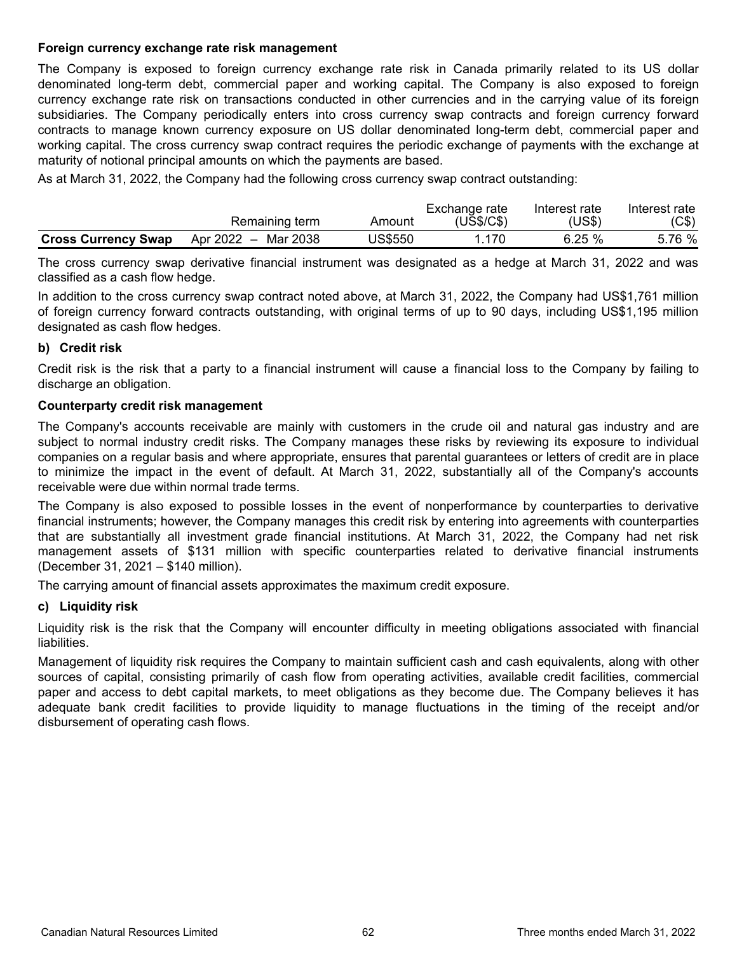#### **Foreign currency exchange rate risk management**

The Company is exposed to foreign currency exchange rate risk in Canada primarily related to its US dollar denominated long-term debt, commercial paper and working capital. The Company is also exposed to foreign currency exchange rate risk on transactions conducted in other currencies and in the carrying value of its foreign subsidiaries. The Company periodically enters into cross currency swap contracts and foreign currency forward contracts to manage known currency exposure on US dollar denominated long-term debt, commercial paper and working capital. The cross currency swap contract requires the periodic exchange of payments with the exchange at maturity of notional principal amounts on which the payments are based.

As at March 31, 2022, the Company had the following cross currency swap contract outstanding:

|                            | Remaining term        | Amount  | Exchange rate<br>(US\$/CS) | Interest rate<br>(US\$` | Interest rate<br>(C\$) |
|----------------------------|-----------------------|---------|----------------------------|-------------------------|------------------------|
| <b>Cross Currency Swap</b> | Apr 2022 $-$ Mar 2038 | JS\$550 | .170                       | 6.25%                   | 5.76 %                 |

The cross currency swap derivative financial instrument was designated as a hedge at March 31, 2022 and was classified as a cash flow hedge.

In addition to the cross currency swap contract noted above, at March 31, 2022, the Company had US\$1,761 million of foreign currency forward contracts outstanding, with original terms of up to 90 days, including US\$1,195 million designated as cash flow hedges.

## **b) Credit risk**

Credit risk is the risk that a party to a financial instrument will cause a financial loss to the Company by failing to discharge an obligation.

## **Counterparty credit risk management**

The Company's accounts receivable are mainly with customers in the crude oil and natural gas industry and are subject to normal industry credit risks. The Company manages these risks by reviewing its exposure to individual companies on a regular basis and where appropriate, ensures that parental guarantees or letters of credit are in place to minimize the impact in the event of default. At March 31, 2022, substantially all of the Company's accounts receivable were due within normal trade terms.

The Company is also exposed to possible losses in the event of nonperformance by counterparties to derivative financial instruments; however, the Company manages this credit risk by entering into agreements with counterparties that are substantially all investment grade financial institutions. At March 31, 2022, the Company had net risk management assets of \$131 million with specific counterparties related to derivative financial instruments (December 31, 2021 – \$140 million).

The carrying amount of financial assets approximates the maximum credit exposure.

## **c) Liquidity risk**

Liquidity risk is the risk that the Company will encounter difficulty in meeting obligations associated with financial liabilities.

Management of liquidity risk requires the Company to maintain sufficient cash and cash equivalents, along with other sources of capital, consisting primarily of cash flow from operating activities, available credit facilities, commercial paper and access to debt capital markets, to meet obligations as they become due. The Company believes it has adequate bank credit facilities to provide liquidity to manage fluctuations in the timing of the receipt and/or disbursement of operating cash flows.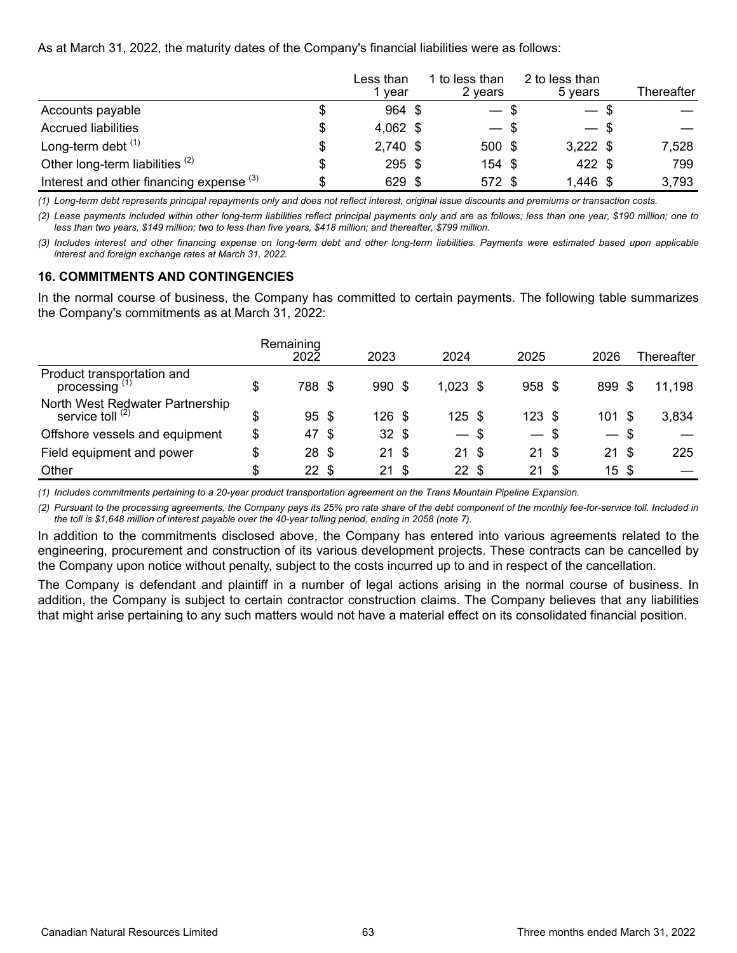As at March 31, 2022, the maturity dates of the Company's financial liabilities were as follows:

|                                                     | Less than<br>vear | to less than<br>2 years | 2 to less than<br>5 years | Thereafter |
|-----------------------------------------------------|-------------------|-------------------------|---------------------------|------------|
| Accounts payable                                    | \$<br>964 \$      | $-$ \$                  | $-$ \$                    |            |
| <b>Accrued liabilities</b>                          | \$<br>4,062 $$$   | $-$ \$                  | $-$ \$                    |            |
| Long-term debt $(1)$                                | \$<br>$2,740$ \$  | 500 \$                  | $3,222$ \$                | 7,528      |
| Other long-term liabilities <sup>(2)</sup>          | \$<br>295 \$      | 154 \$                  | 422 \$                    | 799        |
| Interest and other financing expense <sup>(3)</sup> | \$<br>629 \$      | 572 \$                  | $1,446$ \$                | 3,793      |

*(1) Long-term debt represents principal repayments only and does not reflect interest, original issue discounts and premiums or transaction costs.* 

*(2) Lease payments included within other long-term liabilities reflect principal payments only and are as follows; less than one year, \$190 million; one to less than two years, \$149 million; two to less than five years, \$418 million; and thereafter, \$799 million.*

*(3) Includes interest and other financing expense on long-term debt and other long-term liabilities. Payments were estimated based upon applicable interest and foreign exchange rates at March 31, 2022.*

#### **16. COMMITMENTS AND CONTINGENCIES**

In the normal course of business, the Company has committed to certain payments. The following table summarizes the Company's commitments as at March 31, 2022:

|                                                                   | Remaining<br>2022 | 2023             |      | 2024             | 2025   |      | 2026   | Thereafter |
|-------------------------------------------------------------------|-------------------|------------------|------|------------------|--------|------|--------|------------|
| Product transportation and<br>$\sum_{n=0}^{\infty}$<br>processing | \$<br>788\$       | 990 \$           |      | $1,023$ \$       | 958 \$ |      | 899    | 11,198     |
| North West Redwater Partnership<br>service toll $(2)$             | $95 \text{ }$ \$  | 126 \$           |      | 125 \$           | 123S   |      | 101 \$ | 3,834      |
| Offshore vessels and equipment                                    | \$<br>47 \$       | $32 \text{ }$ \$ |      | $-$ \$           | $-$ \$ |      | $-$ \$ |            |
| Field equipment and power                                         | \$<br>$28 \;$ \$  | $21 \text{ }$ \$ |      | 21 \$            | 21     | - \$ | 21 \$  | 225        |
| Other                                                             | \$<br>22S         | 21               | - \$ | $22 \text{ }$ \$ | 21     | -\$  | 15 \$  |            |

*(1) Includes commitments pertaining to a 20-year product transportation agreement on the Trans Mountain Pipeline Expansion.* 

*(2) Pursuant to the processing agreements, the Company pays its 25% pro rata share of the debt component of the monthly fee-for-service toll. Included in the toll is \$1,648 million of interest payable over the 40-year tolling period, ending in 2058 (note 7).*

In addition to the commitments disclosed above, the Company has entered into various agreements related to the engineering, procurement and construction of its various development projects. These contracts can be cancelled by the Company upon notice without penalty, subject to the costs incurred up to and in respect of the cancellation.

The Company is defendant and plaintiff in a number of legal actions arising in the normal course of business. In addition, the Company is subject to certain contractor construction claims. The Company believes that any liabilities that might arise pertaining to any such matters would not have a material effect on its consolidated financial position.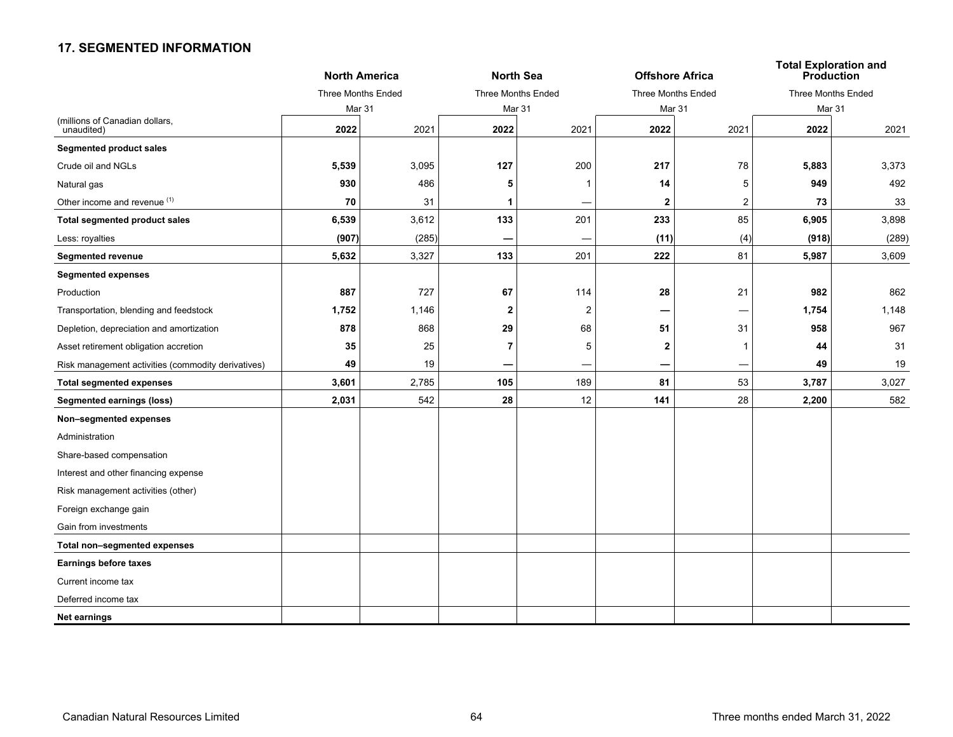# **17. SEGMENTED INFORMATION**

|                                                    |                           | <b>North America</b> |        | <b>North Sea</b>          |                           | <b>Offshore Africa</b>   | <b>Total Exploration and</b><br>Production |       |
|----------------------------------------------------|---------------------------|----------------------|--------|---------------------------|---------------------------|--------------------------|--------------------------------------------|-------|
|                                                    | <b>Three Months Ended</b> |                      |        | <b>Three Months Ended</b> | <b>Three Months Ended</b> |                          | <b>Three Months Ended</b>                  |       |
|                                                    | Mar 31                    |                      | Mar 31 |                           | Mar 31                    |                          | Mar 31                                     |       |
| (millions of Canadian dollars,<br>unaudited)       | 2022                      | 2021                 | 2022   | 2021                      | 2022                      | 2021                     | 2022                                       | 2021  |
| <b>Segmented product sales</b>                     |                           |                      |        |                           |                           |                          |                                            |       |
| Crude oil and NGLs                                 | 5,539                     | 3,095                | 127    | 200                       | 217                       | 78                       | 5,883                                      | 3,373 |
| Natural gas                                        | 930                       | 486                  | 5      | -1                        | 14                        | 5                        | 949                                        | 492   |
| Other income and revenue (1)                       | 70                        | 31                   | 1      |                           | $\mathbf{2}$              | $\overline{2}$           | 73                                         | 33    |
| <b>Total segmented product sales</b>               | 6,539                     | 3,612                | 133    | 201                       | 233                       | 85                       | 6,905                                      | 3,898 |
| Less: royalties                                    | (907)                     | (285)                |        |                           | (11)                      | (4)                      | (918)                                      | (289) |
| <b>Segmented revenue</b>                           | 5,632                     | 3,327                | 133    | 201                       | 222                       | 81                       | 5,987                                      | 3,609 |
| <b>Segmented expenses</b>                          |                           |                      |        |                           |                           |                          |                                            |       |
| Production                                         | 887                       | 727                  | 67     | 114                       | 28                        | 21                       | 982                                        | 862   |
| Transportation, blending and feedstock             | 1,752                     | 1,146                | 2      | $\overline{2}$            |                           |                          | 1,754                                      | 1,148 |
| Depletion, depreciation and amortization           | 878                       | 868                  | 29     | 68                        | 51                        | 31                       | 958                                        | 967   |
| Asset retirement obligation accretion              | 35                        | 25                   | 7      | 5                         | $\mathbf{2}$              | $\mathbf 1$              | 44                                         | 31    |
| Risk management activities (commodity derivatives) | 49                        | 19                   |        |                           |                           | $\overline{\phantom{0}}$ | 49                                         | 19    |
| <b>Total segmented expenses</b>                    | 3,601                     | 2,785                | 105    | 189                       | 81                        | 53                       | 3,787                                      | 3,027 |
| Segmented earnings (loss)                          | 2,031                     | 542                  | 28     | 12                        | 141                       | 28                       | 2,200                                      | 582   |
| Non-segmented expenses                             |                           |                      |        |                           |                           |                          |                                            |       |
| Administration                                     |                           |                      |        |                           |                           |                          |                                            |       |
| Share-based compensation                           |                           |                      |        |                           |                           |                          |                                            |       |
| Interest and other financing expense               |                           |                      |        |                           |                           |                          |                                            |       |
| Risk management activities (other)                 |                           |                      |        |                           |                           |                          |                                            |       |
| Foreign exchange gain                              |                           |                      |        |                           |                           |                          |                                            |       |
| Gain from investments                              |                           |                      |        |                           |                           |                          |                                            |       |
| Total non-segmented expenses                       |                           |                      |        |                           |                           |                          |                                            |       |
| <b>Earnings before taxes</b>                       |                           |                      |        |                           |                           |                          |                                            |       |
| Current income tax                                 |                           |                      |        |                           |                           |                          |                                            |       |
| Deferred income tax                                |                           |                      |        |                           |                           |                          |                                            |       |
| <b>Net earnings</b>                                |                           |                      |        |                           |                           |                          |                                            |       |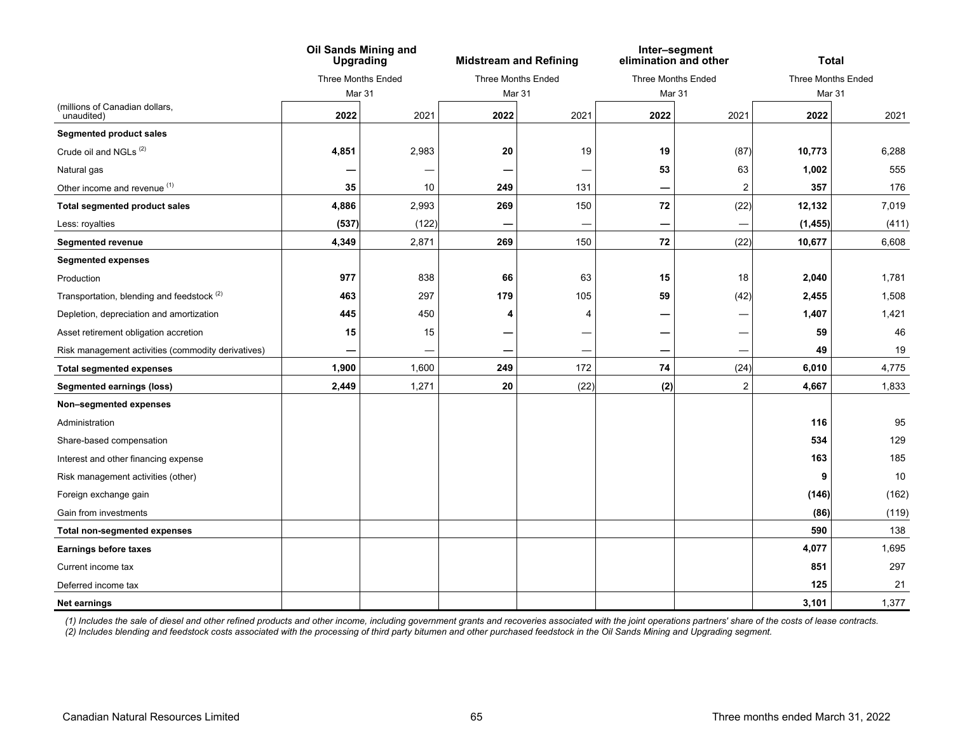|                                                       | <b>Oil Sands Mining and</b><br>Upgrading |       | <b>Midstream and Refining</b> |                          | elimination and other     | Inter-segment  | <b>Total</b>              |       |
|-------------------------------------------------------|------------------------------------------|-------|-------------------------------|--------------------------|---------------------------|----------------|---------------------------|-------|
|                                                       | <b>Three Months Ended</b>                |       | <b>Three Months Ended</b>     |                          | <b>Three Months Ended</b> |                | <b>Three Months Ended</b> |       |
|                                                       | Mar 31                                   |       | Mar 31                        |                          | Mar 31                    |                | Mar 31                    |       |
| (millions of Canadian dollars,<br>unaudited)          | 2022                                     | 2021  | 2022                          | 2021                     | 2022                      | 2021           | 2022                      | 2021  |
| <b>Segmented product sales</b>                        |                                          |       |                               |                          |                           |                |                           |       |
| Crude oil and NGLs <sup>(2)</sup>                     | 4,851                                    | 2,983 | 20                            | 19                       | 19                        | (87)           | 10,773                    | 6,288 |
| Natural gas                                           |                                          |       |                               | $\overline{\phantom{0}}$ | 53                        | 63             | 1,002                     | 555   |
| Other income and revenue (1)                          | 35                                       | 10    | 249                           | 131                      |                           | 2              | 357                       | 176   |
| <b>Total segmented product sales</b>                  | 4,886                                    | 2,993 | 269                           | 150                      | 72                        | (22)           | 12,132                    | 7,019 |
| Less: royalties                                       | (537)                                    | (122) |                               | $\overline{\phantom{0}}$ |                           |                | (1, 455)                  | (411) |
| <b>Segmented revenue</b>                              | 4,349                                    | 2,871 | 269                           | 150                      | 72                        | (22)           | 10,677                    | 6,608 |
| <b>Segmented expenses</b>                             |                                          |       |                               |                          |                           |                |                           |       |
| Production                                            | 977                                      | 838   | 66                            | 63                       | 15                        | 18             | 2,040                     | 1,781 |
| Transportation, blending and feedstock <sup>(2)</sup> | 463                                      | 297   | 179                           | 105                      | 59                        | (42)           | 2,455                     | 1,508 |
| Depletion, depreciation and amortization              | 445                                      | 450   | 4                             | $\overline{4}$           |                           |                | 1,407                     | 1,421 |
| Asset retirement obligation accretion                 | 15                                       | 15    |                               |                          |                           |                | 59                        | 46    |
| Risk management activities (commodity derivatives)    |                                          |       |                               | $\overline{\phantom{0}}$ |                           |                | 49                        | 19    |
| <b>Total segmented expenses</b>                       | 1,900                                    | 1,600 | 249                           | 172                      | 74                        | (24)           | 6,010                     | 4,775 |
| <b>Segmented earnings (loss)</b>                      | 2,449                                    | 1,271 | 20                            | (22)                     | (2)                       | $\overline{2}$ | 4,667                     | 1,833 |
| Non-segmented expenses                                |                                          |       |                               |                          |                           |                |                           |       |
| Administration                                        |                                          |       |                               |                          |                           |                | 116                       | 95    |
| Share-based compensation                              |                                          |       |                               |                          |                           |                | 534                       | 129   |
| Interest and other financing expense                  |                                          |       |                               |                          |                           |                | 163                       | 185   |
| Risk management activities (other)                    |                                          |       |                               |                          |                           |                | 9                         | 10    |
| Foreign exchange gain                                 |                                          |       |                               |                          |                           |                | (146)                     | (162) |
| Gain from investments                                 |                                          |       |                               |                          |                           |                | (86)                      | (119) |
| Total non-segmented expenses                          |                                          |       |                               |                          |                           |                | 590                       | 138   |
| <b>Earnings before taxes</b>                          |                                          |       |                               |                          |                           |                | 4,077                     | 1,695 |
| Current income tax                                    |                                          |       |                               |                          |                           |                | 851                       | 297   |
| Deferred income tax                                   |                                          |       |                               |                          |                           |                | 125                       | 21    |
| Net earnings                                          |                                          |       |                               |                          |                           |                | 3,101                     | 1,377 |

*(1) Includes the sale of diesel and other refined products and other income, including government grants and recoveries associated with the joint operations partners' share of the costs of lease contracts. (2) Includes blending and feedstock costs associated with the processing of third party bitumen and other purchased feedstock in the Oil Sands Mining and Upgrading segment.*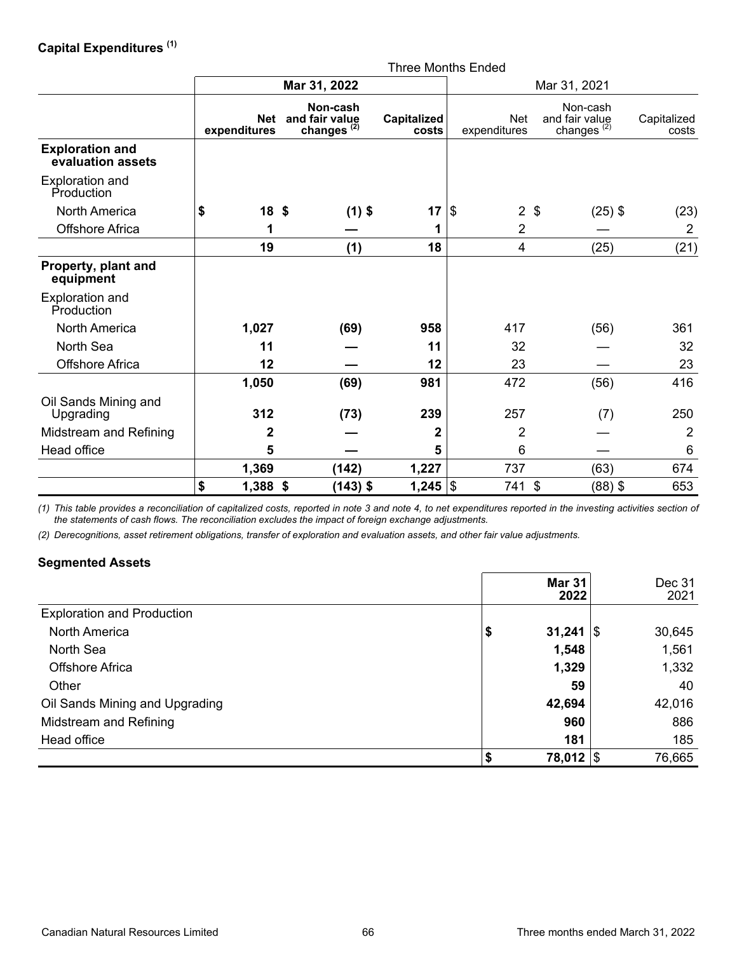|                                             | <b>Three Months Ended</b>                                                          |                 |                      |                     |                            |                |                                             |                      |                |  |  |  |
|---------------------------------------------|------------------------------------------------------------------------------------|-----------------|----------------------|---------------------|----------------------------|----------------|---------------------------------------------|----------------------|----------------|--|--|--|
|                                             |                                                                                    |                 | Mar 31, 2022         |                     |                            |                |                                             | Mar 31, 2021         |                |  |  |  |
|                                             | Non-cash<br>and fair value<br><b>Net</b><br>changes <sup>(2)</sup><br>expenditures |                 | Capitalized<br>costs |                     | <b>Net</b><br>expenditures |                | Non-cash<br>and fair value<br>changes $(2)$ | Capitalized<br>costs |                |  |  |  |
| <b>Exploration and</b><br>evaluation assets |                                                                                    |                 |                      |                     |                            |                |                                             |                      |                |  |  |  |
| <b>Exploration and</b><br>Production        |                                                                                    |                 |                      |                     |                            |                |                                             |                      |                |  |  |  |
| North America                               | \$                                                                                 | 18 <sup>5</sup> | $(1)$ \$             | 17                  | \$                         | $\overline{2}$ | \$                                          | $(25)$ \$            | (23)           |  |  |  |
| <b>Offshore Africa</b>                      |                                                                                    | 1               |                      | 1                   |                            | $\overline{2}$ |                                             |                      | $\overline{2}$ |  |  |  |
|                                             |                                                                                    | 19              | (1)                  | 18                  |                            | $\overline{4}$ |                                             | (25)                 | (21)           |  |  |  |
| Property, plant and<br>equipment            |                                                                                    |                 |                      |                     |                            |                |                                             |                      |                |  |  |  |
| <b>Exploration and</b><br>Production        |                                                                                    |                 |                      |                     |                            |                |                                             |                      |                |  |  |  |
| <b>North America</b>                        |                                                                                    | 1,027           | (69)                 | 958                 |                            | 417            |                                             | (56)                 | 361            |  |  |  |
| North Sea                                   |                                                                                    | 11              |                      | 11                  |                            | 32             |                                             |                      | 32             |  |  |  |
| <b>Offshore Africa</b>                      |                                                                                    | 12              |                      | 12                  |                            | 23             |                                             |                      | 23             |  |  |  |
|                                             |                                                                                    | 1,050           | (69)                 | 981                 |                            | 472            |                                             | (56)                 | 416            |  |  |  |
| Oil Sands Mining and<br>Upgrading           |                                                                                    | 312             | (73)                 | 239                 |                            | 257            |                                             | (7)                  | 250            |  |  |  |
| Midstream and Refining                      |                                                                                    | $\mathbf 2$     |                      | $\mathbf{2}$        |                            | $\overline{2}$ |                                             |                      | $\overline{2}$ |  |  |  |
| Head office                                 |                                                                                    | 5               |                      | 5                   |                            | 6              |                                             |                      | 6              |  |  |  |
|                                             |                                                                                    | 1,369           | (142)                | 1,227               |                            | 737            |                                             | (63)                 | 674            |  |  |  |
|                                             | \$                                                                                 | 1,388 \$        | $(143)$ \$           | 1,245 $\frac{1}{3}$ |                            | 741 \$         |                                             | $(88)$ \$            | 653            |  |  |  |

*(1) This table provides a reconciliation of capitalized costs, reported in note 3 and note 4, to net expenditures reported in the investing activities section of the statements of cash flows. The reconciliation excludes the impact of foreign exchange adjustments.*

*(2) Derecognitions, asset retirement obligations, transfer of exploration and evaluation assets, and other fair value adjustments.*

# **Segmented Assets**

|                                   | <b>Mar 31</b><br>2022 |     | Dec 31<br>2021 |
|-----------------------------------|-----------------------|-----|----------------|
| <b>Exploration and Production</b> |                       |     |                |
| <b>North America</b>              | \$<br>31,241          | 1\$ | 30,645         |
| North Sea                         | 1,548                 |     | 1,561          |
| Offshore Africa                   | 1,329                 |     | 1,332          |
| Other                             | 59                    |     | 40             |
| Oil Sands Mining and Upgrading    | 42,694                |     | 42,016         |
| Midstream and Refining            | 960                   |     | 886            |
| Head office                       | 181                   |     | 185            |
|                                   | \$<br>78,012          | ∣\$ | 76,665         |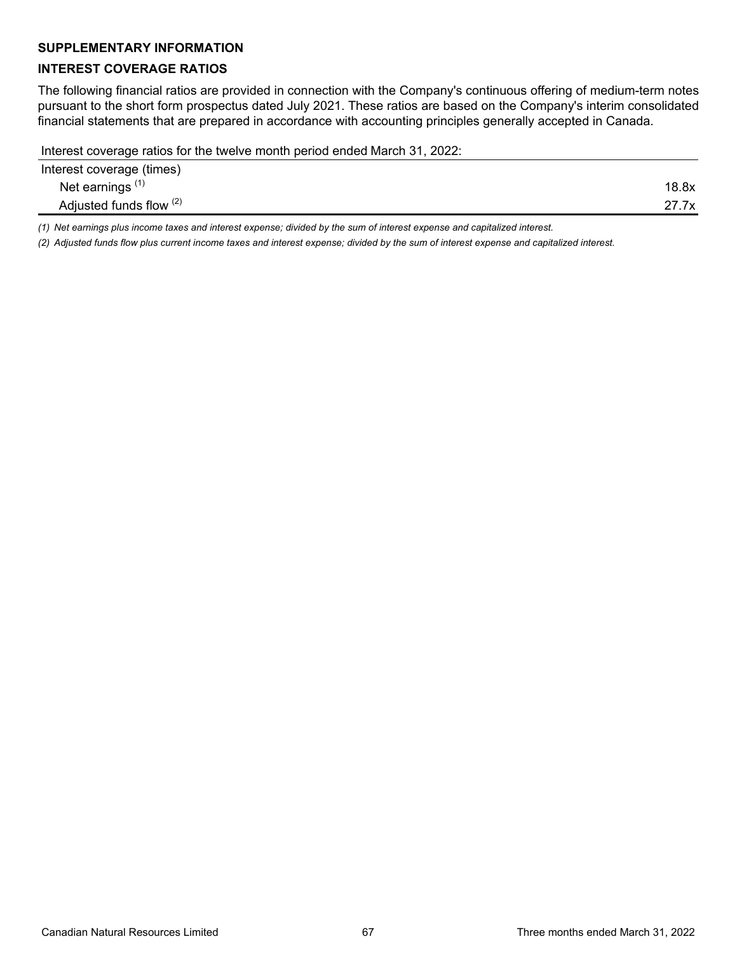#### **SUPPLEMENTARY INFORMATION**

## **INTEREST COVERAGE RATIOS**

The following financial ratios are provided in connection with the Company's continuous offering of medium-term notes pursuant to the short form prospectus dated July 2021. These ratios are based on the Company's interim consolidated financial statements that are prepared in accordance with accounting principles generally accepted in Canada.

Interest coverage ratios for the twelve month period ended March 31, 2022:

| Interest coverage (times) |       |
|---------------------------|-------|
| Net earnings $(1)$        | 18.8x |
| Adjusted funds flow (2)   | 27.7x |

*(1) Net earnings plus income taxes and interest expense; divided by the sum of interest expense and capitalized interest.*

*(2) Adjusted funds flow plus current income taxes and interest expense; divided by the sum of interest expense and capitalized interest.*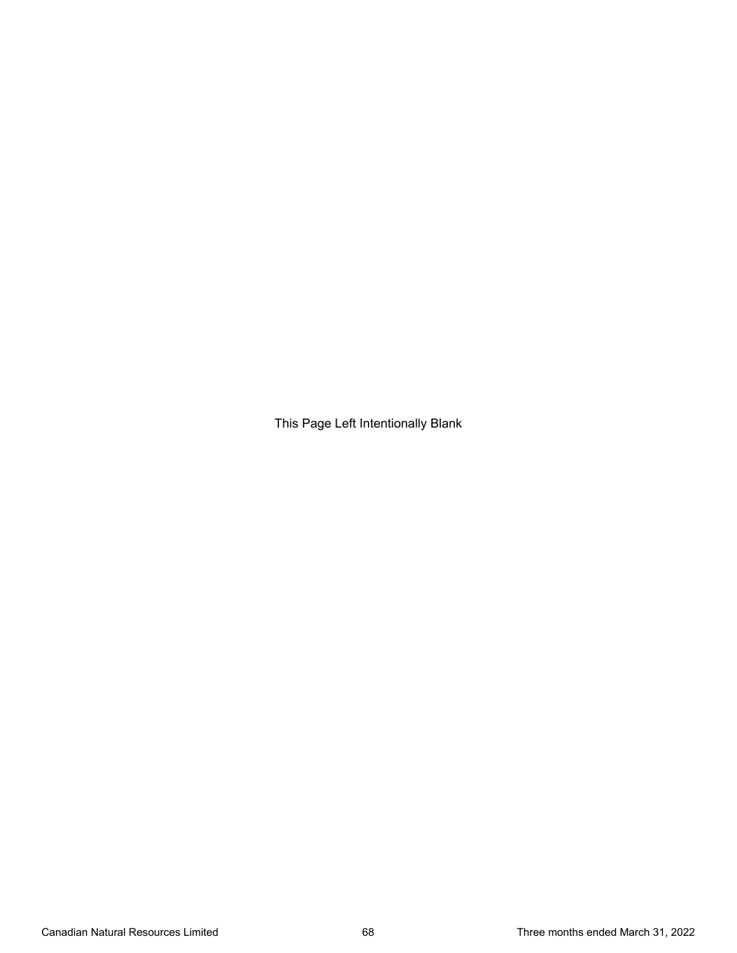This Page Left Intentionally Blank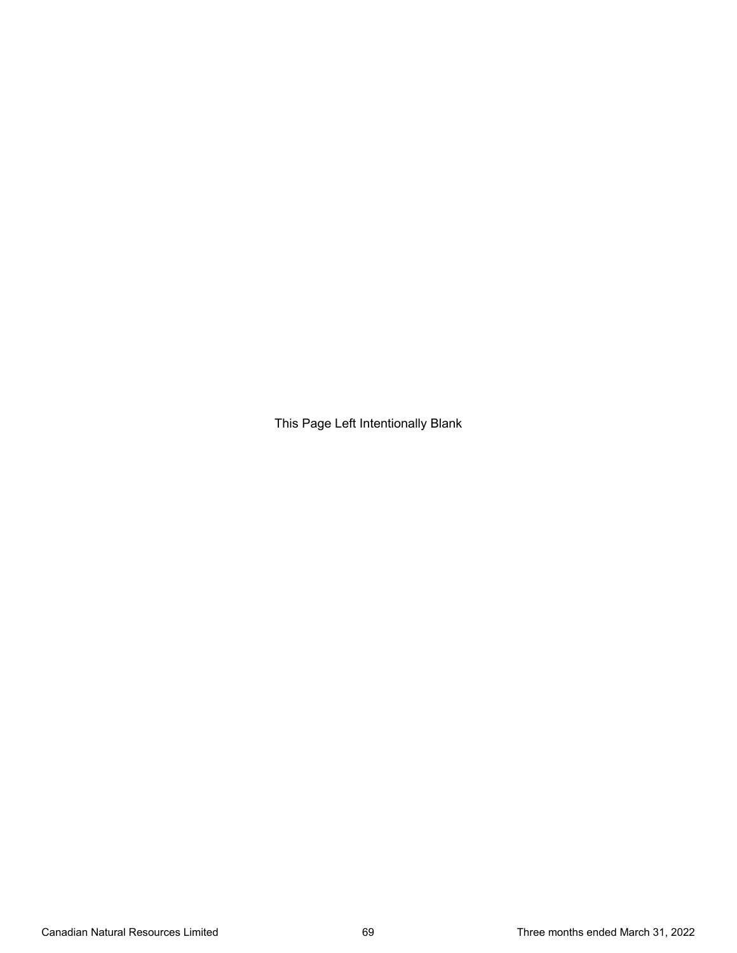This Page Left Intentionally Blank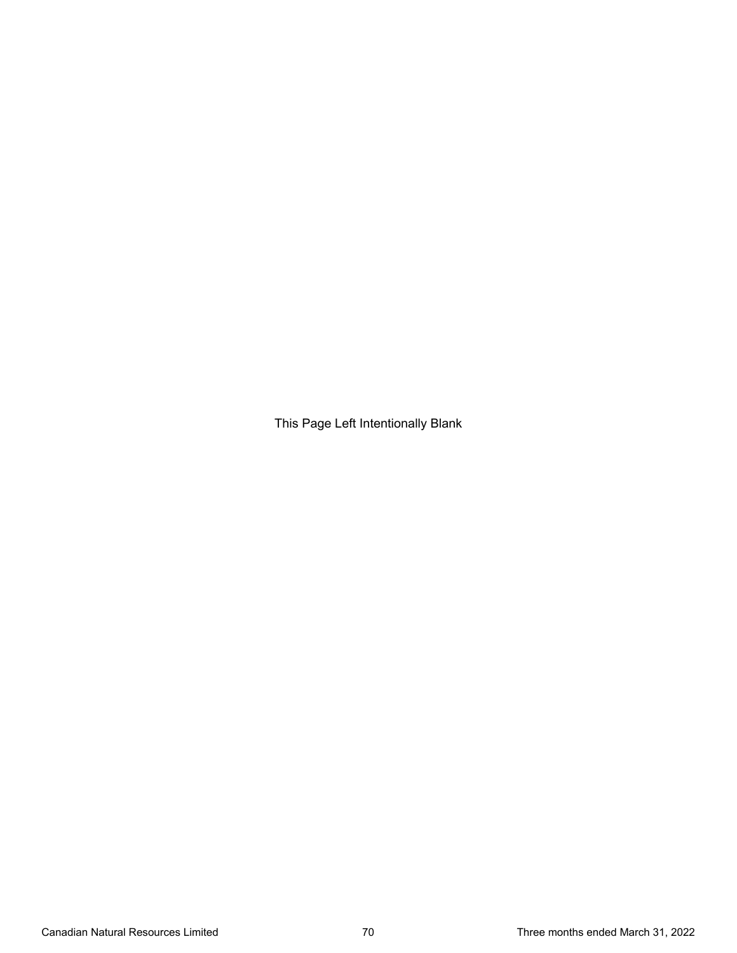This Page Left Intentionally Blank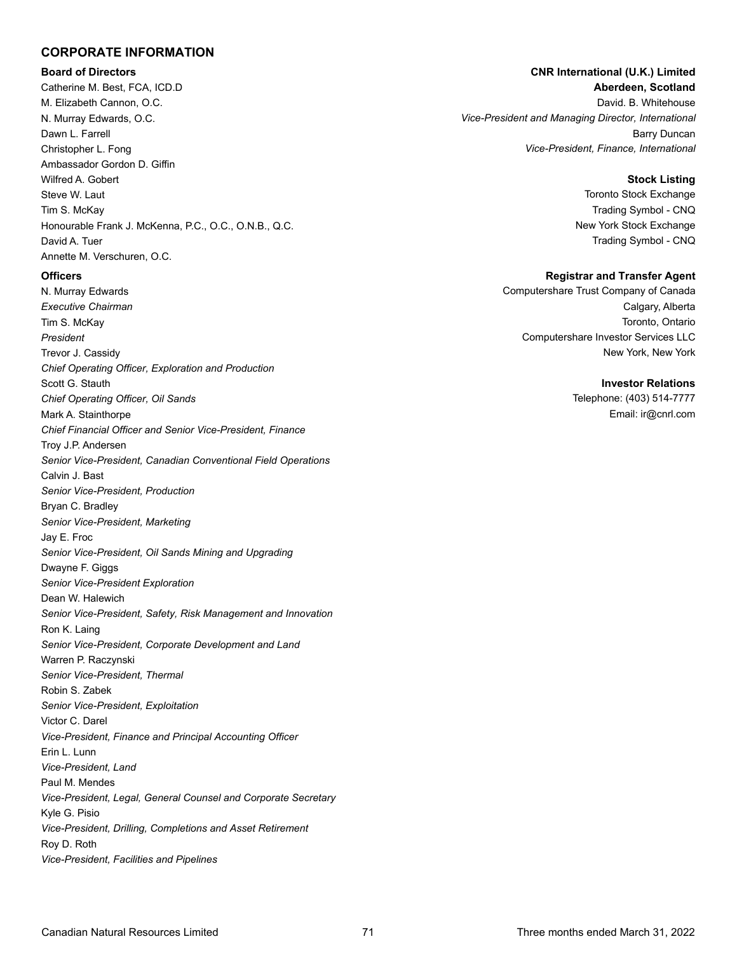#### **CORPORATE INFORMATION**

Catherine M. Best, FCA, ICD.D **Aberdeen, Scotland** M. Elizabeth Cannon, O.C. **David. B. Whitehouse** Cannon, O.C. David. B. Whitehouse N. Murray Edwards, O.C. *Vice-President and Managing Director, International* Dawn L. Farrell Barry Duncan Barry Duncan Barry Duncan Barry Duncan Barry Duncan Barry Duncan Barry Duncan Barry Duncan Christopher L. Fong *Vice-President, Finance, International* Ambassador Gordon D. Giffin Wilfred A. Gobert **Stock Listing** Steve W. Laut **Toronto Stock Exchange** Tim S. McKay Trading Symbol - CNQ Honourable Frank J. McKenna, P.C., O.C., O.N.B., Q.C. New York Stock Exchange New York Stock Exchange David A. Tuer Trading Symbol - CNQ Annette M. Verschuren, O.C.

N. Murray Edwards Computershare Trust Company of Canada **Executive Chairman** Calgary, Alberta **Calgary, Alberta** Calgary, Alberta **Calgary, Alberta** Tim S. McKay Toronto, Ontario *President* Computershare Investor Services LLC Trevor J. Cassidy **New York, New York, New York, New York**, New York, New York, New York, New York *Chief Operating Officer, Exploration and Production* Scott G. Stauth **Investor Relations** *Chief Operating Officer, Oil Sands* Telephone: (403) 514-7777 Mark A. Stainthorpe Email: ir@cnrl.com *Chief Financial Officer and Senior Vice-President, Finance* Troy J.P. Andersen *Senior Vice-President, Canadian Conventional Field Operations* Calvin J. Bast *Senior Vice-President, Production* Bryan C. Bradley *Senior Vice-President, Marketing* Jay E. Froc *Senior Vice-President, Oil Sands Mining and Upgrading* Dwayne F. Giggs *Senior Vice-President Exploration* Dean W. Halewich *Senior Vice-President, Safety, Risk Management and Innovation* Ron K. Laing *Senior Vice-President, Corporate Development and Land* Warren P. Raczynski *Senior Vice-President, Thermal* Robin S. Zabek *Senior Vice-President, Exploitation* Victor C. Darel *Vice-President, Finance and Principal Accounting Officer* Erin L. Lunn *Vice-President, Land* Paul M. Mendes *Vice-President, Legal, General Counsel and Corporate Secretary* Kyle G. Pisio *Vice-President, Drilling, Completions and Asset Retirement* Roy D. Roth *Vice-President, Facilities and Pipelines*

#### **Board of Directors CNR International (U.K.) Limited**

**Officers Registrar and Transfer Agent**